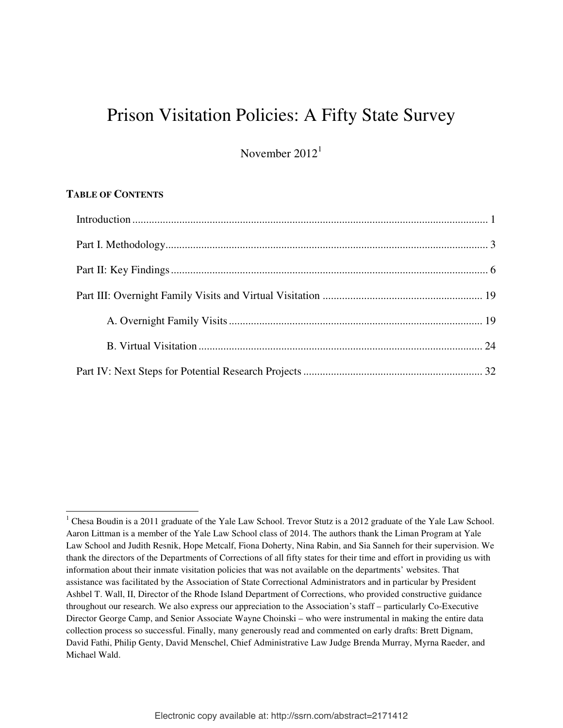# Prison Visitation Policies: A Fifty State Survey

November 2012<sup>1</sup>

# **TABLE OF CONTENTS**

 $1$  Chesa Boudin is a 2011 graduate of the Yale Law School. Trevor Stutz is a 2012 graduate of the Yale Law School. Aaron Littman is a member of the Yale Law School class of 2014. The authors thank the Liman Program at Yale Law School and Judith Resnik, Hope Metcalf, Fiona Doherty, Nina Rabin, and Sia Sanneh for their supervision. We thank the directors of the Departments of Corrections of all fifty states for their time and effort in providing us with information about their inmate visitation policies that was not available on the departments' websites. That assistance was facilitated by the Association of State Correctional Administrators and in particular by President Ashbel T. Wall, II, Director of the Rhode Island Department of Corrections, who provided constructive guidance throughout our research. We also express our appreciation to the Association's staff – particularly Co-Executive Director George Camp, and Senior Associate Wayne Choinski – who were instrumental in making the entire data collection process so successful. Finally, many generously read and commented on early drafts: Brett Dignam, David Fathi, Philip Genty, David Menschel, Chief Administrative Law Judge Brenda Murray, Myrna Raeder, and Michael Wald.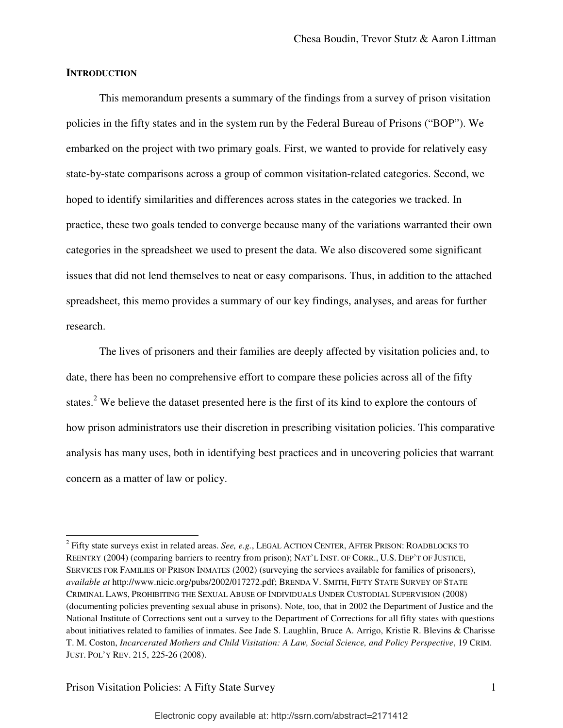# **INTRODUCTION**

l

This memorandum presents a summary of the findings from a survey of prison visitation policies in the fifty states and in the system run by the Federal Bureau of Prisons ("BOP"). We embarked on the project with two primary goals. First, we wanted to provide for relatively easy state-by-state comparisons across a group of common visitation-related categories. Second, we hoped to identify similarities and differences across states in the categories we tracked. In practice, these two goals tended to converge because many of the variations warranted their own categories in the spreadsheet we used to present the data. We also discovered some significant issues that did not lend themselves to neat or easy comparisons. Thus, in addition to the attached spreadsheet, this memo provides a summary of our key findings, analyses, and areas for further research.

The lives of prisoners and their families are deeply affected by visitation policies and, to date, there has been no comprehensive effort to compare these policies across all of the fifty states.<sup>2</sup> We believe the dataset presented here is the first of its kind to explore the contours of how prison administrators use their discretion in prescribing visitation policies. This comparative analysis has many uses, both in identifying best practices and in uncovering policies that warrant concern as a matter of law or policy.

<sup>2</sup> Fifty state surveys exist in related areas. *See, e.g.*, LEGAL ACTION CENTER, AFTER PRISON: ROADBLOCKS TO REENTRY (2004) (comparing barriers to reentry from prison); NAT'L INST. OF CORR., U.S. DEP'T OF JUSTICE, SERVICES FOR FAMILIES OF PRISON INMATES (2002) (surveying the services available for families of prisoners), *available at* http://www.nicic.org/pubs/2002/017272.pdf; BRENDA V. SMITH, FIFTY STATE SURVEY OF STATE CRIMINAL LAWS, PROHIBITING THE SEXUAL ABUSE OF INDIVIDUALS UNDER CUSTODIAL SUPERVISION (2008) (documenting policies preventing sexual abuse in prisons). Note, too, that in 2002 the Department of Justice and the National Institute of Corrections sent out a survey to the Department of Corrections for all fifty states with questions about initiatives related to families of inmates. See Jade S. Laughlin, Bruce A. Arrigo, Kristie R. Blevins & Charisse T. M. Coston, *Incarcerated Mothers and Child Visitation: A Law, Social Science, and Policy Perspective*, 19 CRIM. JUST. POL'Y REV. 215, 225-26 (2008).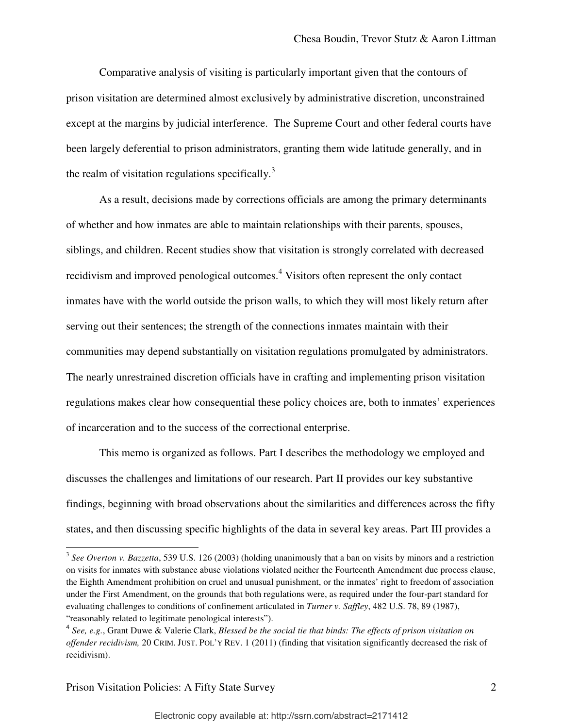Comparative analysis of visiting is particularly important given that the contours of prison visitation are determined almost exclusively by administrative discretion, unconstrained except at the margins by judicial interference. The Supreme Court and other federal courts have been largely deferential to prison administrators, granting them wide latitude generally, and in the realm of visitation regulations specifically. $3$ 

As a result, decisions made by corrections officials are among the primary determinants of whether and how inmates are able to maintain relationships with their parents, spouses, siblings, and children. Recent studies show that visitation is strongly correlated with decreased recidivism and improved penological outcomes.<sup>4</sup> Visitors often represent the only contact inmates have with the world outside the prison walls, to which they will most likely return after serving out their sentences; the strength of the connections inmates maintain with their communities may depend substantially on visitation regulations promulgated by administrators. The nearly unrestrained discretion officials have in crafting and implementing prison visitation regulations makes clear how consequential these policy choices are, both to inmates' experiences of incarceration and to the success of the correctional enterprise.

This memo is organized as follows. Part I describes the methodology we employed and discusses the challenges and limitations of our research. Part II provides our key substantive findings, beginning with broad observations about the similarities and differences across the fifty states, and then discussing specific highlights of the data in several key areas. Part III provides a

<sup>&</sup>lt;sup>3</sup> See Overton v. Bazzetta, 539 U.S. 126 (2003) (holding unanimously that a ban on visits by minors and a restriction on visits for inmates with substance abuse violations violated neither the Fourteenth Amendment due process clause, the Eighth Amendment prohibition on cruel and unusual punishment, or the inmates' right to freedom of association under the First Amendment, on the grounds that both regulations were, as required under the four-part standard for evaluating challenges to conditions of confinement articulated in *Turner v. Saffley*, 482 U.S. 78, 89 (1987), "reasonably related to legitimate penological interests").

<sup>4</sup> *See, e.g.*, Grant Duwe & Valerie Clark, *Blessed be the social tie that binds: The effects of prison visitation on offender recidivism,* 20 CRIM. JUST. POL'Y REV. 1 (2011) (finding that visitation significantly decreased the risk of recidivism).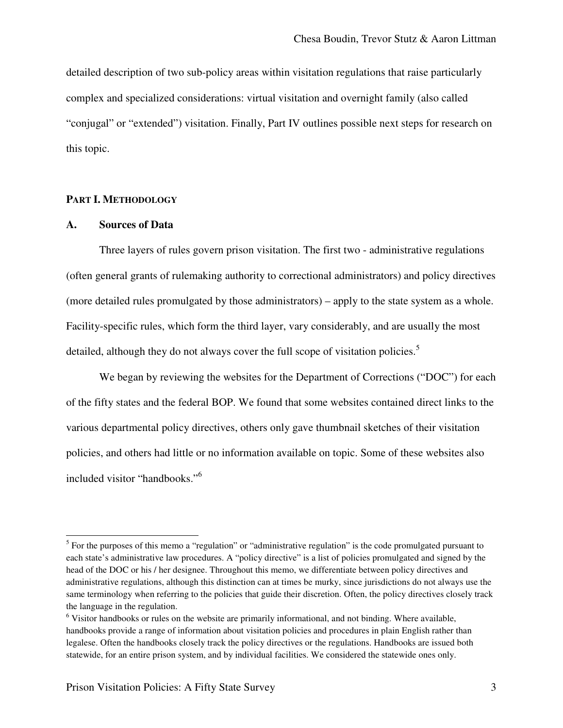detailed description of two sub-policy areas within visitation regulations that raise particularly complex and specialized considerations: virtual visitation and overnight family (also called "conjugal" or "extended") visitation. Finally, Part IV outlines possible next steps for research on this topic.

# **PART I. METHODOLOGY**

## **A. Sources of Data**

l

Three layers of rules govern prison visitation. The first two - administrative regulations (often general grants of rulemaking authority to correctional administrators) and policy directives (more detailed rules promulgated by those administrators) – apply to the state system as a whole. Facility-specific rules, which form the third layer, vary considerably, and are usually the most detailed, although they do not always cover the full scope of visitation policies.<sup>5</sup>

We began by reviewing the websites for the Department of Corrections ("DOC") for each of the fifty states and the federal BOP. We found that some websites contained direct links to the various departmental policy directives, others only gave thumbnail sketches of their visitation policies, and others had little or no information available on topic. Some of these websites also included visitor "handbooks."<sup>6</sup>

 $<sup>5</sup>$  For the purposes of this memo a "regulation" or "administrative regulation" is the code promulgated pursuant to</sup> each state's administrative law procedures. A "policy directive" is a list of policies promulgated and signed by the head of the DOC or his / her designee. Throughout this memo, we differentiate between policy directives and administrative regulations, although this distinction can at times be murky, since jurisdictions do not always use the same terminology when referring to the policies that guide their discretion. Often, the policy directives closely track the language in the regulation.

<sup>&</sup>lt;sup>6</sup> Visitor handbooks or rules on the website are primarily informational, and not binding. Where available, handbooks provide a range of information about visitation policies and procedures in plain English rather than legalese. Often the handbooks closely track the policy directives or the regulations. Handbooks are issued both statewide, for an entire prison system, and by individual facilities. We considered the statewide ones only.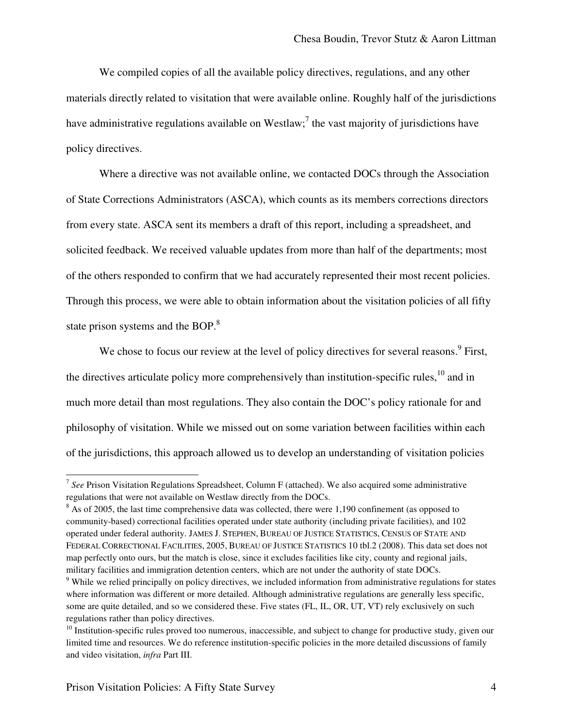We compiled copies of all the available policy directives, regulations, and any other materials directly related to visitation that were available online. Roughly half of the jurisdictions have administrative regulations available on Westlaw;<sup>7</sup> the vast majority of jurisdictions have policy directives.

Where a directive was not available online, we contacted DOCs through the Association of State Corrections Administrators (ASCA), which counts as its members corrections directors from every state. ASCA sent its members a draft of this report, including a spreadsheet, and solicited feedback. We received valuable updates from more than half of the departments; most of the others responded to confirm that we had accurately represented their most recent policies. Through this process, we were able to obtain information about the visitation policies of all fifty state prison systems and the BOP.<sup>8</sup>

We chose to focus our review at the level of policy directives for several reasons.<sup>9</sup> First, the directives articulate policy more comprehensively than institution-specific rules,  $^{10}$  and in much more detail than most regulations. They also contain the DOC's policy rationale for and philosophy of visitation. While we missed out on some variation between facilities within each of the jurisdictions, this approach allowed us to develop an understanding of visitation policies

<sup>7</sup> *See* Prison Visitation Regulations Spreadsheet, Column F (attached). We also acquired some administrative regulations that were not available on Westlaw directly from the DOCs.

 $8$  As of 2005, the last time comprehensive data was collected, there were 1,190 confinement (as opposed to community-based) correctional facilities operated under state authority (including private facilities), and 102 operated under federal authority. JAMES J. STEPHEN, BUREAU OF JUSTICE STATISTICS, CENSUS OF STATE AND FEDERAL CORRECTIONAL FACILITIES, 2005, BUREAU OF JUSTICE STATISTICS 10 tbl.2 (2008). This data set does not map perfectly onto ours, but the match is close, since it excludes facilities like city, county and regional jails, military facilities and immigration detention centers, which are not under the authority of state DOCs. 9

While we relied principally on policy directives, we included information from administrative regulations for states where information was different or more detailed. Although administrative regulations are generally less specific, some are quite detailed, and so we considered these. Five states (FL, IL, OR, UT, VT) rely exclusively on such regulations rather than policy directives.

 $10$  Institution-specific rules proved too numerous, inaccessible, and subject to change for productive study, given our limited time and resources. We do reference institution-specific policies in the more detailed discussions of family and video visitation, *infra* Part III.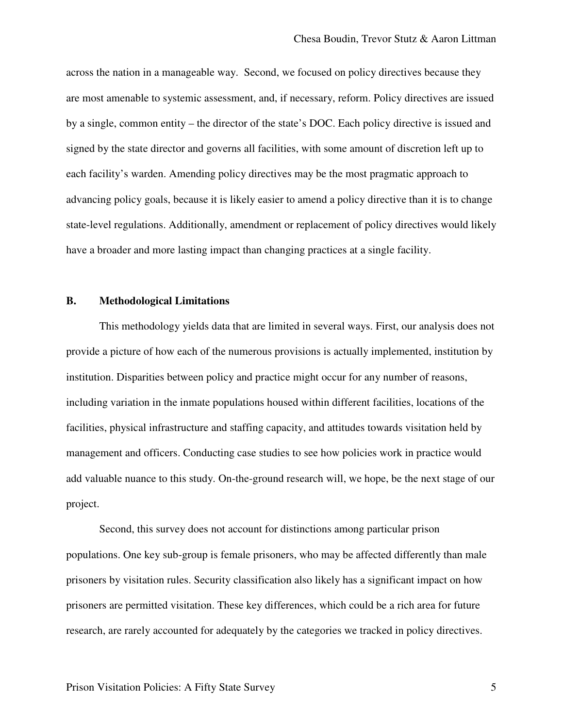across the nation in a manageable way. Second, we focused on policy directives because they are most amenable to systemic assessment, and, if necessary, reform. Policy directives are issued by a single, common entity – the director of the state's DOC. Each policy directive is issued and signed by the state director and governs all facilities, with some amount of discretion left up to each facility's warden. Amending policy directives may be the most pragmatic approach to advancing policy goals, because it is likely easier to amend a policy directive than it is to change state-level regulations. Additionally, amendment or replacement of policy directives would likely have a broader and more lasting impact than changing practices at a single facility.

# **B. Methodological Limitations**

This methodology yields data that are limited in several ways. First, our analysis does not provide a picture of how each of the numerous provisions is actually implemented, institution by institution. Disparities between policy and practice might occur for any number of reasons, including variation in the inmate populations housed within different facilities, locations of the facilities, physical infrastructure and staffing capacity, and attitudes towards visitation held by management and officers. Conducting case studies to see how policies work in practice would add valuable nuance to this study. On-the-ground research will, we hope, be the next stage of our project.

Second, this survey does not account for distinctions among particular prison populations. One key sub-group is female prisoners, who may be affected differently than male prisoners by visitation rules. Security classification also likely has a significant impact on how prisoners are permitted visitation. These key differences, which could be a rich area for future research, are rarely accounted for adequately by the categories we tracked in policy directives.

## Prison Visitation Policies: A Fifty State Survey 5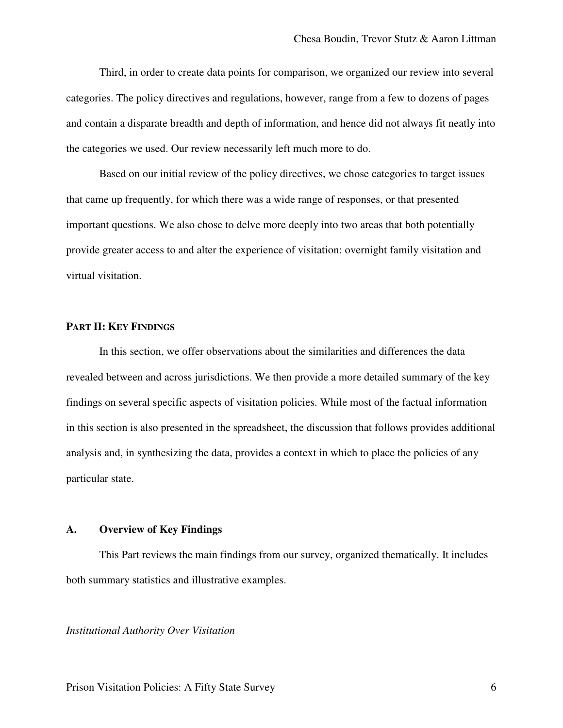Third, in order to create data points for comparison, we organized our review into several categories. The policy directives and regulations, however, range from a few to dozens of pages and contain a disparate breadth and depth of information, and hence did not always fit neatly into the categories we used. Our review necessarily left much more to do.

Based on our initial review of the policy directives, we chose categories to target issues that came up frequently, for which there was a wide range of responses, or that presented important questions. We also chose to delve more deeply into two areas that both potentially provide greater access to and alter the experience of visitation: overnight family visitation and virtual visitation.

## **PART II: KEY FINDINGS**

 In this section, we offer observations about the similarities and differences the data revealed between and across jurisdictions. We then provide a more detailed summary of the key findings on several specific aspects of visitation policies. While most of the factual information in this section is also presented in the spreadsheet, the discussion that follows provides additional analysis and, in synthesizing the data, provides a context in which to place the policies of any particular state.

## **A. Overview of Key Findings**

This Part reviews the main findings from our survey, organized thematically. It includes both summary statistics and illustrative examples.

#### *Institutional Authority Over Visitation*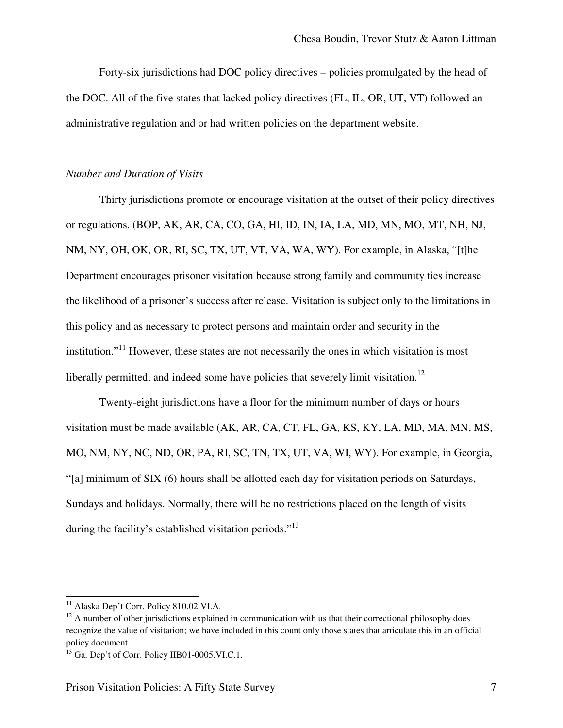Forty-six jurisdictions had DOC policy directives – policies promulgated by the head of the DOC. All of the five states that lacked policy directives (FL, IL, OR, UT, VT) followed an administrative regulation and or had written policies on the department website.

## *Number and Duration of Visits*

 Thirty jurisdictions promote or encourage visitation at the outset of their policy directives or regulations. (BOP, AK, AR, CA, CO, GA, HI, ID, IN, IA, LA, MD, MN, MO, MT, NH, NJ, NM, NY, OH, OK, OR, RI, SC, TX, UT, VT, VA, WA, WY). For example, in Alaska, "[t]he Department encourages prisoner visitation because strong family and community ties increase the likelihood of a prisoner's success after release. Visitation is subject only to the limitations in this policy and as necessary to protect persons and maintain order and security in the institution."<sup>11</sup> However, these states are not necessarily the ones in which visitation is most liberally permitted, and indeed some have policies that severely limit visitation.<sup>12</sup>

Twenty-eight jurisdictions have a floor for the minimum number of days or hours visitation must be made available (AK, AR, CA, CT, FL, GA, KS, KY, LA, MD, MA, MN, MS, MO, NM, NY, NC, ND, OR, PA, RI, SC, TN, TX, UT, VA, WI, WY). For example, in Georgia, "[a] minimum of SIX (6) hours shall be allotted each day for visitation periods on Saturdays, Sundays and holidays. Normally, there will be no restrictions placed on the length of visits during the facility's established visitation periods."<sup>13</sup>

<sup>&</sup>lt;sup>11</sup> Alaska Dep't Corr. Policy 810.02 VI.A.

<sup>&</sup>lt;sup>12</sup> A number of other jurisdictions explained in communication with us that their correctional philosophy does recognize the value of visitation; we have included in this count only those states that articulate this in an official policy document.

<sup>&</sup>lt;sup>13</sup> Ga. Dep't of Corr. Policy IIB01-0005.VI.C.1.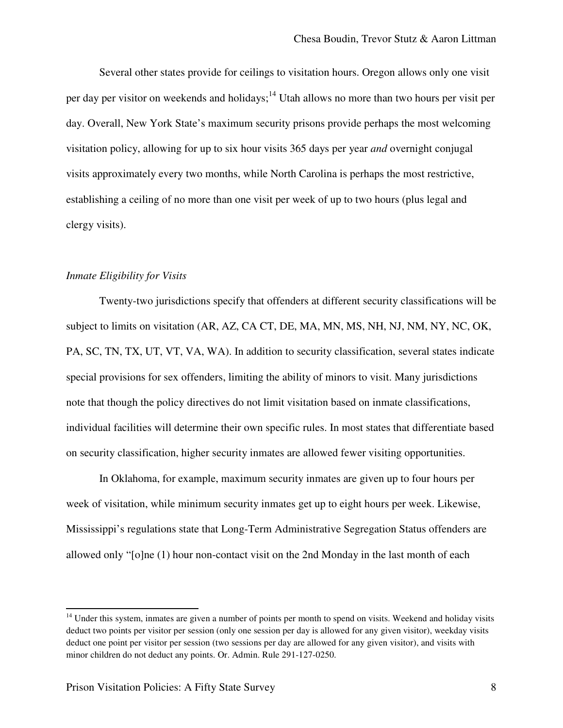Several other states provide for ceilings to visitation hours. Oregon allows only one visit per day per visitor on weekends and holidays;<sup>14</sup> Utah allows no more than two hours per visit per day. Overall, New York State's maximum security prisons provide perhaps the most welcoming visitation policy, allowing for up to six hour visits 365 days per year *and* overnight conjugal visits approximately every two months, while North Carolina is perhaps the most restrictive, establishing a ceiling of no more than one visit per week of up to two hours (plus legal and clergy visits).

## *Inmate Eligibility for Visits*

Twenty-two jurisdictions specify that offenders at different security classifications will be subject to limits on visitation (AR, AZ, CA CT, DE, MA, MN, MS, NH, NJ, NM, NY, NC, OK, PA, SC, TN, TX, UT, VT, VA, WA). In addition to security classification, several states indicate special provisions for sex offenders, limiting the ability of minors to visit. Many jurisdictions note that though the policy directives do not limit visitation based on inmate classifications, individual facilities will determine their own specific rules. In most states that differentiate based on security classification, higher security inmates are allowed fewer visiting opportunities.

In Oklahoma, for example, maximum security inmates are given up to four hours per week of visitation, while minimum security inmates get up to eight hours per week. Likewise, Mississippi's regulations state that Long-Term Administrative Segregation Status offenders are allowed only "[o]ne (1) hour non-contact visit on the 2nd Monday in the last month of each

<sup>&</sup>lt;sup>14</sup> Under this system, inmates are given a number of points per month to spend on visits. Weekend and holiday visits deduct two points per visitor per session (only one session per day is allowed for any given visitor), weekday visits deduct one point per visitor per session (two sessions per day are allowed for any given visitor), and visits with minor children do not deduct any points. Or. Admin. Rule 291-127-0250.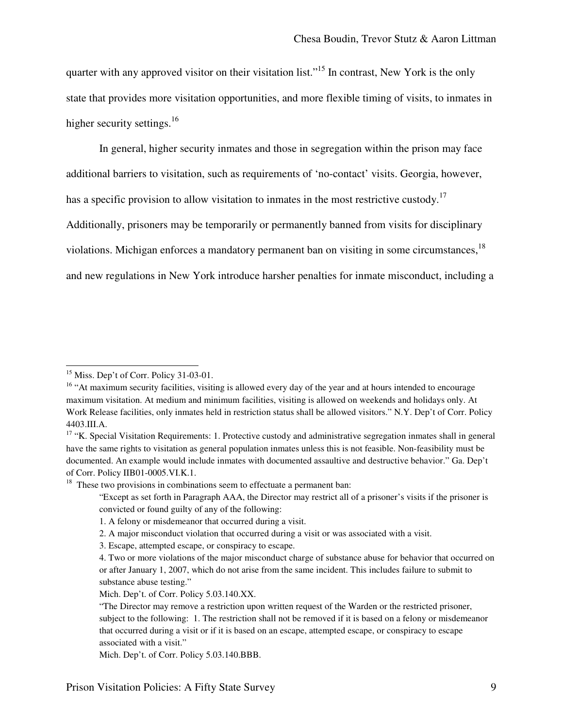quarter with any approved visitor on their visitation list."<sup>15</sup> In contrast, New York is the only state that provides more visitation opportunities, and more flexible timing of visits, to inmates in higher security settings.<sup>16</sup>

In general, higher security inmates and those in segregation within the prison may face additional barriers to visitation, such as requirements of 'no-contact' visits. Georgia, however, has a specific provision to allow visitation to inmates in the most restrictive custody.<sup>17</sup>

Additionally, prisoners may be temporarily or permanently banned from visits for disciplinary

violations. Michigan enforces a mandatory permanent ban on visiting in some circumstances.<sup>18</sup>

and new regulations in New York introduce harsher penalties for inmate misconduct, including a

<sup>&</sup>lt;sup>15</sup> Miss. Dep't of Corr. Policy 31-03-01.

<sup>&</sup>lt;sup>16</sup> "At maximum security facilities, visiting is allowed every day of the year and at hours intended to encourage maximum visitation. At medium and minimum facilities, visiting is allowed on weekends and holidays only. At Work Release facilities, only inmates held in restriction status shall be allowed visitors." N.Y. Dep't of Corr. Policy 4403.III.A.

<sup>&</sup>lt;sup>17</sup> "K. Special Visitation Requirements: 1. Protective custody and administrative segregation inmates shall in general have the same rights to visitation as general population inmates unless this is not feasible. Non-feasibility must be documented. An example would include inmates with documented assaultive and destructive behavior." Ga. Dep't of Corr. Policy IIB01-0005.VI.K.1.

 $18$  These two provisions in combinations seem to effectuate a permanent ban:

<sup>&</sup>quot;Except as set forth in Paragraph AAA, the Director may restrict all of a prisoner's visits if the prisoner is convicted or found guilty of any of the following:

<sup>1.</sup> A felony or misdemeanor that occurred during a visit.

<sup>2.</sup> A major misconduct violation that occurred during a visit or was associated with a visit.

<sup>3.</sup> Escape, attempted escape, or conspiracy to escape.

<sup>4.</sup> Two or more violations of the major misconduct charge of substance abuse for behavior that occurred on or after January 1, 2007, which do not arise from the same incident. This includes failure to submit to substance abuse testing."

Mich. Dep't. of Corr. Policy 5.03.140.XX.

<sup>&</sup>quot;The Director may remove a restriction upon written request of the Warden or the restricted prisoner, subject to the following: 1. The restriction shall not be removed if it is based on a felony or misdemeanor that occurred during a visit or if it is based on an escape, attempted escape, or conspiracy to escape associated with a visit."

Mich. Dep't. of Corr. Policy 5.03.140.BBB.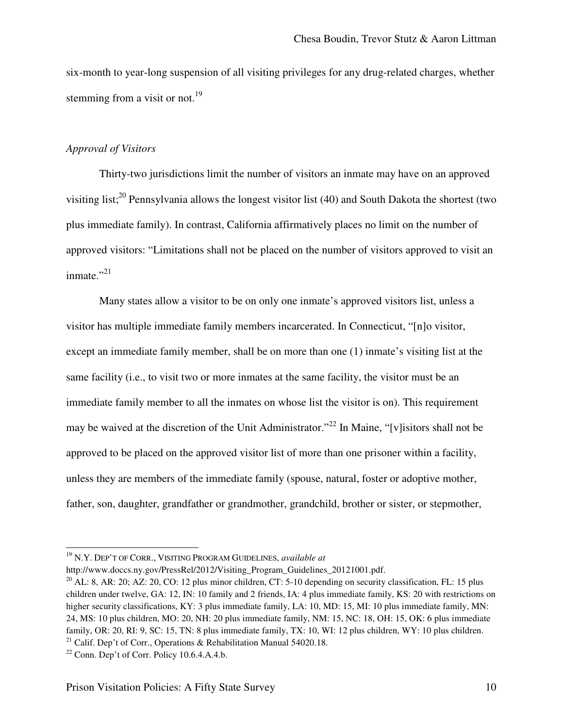six-month to year-long suspension of all visiting privileges for any drug-related charges, whether stemming from a visit or not.<sup>19</sup>

# *Approval of Visitors*

Thirty-two jurisdictions limit the number of visitors an inmate may have on an approved visiting list;20 Pennsylvania allows the longest visitor list (40) and South Dakota the shortest (two plus immediate family). In contrast, California affirmatively places no limit on the number of approved visitors: "Limitations shall not be placed on the number of visitors approved to visit an  $immate.$ <sup>21</sup>

Many states allow a visitor to be on only one inmate's approved visitors list, unless a visitor has multiple immediate family members incarcerated. In Connecticut, "[n]o visitor, except an immediate family member, shall be on more than one (1) inmate's visiting list at the same facility (i.e., to visit two or more inmates at the same facility, the visitor must be an immediate family member to all the inmates on whose list the visitor is on). This requirement may be waived at the discretion of the Unit Administrator."<sup>22</sup> In Maine, "[v]isitors shall not be approved to be placed on the approved visitor list of more than one prisoner within a facility, unless they are members of the immediate family (spouse, natural, foster or adoptive mother, father, son, daughter, grandfather or grandmother, grandchild, brother or sister, or stepmother,

<sup>19</sup> N.Y. DEP'T OF CORR., VISITING PROGRAM GUIDELINES, *available at*

http://www.doccs.ny.gov/PressRel/2012/Visiting\_Program\_Guidelines\_20121001.pdf.<br><sup>20</sup> AL: 8, AR: 20; AZ: 20, CO: 12 plus minor children, CT: 5-10 depending on security classification, FL: 15 plus children under twelve, GA: 12, IN: 10 family and 2 friends, IA: 4 plus immediate family, KS: 20 with restrictions on higher security classifications, KY: 3 plus immediate family, LA: 10, MD: 15, MI: 10 plus immediate family, MN: 24, MS: 10 plus children, MO: 20, NH: 20 plus immediate family, NM: 15, NC: 18, OH: 15, OK: 6 plus immediate family, OR: 20, RI: 9, SC: 15, TN: 8 plus immediate family, TX: 10, WI: 12 plus children, WY: 10 plus children.<br><sup>21</sup> Calif. Dep't of Corr., Operations & Rehabilitation Manual 54020.18.<br><sup>22</sup> Conn. Dep't of Corr. Policy 10.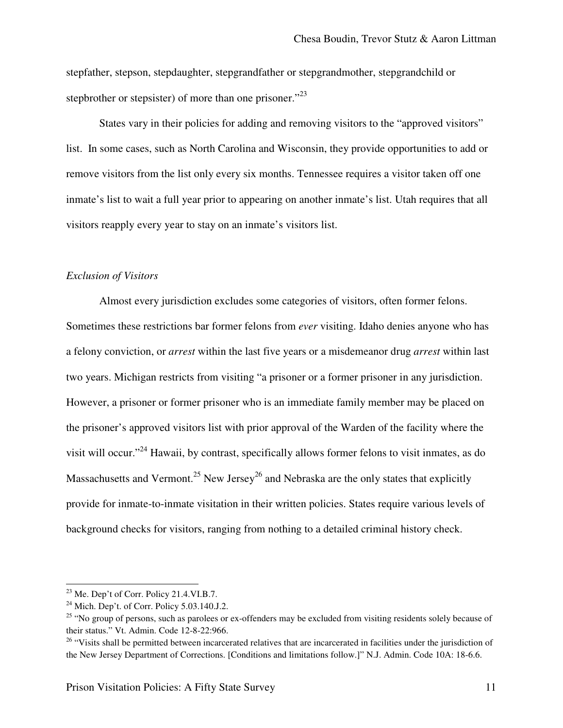stepfather, stepson, stepdaughter, stepgrandfather or stepgrandmother, stepgrandchild or stepbrother or stepsister) of more than one prisoner."<sup>23</sup>

States vary in their policies for adding and removing visitors to the "approved visitors" list. In some cases, such as North Carolina and Wisconsin, they provide opportunities to add or remove visitors from the list only every six months. Tennessee requires a visitor taken off one inmate's list to wait a full year prior to appearing on another inmate's list. Utah requires that all visitors reapply every year to stay on an inmate's visitors list.

# *Exclusion of Visitors*

Almost every jurisdiction excludes some categories of visitors, often former felons. Sometimes these restrictions bar former felons from *ever* visiting. Idaho denies anyone who has a felony conviction, or *arrest* within the last five years or a misdemeanor drug *arrest* within last two years. Michigan restricts from visiting "a prisoner or a former prisoner in any jurisdiction. However, a prisoner or former prisoner who is an immediate family member may be placed on the prisoner's approved visitors list with prior approval of the Warden of the facility where the visit will occur."24 Hawaii, by contrast, specifically allows former felons to visit inmates, as do Massachusetts and Vermont.<sup>25</sup> New Jersey<sup>26</sup> and Nebraska are the only states that explicitly provide for inmate-to-inmate visitation in their written policies. States require various levels of background checks for visitors, ranging from nothing to a detailed criminal history check.

 $23$  Me. Dep't of Corr. Policy 21.4.VI.B.7.

 $^{24}$  Mich. Dep't. of Corr. Policy 5.03.140.J.2.

<sup>&</sup>lt;sup>25</sup> "No group of persons, such as parolees or ex-offenders may be excluded from visiting residents solely because of their status." Vt. Admin. Code 12-8-22:966.

<sup>&</sup>lt;sup>26</sup> "Visits shall be permitted between incarcerated relatives that are incarcerated in facilities under the jurisdiction of the New Jersey Department of Corrections. [Conditions and limitations follow.]" N.J. Admin. Code 10A: 18-6.6.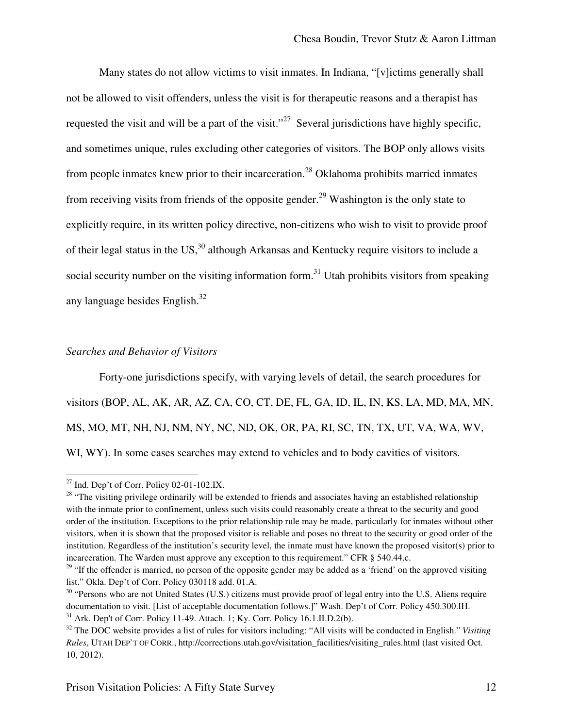Many states do not allow victims to visit inmates. In Indiana, "[v]ictims generally shall not be allowed to visit offenders, unless the visit is for therapeutic reasons and a therapist has requested the visit and will be a part of the visit."<sup>27</sup> Several jurisdictions have highly specific, and sometimes unique, rules excluding other categories of visitors. The BOP only allows visits from people inmates knew prior to their incarceration.<sup>28</sup> Oklahoma prohibits married inmates from receiving visits from friends of the opposite gender.<sup>29</sup> Washington is the only state to explicitly require, in its written policy directive, non-citizens who wish to visit to provide proof of their legal status in the US,<sup>30</sup> although Arkansas and Kentucky require visitors to include a social security number on the visiting information form.<sup>31</sup> Utah prohibits visitors from speaking any language besides English. $^{32}$ 

# *Searches and Behavior of Visitors*

Forty-one jurisdictions specify, with varying levels of detail, the search procedures for visitors (BOP, AL, AK, AR, AZ, CA, CO, CT, DE, FL, GA, ID, IL, IN, KS, LA, MD, MA, MN, MS, MO, MT, NH, NJ, NM, NY, NC, ND, OK, OR, PA, RI, SC, TN, TX, UT, VA, WA, WV, WI, WY). In some cases searches may extend to vehicles and to body cavities of visitors.

 $^{27}$  Ind. Dep't of Corr. Policy 02-01-102.IX.

<sup>&</sup>lt;sup>28</sup> "The visiting privilege ordinarily will be extended to friends and associates having an established relationship with the inmate prior to confinement, unless such visits could reasonably create a threat to the security and good order of the institution. Exceptions to the prior relationship rule may be made, particularly for inmates without other visitors, when it is shown that the proposed visitor is reliable and poses no threat to the security or good order of the institution. Regardless of the institution's security level, the inmate must have known the proposed visitor(s) prior to incarceration. The Warden must approve any exception to this requirement." CFR § 540.44.c.

<sup>&</sup>lt;sup>29</sup> "If the offender is married, no person of the opposite gender may be added as a 'friend' on the approved visiting list." Okla. Dep't of Corr. Policy 030118 add. 01.A.<br><sup>30</sup> "Persons who are not United States (U.S.) citizens must provide proof of legal entry into the U.S. Aliens require

documentation to visit. [List of acceptable documentation follows.]" Wash. Dep't of Corr. Policy 450.300.IH.<br><sup>31</sup> Ark. Dep't of Corr. Policy 11-49. Attach. 1; Ky. Corr. Policy 16.1.II.D.2(b).<br><sup>32</sup> The DOC website provides

*Rules*, UTAH DEP'T OF CORR., http://corrections.utah.gov/visitation\_facilities/visiting\_rules.html (last visited Oct. 10, 2012).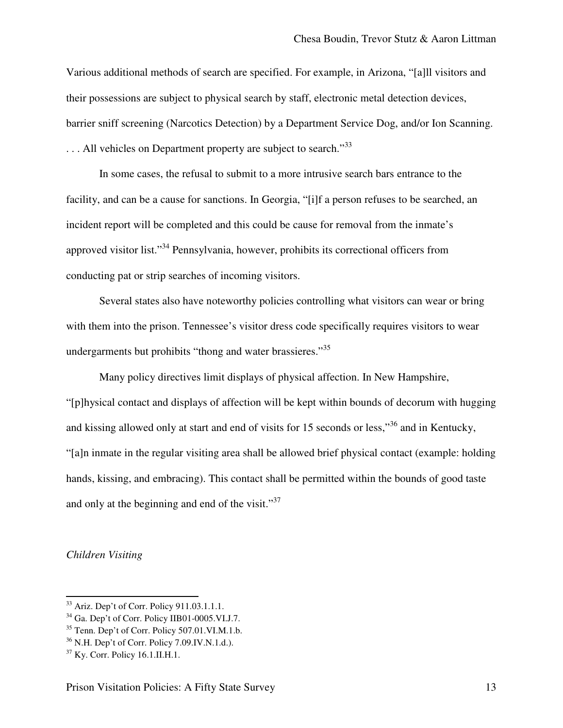Various additional methods of search are specified. For example, in Arizona, "[a]ll visitors and their possessions are subject to physical search by staff, electronic metal detection devices, barrier sniff screening (Narcotics Detection) by a Department Service Dog, and/or Ion Scanning. ... All vehicles on Department property are subject to search."<sup>33</sup>

In some cases, the refusal to submit to a more intrusive search bars entrance to the facility, and can be a cause for sanctions. In Georgia, "[i]f a person refuses to be searched, an incident report will be completed and this could be cause for removal from the inmate's approved visitor list."<sup>34</sup> Pennsylvania, however, prohibits its correctional officers from conducting pat or strip searches of incoming visitors.

Several states also have noteworthy policies controlling what visitors can wear or bring with them into the prison. Tennessee's visitor dress code specifically requires visitors to wear undergarments but prohibits "thong and water brassieres."<sup>35</sup>

Many policy directives limit displays of physical affection. In New Hampshire, "[p]hysical contact and displays of affection will be kept within bounds of decorum with hugging and kissing allowed only at start and end of visits for 15 seconds or less,"<sup>36</sup> and in Kentucky, "[a]n inmate in the regular visiting area shall be allowed brief physical contact (example: holding hands, kissing, and embracing). This contact shall be permitted within the bounds of good taste and only at the beginning and end of the visit. $\cdot^{37}$ 

#### *Children Visiting*

<sup>33</sup> Ariz. Dep't of Corr. Policy 911.03.1.1.1.

<sup>34</sup> Ga. Dep't of Corr. Policy IIB01-0005.VI.J.7.

<sup>35</sup> Tenn. Dep't of Corr. Policy 507.01.VI.M.1.b.

<sup>36</sup> N.H. Dep't of Corr. Policy 7.09.IV.N.1.d.).

<sup>37</sup> Ky. Corr. Policy 16.1.II.H.1.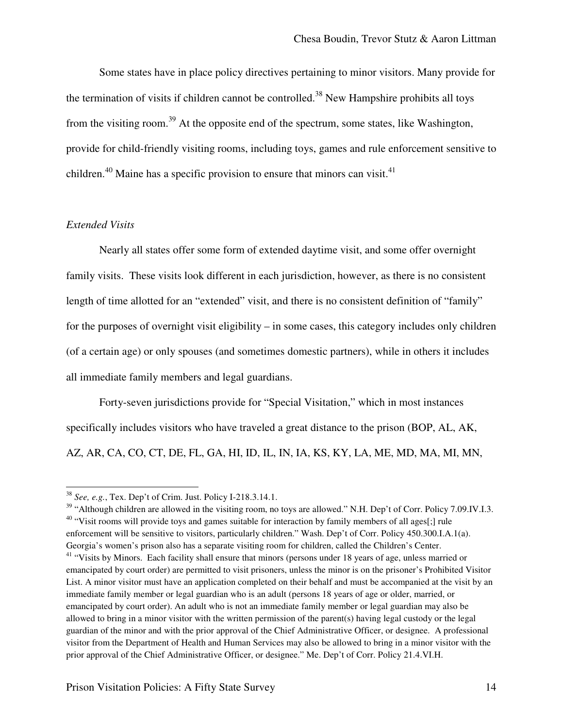Some states have in place policy directives pertaining to minor visitors. Many provide for the termination of visits if children cannot be controlled.<sup>38</sup> New Hampshire prohibits all toys from the visiting room.39 At the opposite end of the spectrum, some states, like Washington, provide for child-friendly visiting rooms, including toys, games and rule enforcement sensitive to children.<sup>40</sup> Maine has a specific provision to ensure that minors can visit.<sup>41</sup>

## *Extended Visits*

l

Nearly all states offer some form of extended daytime visit, and some offer overnight family visits. These visits look different in each jurisdiction, however, as there is no consistent length of time allotted for an "extended" visit, and there is no consistent definition of "family" for the purposes of overnight visit eligibility – in some cases, this category includes only children (of a certain age) or only spouses (and sometimes domestic partners), while in others it includes all immediate family members and legal guardians.

Forty-seven jurisdictions provide for "Special Visitation," which in most instances specifically includes visitors who have traveled a great distance to the prison (BOP, AL, AK, AZ, AR, CA, CO, CT, DE, FL, GA, HI, ID, IL, IN, IA, KS, KY, LA, ME, MD, MA, MI, MN,

<sup>39</sup> "Although children are allowed in the visiting room, no toys are allowed." N.H. Dep't of Corr. Policy 7.09.IV.I.3.  $^{40}$  "Visit rooms will provide toys and games suitable for interaction by family members of all age enforcement will be sensitive to visitors, particularly children." Wash. Dep't of Corr. Policy 450.300.I.A.1(a). Georgia's women's prison also has a separate visiting room for children, called the Children's Center. <sup>41</sup> "Visits by Minors. Each facility shall ensure that minors (persons under 18 years of age, unless married or emancipated by court order) are permitted to visit prisoners, unless the minor is on the prisoner's Prohibited Visitor List. A minor visitor must have an application completed on their behalf and must be accompanied at the visit by an immediate family member or legal guardian who is an adult (persons 18 years of age or older, married, or emancipated by court order). An adult who is not an immediate family member or legal guardian may also be allowed to bring in a minor visitor with the written permission of the parent(s) having legal custody or the legal guardian of the minor and with the prior approval of the Chief Administrative Officer, or designee. A professional visitor from the Department of Health and Human Services may also be allowed to bring in a minor visitor with the prior approval of the Chief Administrative Officer, or designee." Me. Dep't of Corr. Policy 21.4.VI.H.

Prison Visitation Policies: A Fifty State Survey 14

<sup>38</sup> *See, e.g.*, Tex. Dep't of Crim. Just. Policy I-218.3.14.1.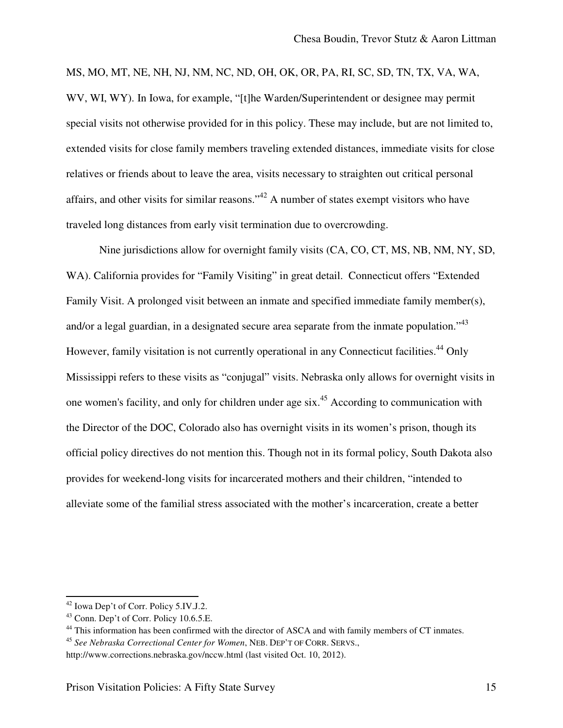MS, MO, MT, NE, NH, NJ, NM, NC, ND, OH, OK, OR, PA, RI, SC, SD, TN, TX, VA, WA, WV, WI, WY). In Iowa, for example, "[t]he Warden/Superintendent or designee may permit special visits not otherwise provided for in this policy. These may include, but are not limited to, extended visits for close family members traveling extended distances, immediate visits for close relatives or friends about to leave the area, visits necessary to straighten out critical personal affairs, and other visits for similar reasons."42 A number of states exempt visitors who have traveled long distances from early visit termination due to overcrowding.

Nine jurisdictions allow for overnight family visits (CA, CO, CT, MS, NB, NM, NY, SD, WA). California provides for "Family Visiting" in great detail. Connecticut offers "Extended Family Visit. A prolonged visit between an inmate and specified immediate family member(s), and/or a legal guardian, in a designated secure area separate from the inmate population.<sup>43</sup> However, family visitation is not currently operational in any Connecticut facilities.<sup>44</sup> Only Mississippi refers to these visits as "conjugal" visits. Nebraska only allows for overnight visits in one women's facility, and only for children under age six.<sup>45</sup> According to communication with the Director of the DOC, Colorado also has overnight visits in its women's prison, though its official policy directives do not mention this. Though not in its formal policy, South Dakota also provides for weekend-long visits for incarcerated mothers and their children, "intended to alleviate some of the familial stress associated with the mother's incarceration, create a better

<sup>42</sup> Iowa Dep't of Corr. Policy 5.IV.J.2.

<sup>&</sup>lt;sup>43</sup> Conn. Dep't of Corr. Policy 10.6.5.E.

<sup>&</sup>lt;sup>44</sup> This information has been confirmed with the director of ASCA and with family members of CT inmates.

<sup>45</sup> *See Nebraska Correctional Center for Women*, NEB. DEP'T OF CORR. SERVS.,

http://www.corrections.nebraska.gov/nccw.html (last visited Oct. 10, 2012).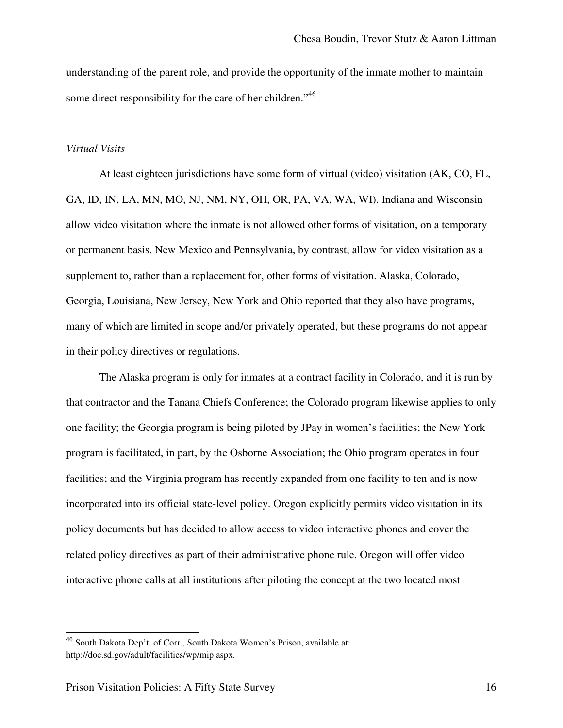understanding of the parent role, and provide the opportunity of the inmate mother to maintain some direct responsibility for the care of her children."<sup>46</sup>

#### *Virtual Visits*

At least eighteen jurisdictions have some form of virtual (video) visitation (AK, CO, FL, GA, ID, IN, LA, MN, MO, NJ, NM, NY, OH, OR, PA, VA, WA, WI). Indiana and Wisconsin allow video visitation where the inmate is not allowed other forms of visitation, on a temporary or permanent basis. New Mexico and Pennsylvania, by contrast, allow for video visitation as a supplement to, rather than a replacement for, other forms of visitation. Alaska, Colorado, Georgia, Louisiana, New Jersey, New York and Ohio reported that they also have programs, many of which are limited in scope and/or privately operated, but these programs do not appear in their policy directives or regulations.

The Alaska program is only for inmates at a contract facility in Colorado, and it is run by that contractor and the Tanana Chiefs Conference; the Colorado program likewise applies to only one facility; the Georgia program is being piloted by JPay in women's facilities; the New York program is facilitated, in part, by the Osborne Association; the Ohio program operates in four facilities; and the Virginia program has recently expanded from one facility to ten and is now incorporated into its official state-level policy. Oregon explicitly permits video visitation in its policy documents but has decided to allow access to video interactive phones and cover the related policy directives as part of their administrative phone rule. Oregon will offer video interactive phone calls at all institutions after piloting the concept at the two located most

<sup>&</sup>lt;sup>46</sup> South Dakota Dep't. of Corr., South Dakota Women's Prison, available at: http://doc.sd.gov/adult/facilities/wp/mip.aspx.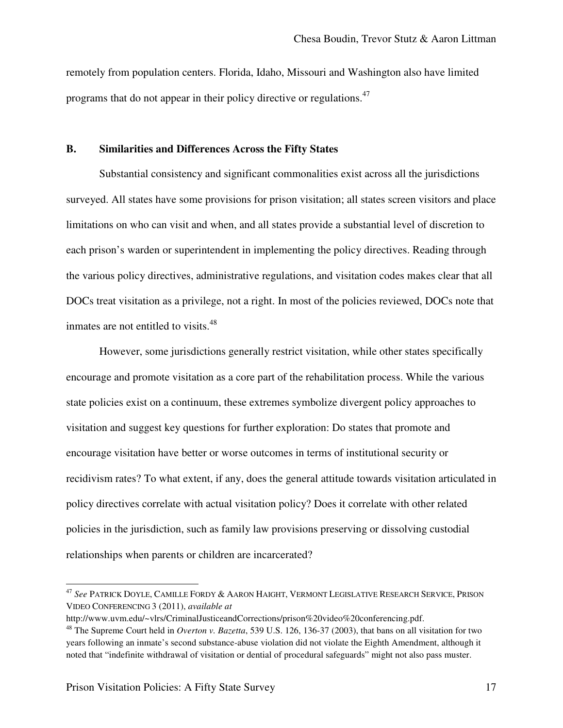remotely from population centers. Florida, Idaho, Missouri and Washington also have limited programs that do not appear in their policy directive or regulations.<sup>47</sup>

# **B. Similarities and Differences Across the Fifty States**

Substantial consistency and significant commonalities exist across all the jurisdictions surveyed. All states have some provisions for prison visitation; all states screen visitors and place limitations on who can visit and when, and all states provide a substantial level of discretion to each prison's warden or superintendent in implementing the policy directives. Reading through the various policy directives, administrative regulations, and visitation codes makes clear that all DOCs treat visitation as a privilege, not a right. In most of the policies reviewed, DOCs note that inmates are not entitled to visits.<sup>48</sup>

However, some jurisdictions generally restrict visitation, while other states specifically encourage and promote visitation as a core part of the rehabilitation process. While the various state policies exist on a continuum, these extremes symbolize divergent policy approaches to visitation and suggest key questions for further exploration: Do states that promote and encourage visitation have better or worse outcomes in terms of institutional security or recidivism rates? To what extent, if any, does the general attitude towards visitation articulated in policy directives correlate with actual visitation policy? Does it correlate with other related policies in the jurisdiction, such as family law provisions preserving or dissolving custodial relationships when parents or children are incarcerated?

<sup>47</sup> *See* PATRICK DOYLE, CAMILLE FORDY & AARON HAIGHT, VERMONT LEGISLATIVE RESEARCH SERVICE, PRISON VIDEO CONFERENCING 3 (2011), *available at*

http://www.uvm.edu/~vlrs/CriminalJusticeandCorrections/prison%20video%20conferencing.pdf. 48 The Supreme Court held in *Overton v. Bazetta*, 539 U.S. 126, 136-37 (2003), that bans on all visitation for two years following an inmate's second substance-abuse violation did not violate the Eighth Amendment, although it noted that "indefinite withdrawal of visitation or dential of procedural safeguards" might not also pass muster.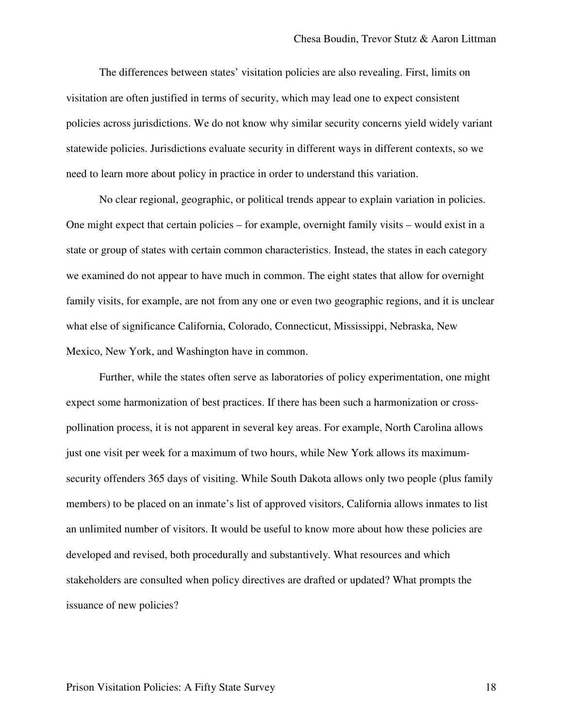The differences between states' visitation policies are also revealing. First, limits on visitation are often justified in terms of security, which may lead one to expect consistent policies across jurisdictions. We do not know why similar security concerns yield widely variant statewide policies. Jurisdictions evaluate security in different ways in different contexts, so we need to learn more about policy in practice in order to understand this variation.

No clear regional, geographic, or political trends appear to explain variation in policies. One might expect that certain policies – for example, overnight family visits – would exist in a state or group of states with certain common characteristics. Instead, the states in each category we examined do not appear to have much in common. The eight states that allow for overnight family visits, for example, are not from any one or even two geographic regions, and it is unclear what else of significance California, Colorado, Connecticut, Mississippi, Nebraska, New Mexico, New York, and Washington have in common.

Further, while the states often serve as laboratories of policy experimentation, one might expect some harmonization of best practices. If there has been such a harmonization or crosspollination process, it is not apparent in several key areas. For example, North Carolina allows just one visit per week for a maximum of two hours, while New York allows its maximumsecurity offenders 365 days of visiting. While South Dakota allows only two people (plus family members) to be placed on an inmate's list of approved visitors, California allows inmates to list an unlimited number of visitors. It would be useful to know more about how these policies are developed and revised, both procedurally and substantively. What resources and which stakeholders are consulted when policy directives are drafted or updated? What prompts the issuance of new policies?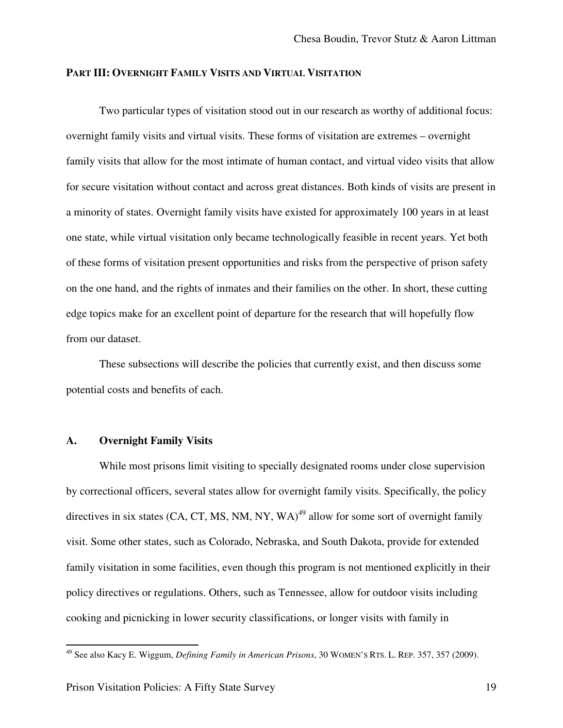### **PART III: OVERNIGHT FAMILY VISITS AND VIRTUAL VISITATION**

Two particular types of visitation stood out in our research as worthy of additional focus: overnight family visits and virtual visits. These forms of visitation are extremes – overnight family visits that allow for the most intimate of human contact, and virtual video visits that allow for secure visitation without contact and across great distances. Both kinds of visits are present in a minority of states. Overnight family visits have existed for approximately 100 years in at least one state, while virtual visitation only became technologically feasible in recent years. Yet both of these forms of visitation present opportunities and risks from the perspective of prison safety on the one hand, and the rights of inmates and their families on the other. In short, these cutting edge topics make for an excellent point of departure for the research that will hopefully flow from our dataset.

These subsections will describe the policies that currently exist, and then discuss some potential costs and benefits of each.

# **A. Overnight Family Visits**

ı

While most prisons limit visiting to specially designated rooms under close supervision by correctional officers, several states allow for overnight family visits. Specifically, the policy directives in six states (CA, CT, MS, NM, NY, WA)<sup>49</sup> allow for some sort of overnight family visit. Some other states, such as Colorado, Nebraska, and South Dakota, provide for extended family visitation in some facilities, even though this program is not mentioned explicitly in their policy directives or regulations. Others, such as Tennessee, allow for outdoor visits including cooking and picnicking in lower security classifications, or longer visits with family in

<sup>49</sup> See also Kacy E. Wiggum, *Defining Family in American Prisons*, 30 WOMEN'S RTS. L. REP. 357, 357 (2009).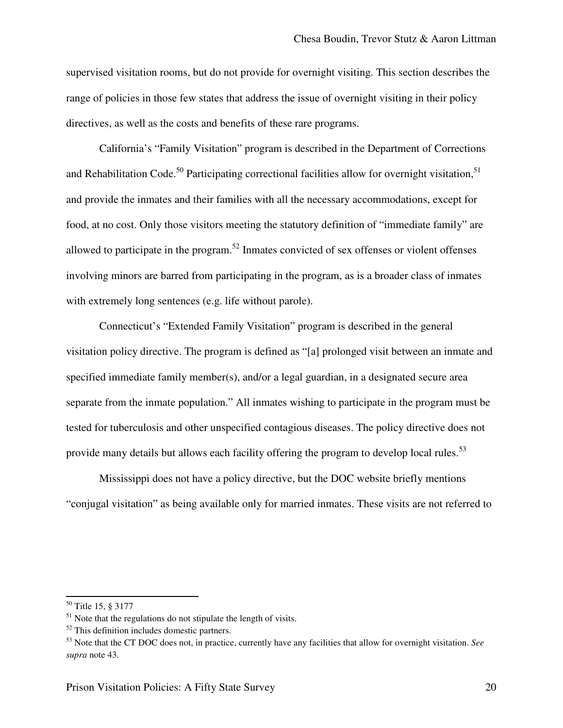supervised visitation rooms, but do not provide for overnight visiting. This section describes the range of policies in those few states that address the issue of overnight visiting in their policy directives, as well as the costs and benefits of these rare programs.

California's "Family Visitation" program is described in the Department of Corrections and Rehabilitation Code.<sup>50</sup> Participating correctional facilities allow for overnight visitation,  $51$ and provide the inmates and their families with all the necessary accommodations, except for food, at no cost. Only those visitors meeting the statutory definition of "immediate family" are allowed to participate in the program.<sup>52</sup> Inmates convicted of sex offenses or violent offenses involving minors are barred from participating in the program, as is a broader class of inmates with extremely long sentences (e.g. life without parole).

Connecticut's "Extended Family Visitation" program is described in the general visitation policy directive. The program is defined as "[a] prolonged visit between an inmate and specified immediate family member(s), and/or a legal guardian, in a designated secure area separate from the inmate population." All inmates wishing to participate in the program must be tested for tuberculosis and other unspecified contagious diseases. The policy directive does not provide many details but allows each facility offering the program to develop local rules.<sup>53</sup>

Mississippi does not have a policy directive, but the DOC website briefly mentions "conjugal visitation" as being available only for married inmates. These visits are not referred to

<sup>50</sup> Title 15, § 3177

 $<sup>51</sup>$  Note that the regulations do not stipulate the length of visits.</sup>

<sup>52</sup> This definition includes domestic partners.

<sup>53</sup> Note that the CT DOC does not, in practice, currently have any facilities that allow for overnight visitation. *See supra* note 43.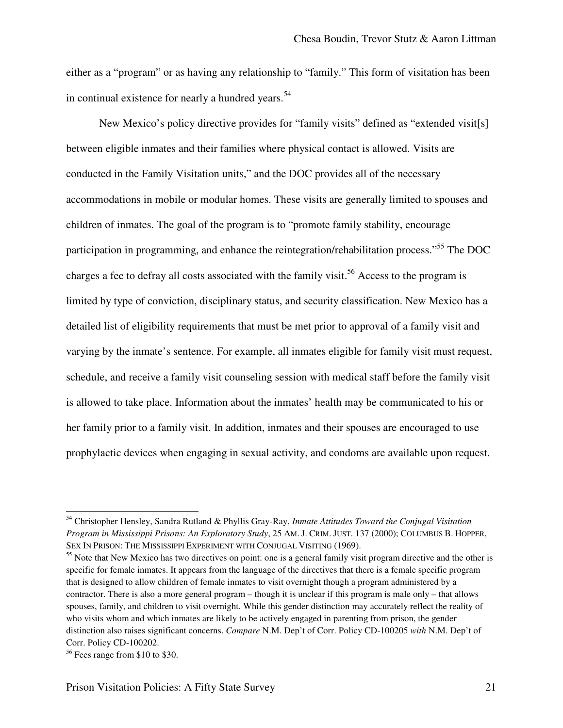either as a "program" or as having any relationship to "family." This form of visitation has been in continual existence for nearly a hundred years.<sup>54</sup>

New Mexico's policy directive provides for "family visits" defined as "extended visit[s] between eligible inmates and their families where physical contact is allowed. Visits are conducted in the Family Visitation units," and the DOC provides all of the necessary accommodations in mobile or modular homes. These visits are generally limited to spouses and children of inmates. The goal of the program is to "promote family stability, encourage participation in programming, and enhance the reintegration/rehabilitation process."<sup>55</sup> The DOC charges a fee to defray all costs associated with the family visit.<sup>56</sup> Access to the program is limited by type of conviction, disciplinary status, and security classification. New Mexico has a detailed list of eligibility requirements that must be met prior to approval of a family visit and varying by the inmate's sentence. For example, all inmates eligible for family visit must request, schedule, and receive a family visit counseling session with medical staff before the family visit is allowed to take place. Information about the inmates' health may be communicated to his or her family prior to a family visit. In addition, inmates and their spouses are encouraged to use prophylactic devices when engaging in sexual activity, and condoms are available upon request.

<sup>54</sup> Christopher Hensley, Sandra Rutland & Phyllis Gray-Ray, *Inmate Attitudes Toward the Conjugal Visitation Program in Mississippi Prisons: An Exploratory Study*, 25 AM. J. CRIM. JUST. 137 (2000); COLUMBUS B. HOPPER, SEX IN PRISON: THE MISSISSIPPI EXPERIMENT WITH CONJUGAL VISITING (1969).

<sup>&</sup>lt;sup>55</sup> Note that New Mexico has two directives on point: one is a general family visit program directive and the other is specific for female inmates. It appears from the language of the directives that there is a female specific program that is designed to allow children of female inmates to visit overnight though a program administered by a contractor. There is also a more general program – though it is unclear if this program is male only – that allows spouses, family, and children to visit overnight. While this gender distinction may accurately reflect the reality of who visits whom and which inmates are likely to be actively engaged in parenting from prison, the gender distinction also raises significant concerns. *Compare* N.M. Dep't of Corr. Policy CD-100205 *with* N.M. Dep't of Corr. Policy CD-100202.

<sup>56</sup> Fees range from \$10 to \$30.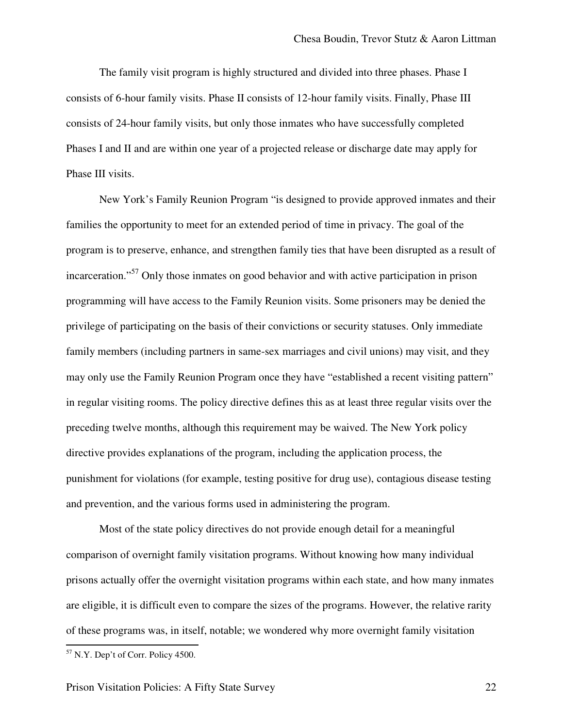The family visit program is highly structured and divided into three phases. Phase I consists of 6-hour family visits. Phase II consists of 12-hour family visits. Finally, Phase III consists of 24-hour family visits, but only those inmates who have successfully completed Phases I and II and are within one year of a projected release or discharge date may apply for Phase III visits.

New York's Family Reunion Program "is designed to provide approved inmates and their families the opportunity to meet for an extended period of time in privacy. The goal of the program is to preserve, enhance, and strengthen family ties that have been disrupted as a result of incarceration."57 Only those inmates on good behavior and with active participation in prison programming will have access to the Family Reunion visits. Some prisoners may be denied the privilege of participating on the basis of their convictions or security statuses. Only immediate family members (including partners in same-sex marriages and civil unions) may visit, and they may only use the Family Reunion Program once they have "established a recent visiting pattern" in regular visiting rooms. The policy directive defines this as at least three regular visits over the preceding twelve months, although this requirement may be waived. The New York policy directive provides explanations of the program, including the application process, the punishment for violations (for example, testing positive for drug use), contagious disease testing and prevention, and the various forms used in administering the program.

Most of the state policy directives do not provide enough detail for a meaningful comparison of overnight family visitation programs. Without knowing how many individual prisons actually offer the overnight visitation programs within each state, and how many inmates are eligible, it is difficult even to compare the sizes of the programs. However, the relative rarity of these programs was, in itself, notable; we wondered why more overnight family visitation

<sup>57</sup> N.Y. Dep't of Corr. Policy 4500.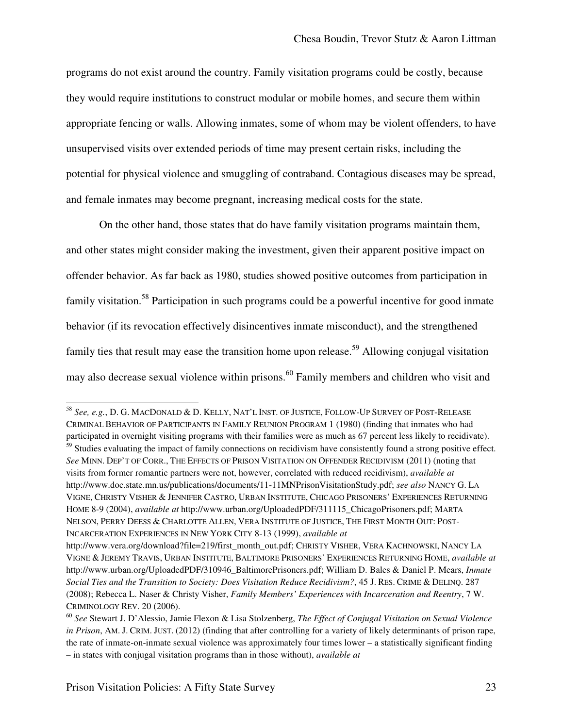programs do not exist around the country. Family visitation programs could be costly, because they would require institutions to construct modular or mobile homes, and secure them within appropriate fencing or walls. Allowing inmates, some of whom may be violent offenders, to have unsupervised visits over extended periods of time may present certain risks, including the potential for physical violence and smuggling of contraband. Contagious diseases may be spread, and female inmates may become pregnant, increasing medical costs for the state.

On the other hand, those states that do have family visitation programs maintain them, and other states might consider making the investment, given their apparent positive impact on offender behavior. As far back as 1980, studies showed positive outcomes from participation in family visitation.<sup>58</sup> Participation in such programs could be a powerful incentive for good inmate behavior (if its revocation effectively disincentives inmate misconduct), and the strengthened family ties that result may ease the transition home upon release.<sup>59</sup> Allowing conjugal visitation may also decrease sexual violence within prisons.<sup>60</sup> Family members and children who visit and

<sup>58</sup> *See, e.g.*, D. G. MACDONALD & D. KELLY, NAT'L INST. OF JUSTICE, FOLLOW-UP SURVEY OF POST-RELEASE CRIMINAL BEHAVIOR OF PARTICIPANTS IN FAMILY REUNION PROGRAM 1 (1980) (finding that inmates who had participated in overnight visiting programs with their families were as much as 67 percent less likely to recidivate).  $59$  Studies evaluating the impact of family connections on recidivism have consistently found a strong positive effect. *See* MINN. DEP'T OF CORR., THE EFFECTS OF PRISON VISITATION ON OFFENDER RECIDIVISM (2011) (noting that visits from former romantic partners were not, however, correlated with reduced recidivism), *available at* http://www.doc.state.mn.us/publications/documents/11-11MNPrisonVisitationStudy.pdf; *see also* NANCY G. LA VIGNE, CHRISTY VISHER & JENNIFER CASTRO, URBAN INSTITUTE, CHICAGO PRISONERS' EXPERIENCES RETURNING HOME 8-9 (2004), *available at* http://www.urban.org/UploadedPDF/311115\_ChicagoPrisoners.pdf; MARTA NELSON, PERRY DEESS & CHARLOTTE ALLEN, VERA INSTITUTE OF JUSTICE, THE FIRST MONTH OUT: POST-INCARCERATION EXPERIENCES IN NEW YORK CITY 8-13 (1999), *available at*

http://www.vera.org/download?file=219/first\_month\_out.pdf; CHRISTY VISHER, VERA KACHNOWSKI, NANCY LA VIGNE & JEREMY TRAVIS, URBAN INSTITUTE, BALTIMORE PRISONERS' EXPERIENCES RETURNING HOME, *available at* http://www.urban.org/UploadedPDF/310946\_BaltimorePrisoners.pdf; William D. Bales & Daniel P. Mears, *Inmate Social Ties and the Transition to Society: Does Visitation Reduce Recidivism?*, 45 J. RES. CRIME & DELINQ. 287 (2008); Rebecca L. Naser & Christy Visher, *Family Members' Experiences with Incarceration and Reentry*, 7 W. CRIMINOLOGY REV. 20 (2006).

<sup>60</sup> *See* Stewart J. D'Alessio, Jamie Flexon & Lisa Stolzenberg, *The Effect of Conjugal Visitation on Sexual Violence in Prison*, AM. J. CRIM. JUST. (2012) (finding that after controlling for a variety of likely determinants of prison rape, the rate of inmate-on-inmate sexual violence was approximately four times lower – a statistically significant finding – in states with conjugal visitation programs than in those without), *available at*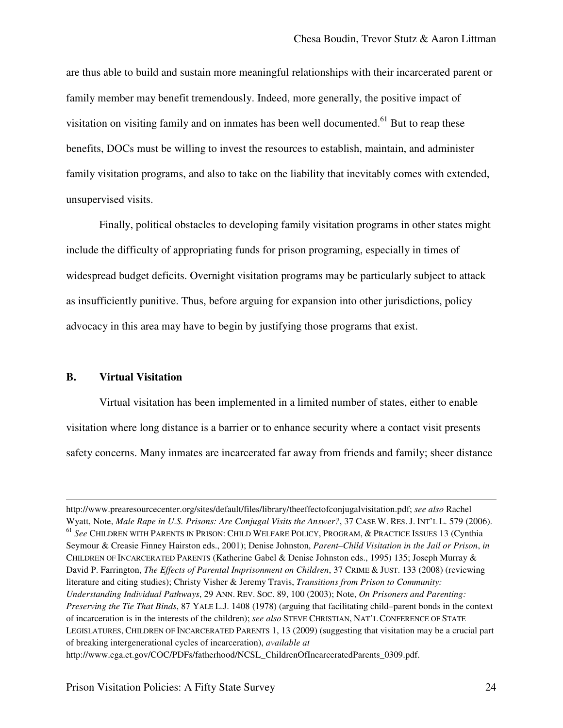are thus able to build and sustain more meaningful relationships with their incarcerated parent or family member may benefit tremendously. Indeed, more generally, the positive impact of visitation on visiting family and on inmates has been well documented.<sup>61</sup> But to reap these benefits, DOCs must be willing to invest the resources to establish, maintain, and administer family visitation programs, and also to take on the liability that inevitably comes with extended, unsupervised visits.

Finally, political obstacles to developing family visitation programs in other states might include the difficulty of appropriating funds for prison programing, especially in times of widespread budget deficits. Overnight visitation programs may be particularly subject to attack as insufficiently punitive. Thus, before arguing for expansion into other jurisdictions, policy advocacy in this area may have to begin by justifying those programs that exist.

# **B. Virtual Visitation**

 $\overline{a}$ 

Virtual visitation has been implemented in a limited number of states, either to enable visitation where long distance is a barrier or to enhance security where a contact visit presents safety concerns. Many inmates are incarcerated far away from friends and family; sheer distance

http://www.prearesourcecenter.org/sites/default/files/library/theeffectofconjugalvisitation.pdf; *see also* Rachel Wyatt, Note, *Male Rape in U.S. Prisons: Are Conjugal Visits the Answer?*, 37 CASE W. RES. J. INT'L L. 579 (2006). <sup>61</sup> *See* CHILDREN WITH PARENTS IN PRISON: CHILD WELFARE POLICY, PROGRAM, & PRACTICE ISSUES 13 (Cynthia Seymour & Creasie Finney Hairston eds., 2001); Denise Johnston, *Parent–Child Visitation in the Jail or Prison*, *in* CHILDREN OF INCARCERATED PARENTS (Katherine Gabel & Denise Johnston eds., 1995) 135; Joseph Murray & David P. Farrington, *The Effects of Parental Imprisonment on Children*, 37 CRIME & JUST. 133 (2008) (reviewing literature and citing studies); Christy Visher & Jeremy Travis, *Transitions from Prison to Community: Understanding Individual Pathways*, 29 ANN. REV. SOC. 89, 100 (2003); Note, *On Prisoners and Parenting: Preserving the Tie That Binds*, 87 YALE L.J. 1408 (1978) (arguing that facilitating child–parent bonds in the context of incarceration is in the interests of the children); *see also* STEVE CHRISTIAN, NAT'L CONFERENCE OF STATE LEGISLATURES, CHILDREN OF INCARCERATED PARENTS 1, 13 (2009) (suggesting that visitation may be a crucial part of breaking intergenerational cycles of incarceration), *available at* http://www.cga.ct.gov/COC/PDFs/fatherhood/NCSL\_ChildrenOfIncarceratedParents\_0309.pdf.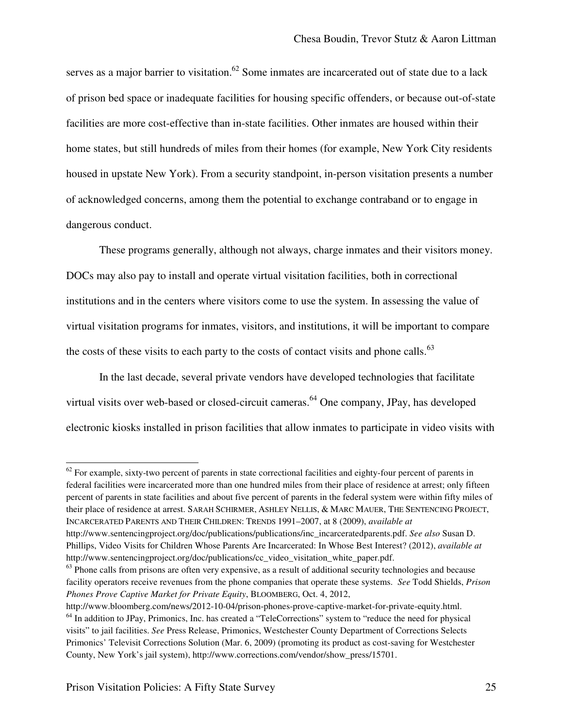serves as a major barrier to visitation.<sup>62</sup> Some inmates are incarcerated out of state due to a lack of prison bed space or inadequate facilities for housing specific offenders, or because out-of-state facilities are more cost-effective than in-state facilities. Other inmates are housed within their home states, but still hundreds of miles from their homes (for example, New York City residents housed in upstate New York). From a security standpoint, in-person visitation presents a number of acknowledged concerns, among them the potential to exchange contraband or to engage in dangerous conduct.

These programs generally, although not always, charge inmates and their visitors money. DOCs may also pay to install and operate virtual visitation facilities, both in correctional institutions and in the centers where visitors come to use the system. In assessing the value of virtual visitation programs for inmates, visitors, and institutions, it will be important to compare the costs of these visits to each party to the costs of contact visits and phone calls. $63$ 

In the last decade, several private vendors have developed technologies that facilitate virtual visits over web-based or closed-circuit cameras.<sup>64</sup> One company, JPay, has developed electronic kiosks installed in prison facilities that allow inmates to participate in video visits with

 $62$  For example, sixty-two percent of parents in state correctional facilities and eighty-four percent of parents in federal facilities were incarcerated more than one hundred miles from their place of residence at arrest; only fifteen percent of parents in state facilities and about five percent of parents in the federal system were within fifty miles of their place of residence at arrest. SARAH SCHIRMER, ASHLEY NELLIS, & MARC MAUER, THE SENTENCING PROJECT, INCARCERATED PARENTS AND THEIR CHILDREN: TRENDS 1991–2007, at 8 (2009), *available at* http://www.sentencingproject.org/doc/publications/publications/inc\_incarceratedparents.pdf. *See also* Susan D.

Phillips, Video Visits for Children Whose Parents Are Incarcerated: In Whose Best Interest? (2012), *available at* http://www.sentencingproject.org/doc/publications/cc\_video\_visitation\_white\_paper.pdf.

 $63$  Phone calls from prisons are often very expensive, as a result of additional security technologies and because facility operators receive revenues from the phone companies that operate these systems. *See* Todd Shields, *Prison Phones Prove Captive Market for Private Equity*, BLOOMBERG, Oct. 4, 2012,

http://www.bloomberg.com/news/2012-10-04/prison-phones-prove-captive-market-for-private-equity.html. <sup>64</sup> In addition to JPay, Primonics, Inc. has created a "TeleCorrections" system to "reduce the need for physical visits" to jail facilities. *See* Press Release, Primonics, Westchester County Department of Corrections Selects Primonics' Televisit Corrections Solution (Mar. 6, 2009) (promoting its product as cost-saving for Westchester County, New York's jail system), http://www.corrections.com/vendor/show\_press/15701.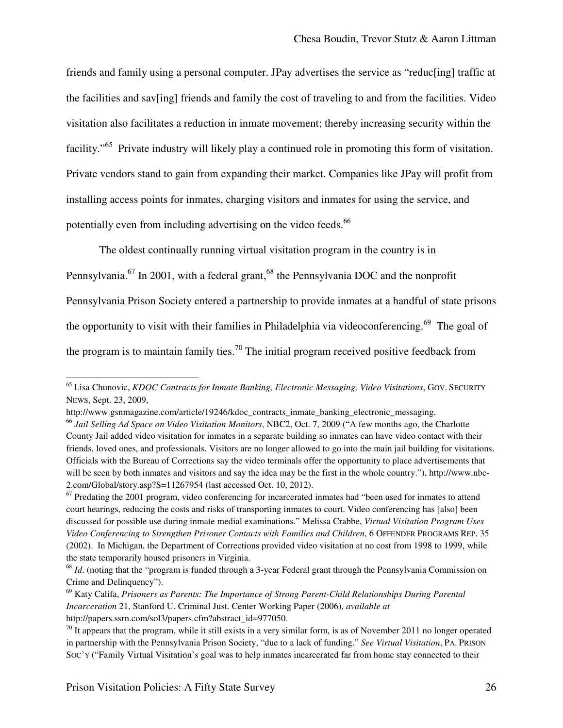friends and family using a personal computer. JPay advertises the service as "reduc[ing] traffic at the facilities and sav[ing] friends and family the cost of traveling to and from the facilities. Video visitation also facilitates a reduction in inmate movement; thereby increasing security within the facility."65 Private industry will likely play a continued role in promoting this form of visitation. Private vendors stand to gain from expanding their market. Companies like JPay will profit from installing access points for inmates, charging visitors and inmates for using the service, and potentially even from including advertising on the video feeds.<sup>66</sup>

The oldest continually running virtual visitation program in the country is in Pennsylvania.<sup>67</sup> In 2001, with a federal grant, <sup>68</sup> the Pennsylvania DOC and the nonprofit Pennsylvania Prison Society entered a partnership to provide inmates at a handful of state prisons the opportunity to visit with their families in Philadelphia via videoconferencing.<sup>69</sup> The goal of the program is to maintain family ties.<sup>70</sup> The initial program received positive feedback from

<sup>65</sup> Lisa Chunovic, *KDOC Contracts for Inmate Banking, Electronic Messaging, Video Visitations*, GOV. SECURITY NEWS, Sept. 23, 2009,

http://www.gsnmagazine.com/article/19246/kdoc\_contracts\_inmate\_banking\_electronic\_messaging.

<sup>66</sup> *Jail Selling Ad Space on Video Visitation Monitors*, NBC2, Oct. 7, 2009 ("A few months ago, the Charlotte County Jail added video visitation for inmates in a separate building so inmates can have video contact with their friends, loved ones, and professionals. Visitors are no longer allowed to go into the main jail building for visitations. Officials with the Bureau of Corrections say the video terminals offer the opportunity to place advertisements that will be seen by both inmates and visitors and say the idea may be the first in the whole country."), http://www.nbc-2.com/Global/story.asp?S=11267954 (last accessed Oct. 10, 2012).

 $67$  Predating the 2001 program, video conferencing for incarcerated inmates had "been used for inmates to attend court hearings, reducing the costs and risks of transporting inmates to court. Video conferencing has [also] been discussed for possible use during inmate medial examinations." Melissa Crabbe, *Virtual Visitation Program Uses Video Conferencing to Strengthen Prisoner Contacts with Families and Children*, 6 OFFENDER PROGRAMS REP. 35 (2002). In Michigan, the Department of Corrections provided video visitation at no cost from 1998 to 1999, while the state temporarily housed prisoners in Virginia.

<sup>68</sup> *Id*. (noting that the "program is funded through a 3-year Federal grant through the Pennsylvania Commission on Crime and Delinquency").

<sup>69</sup> Katy Califa, *Prisoners as Parents: The Importance of Strong Parent-Child Relationships During Parental Incarceration* 21, Stanford U. Criminal Just. Center Working Paper (2006), *available at* http://papers.ssrn.com/sol3/papers.cfm?abstract\_id=977050.<br><sup>70</sup> It appears that the program, while it still exists in a very similar form, is as of November 2011 no longer operated

in partnership with the Pennsylvania Prison Society, "due to a lack of funding." *See Virtual Visitation*, PA. PRISON SOC'Y ("Family Virtual Visitation's goal was to help inmates incarcerated far from home stay connected to their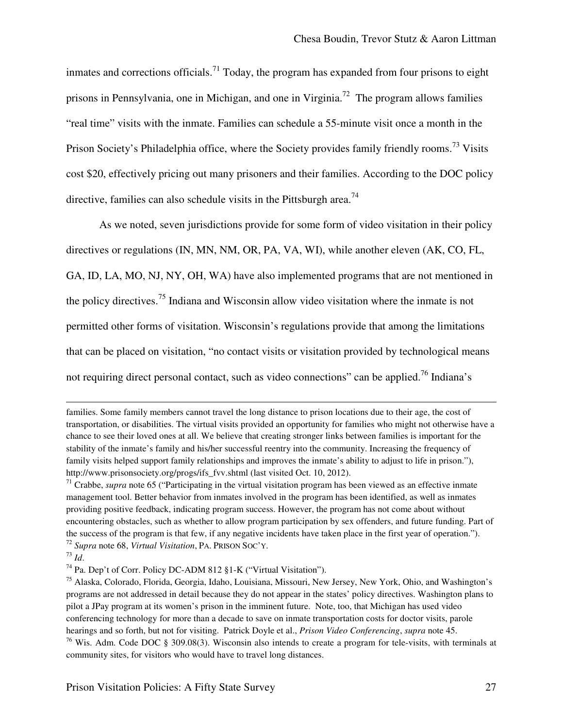inmates and corrections officials.<sup>71</sup> Today, the program has expanded from four prisons to eight prisons in Pennsylvania, one in Michigan, and one in Virginia.<sup>72</sup> The program allows families "real time" visits with the inmate. Families can schedule a 55-minute visit once a month in the Prison Society's Philadelphia office, where the Society provides family friendly rooms.<sup>73</sup> Visits cost \$20, effectively pricing out many prisoners and their families. According to the DOC policy directive, families can also schedule visits in the Pittsburgh area.<sup>74</sup>

As we noted, seven jurisdictions provide for some form of video visitation in their policy directives or regulations (IN, MN, NM, OR, PA, VA, WI), while another eleven (AK, CO, FL, GA, ID, LA, MO, NJ, NY, OH, WA) have also implemented programs that are not mentioned in the policy directives.75 Indiana and Wisconsin allow video visitation where the inmate is not permitted other forms of visitation. Wisconsin's regulations provide that among the limitations that can be placed on visitation, "no contact visits or visitation provided by technological means not requiring direct personal contact, such as video connections" can be applied.<sup>76</sup> Indiana's

 $\overline{a}$ 

families. Some family members cannot travel the long distance to prison locations due to their age, the cost of transportation, or disabilities. The virtual visits provided an opportunity for families who might not otherwise have a chance to see their loved ones at all. We believe that creating stronger links between families is important for the stability of the inmate's family and his/her successful reentry into the community. Increasing the frequency of family visits helped support family relationships and improves the inmate's ability to adjust to life in prison."), http://www.prisonsociety.org/progs/ifs\_fvv.shtml (last visited Oct. 10, 2012).<br><sup>71</sup> Crabbe, *supra* note 65 ("Participating in the virtual visitation program has been viewed as an effective inmate

management tool. Better behavior from inmates involved in the program has been identified, as well as inmates providing positive feedback, indicating program success. However, the program has not come about without encountering obstacles, such as whether to allow program participation by sex offenders, and future funding. Part of the success of the program is that few, if any negative incidents have taken place in the first year of operation.").<br>
<sup>72</sup> Supra note 68, *Virtual Visitation*, PA. PRISON SOC'Y.<br>
<sup>73</sup> Id.<br>
<sup>74</sup> Pa. Dep't of Corr. Policy

<sup>75</sup> Alaska, Colorado, Florida, Georgia, Idaho, Louisiana, Missouri, New Jersey, New York, Ohio, and Washington's programs are not addressed in detail because they do not appear in the states' policy directives. Washington plans to pilot a JPay program at its women's prison in the imminent future. Note, too, that Michigan has used video conferencing technology for more than a decade to save on inmate transportation costs for doctor visits, parole hearings and so forth, but not for visiting. Patrick Doyle et al., *Prison Video Conferencing*, *supra* note 45. <sup>76</sup> Wis. Adm. Code DOC § 309.08(3). Wisconsin also intends to create a program for tele-visits, with terminals at community sites, for visitors who would have to travel long distances.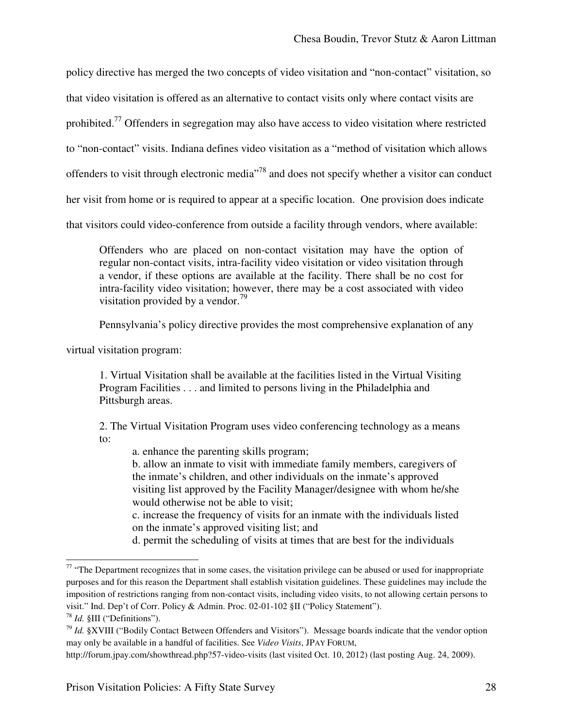policy directive has merged the two concepts of video visitation and "non-contact" visitation, so that video visitation is offered as an alternative to contact visits only where contact visits are prohibited.<sup>77</sup> Offenders in segregation may also have access to video visitation where restricted to "non-contact" visits. Indiana defines video visitation as a "method of visitation which allows offenders to visit through electronic media"<sup>78</sup> and does not specify whether a visitor can conduct her visit from home or is required to appear at a specific location. One provision does indicate that visitors could video-conference from outside a facility through vendors, where available:

Offenders who are placed on non-contact visitation may have the option of regular non-contact visits, intra-facility video visitation or video visitation through a vendor, if these options are available at the facility. There shall be no cost for intra-facility video visitation; however, there may be a cost associated with video visitation provided by a vendor.<sup>79</sup>

Pennsylvania's policy directive provides the most comprehensive explanation of any

virtual visitation program:

1. Virtual Visitation shall be available at the facilities listed in the Virtual Visiting Program Facilities . . . and limited to persons living in the Philadelphia and Pittsburgh areas.

2. The Virtual Visitation Program uses video conferencing technology as a means to:

a. enhance the parenting skills program;

b. allow an inmate to visit with immediate family members, caregivers of the inmate's children, and other individuals on the inmate's approved visiting list approved by the Facility Manager/designee with whom he/she would otherwise not be able to visit;

c. increase the frequency of visits for an inmate with the individuals listed on the inmate's approved visiting list; and

d. permit the scheduling of visits at times that are best for the individuals

 $77$  "The Department recognizes that in some cases, the visitation privilege can be abused or used for inappropriate purposes and for this reason the Department shall establish visitation guidelines. These guidelines may include the imposition of restrictions ranging from non-contact visits, including video visits, to not allowing certain persons to visit." Ind. Dep't of Corr. Policy & Admin. Proc. 02-01-102 §II ("Policy Statement"). 78 *Id.* §III ("Definitions").

<sup>79</sup> *Id.* §XVIII ("Bodily Contact Between Offenders and Visitors"). Message boards indicate that the vendor option may only be available in a handful of facilities. See *Video Visits*, JPAY FORUM,

http://forum.jpay.com/showthread.php?57-video-visits (last visited Oct. 10, 2012) (last posting Aug. 24, 2009).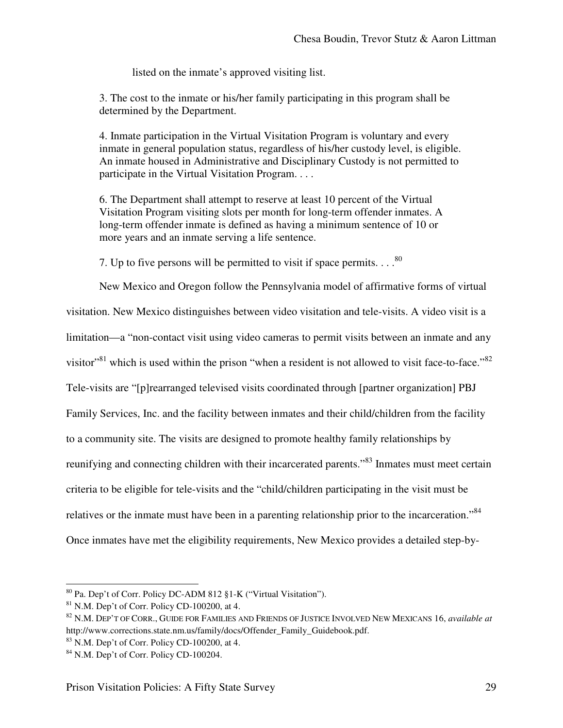listed on the inmate's approved visiting list.

3. The cost to the inmate or his/her family participating in this program shall be determined by the Department.

4. Inmate participation in the Virtual Visitation Program is voluntary and every inmate in general population status, regardless of his/her custody level, is eligible. An inmate housed in Administrative and Disciplinary Custody is not permitted to participate in the Virtual Visitation Program. . . .

6. The Department shall attempt to reserve at least 10 percent of the Virtual Visitation Program visiting slots per month for long-term offender inmates. A long-term offender inmate is defined as having a minimum sentence of 10 or more years and an inmate serving a life sentence.

7. Up to five persons will be permitted to visit if space permits.  $\ldots$ <sup>80</sup>

New Mexico and Oregon follow the Pennsylvania model of affirmative forms of virtual visitation. New Mexico distinguishes between video visitation and tele-visits. A video visit is a limitation—a "non-contact visit using video cameras to permit visits between an inmate and any visitor"<sup>81</sup> which is used within the prison "when a resident is not allowed to visit face-to-face."<sup>82</sup> Tele-visits are "[p]rearranged televised visits coordinated through [partner organization] PBJ Family Services, Inc. and the facility between inmates and their child/children from the facility to a community site. The visits are designed to promote healthy family relationships by reunifying and connecting children with their incarcerated parents."83 Inmates must meet certain criteria to be eligible for tele-visits and the "child/children participating in the visit must be relatives or the inmate must have been in a parenting relationship prior to the incarceration."<sup>84</sup> Once inmates have met the eligibility requirements, New Mexico provides a detailed step-by-

<sup>&</sup>lt;sup>80</sup> Pa. Dep't of Corr. Policy DC-ADM 812 §1-K ("Virtual Visitation").<br><sup>81</sup> N.M. Dep't of Corr. Policy CD-100200, at 4.

<sup>82</sup> N.M. DEP'T OF CORR., GUIDE FOR FAMILIES AND FRIENDS OF JUSTICE INVOLVED NEW MEXICANS 16, *available at*  http://www.corrections.state.nm.us/family/docs/Offender\_Family\_Guidebook.pdf. 83 N.M. Dep't of Corr. Policy CD-100200, at 4.

<sup>84</sup> N.M. Dep't of Corr. Policy CD-100204.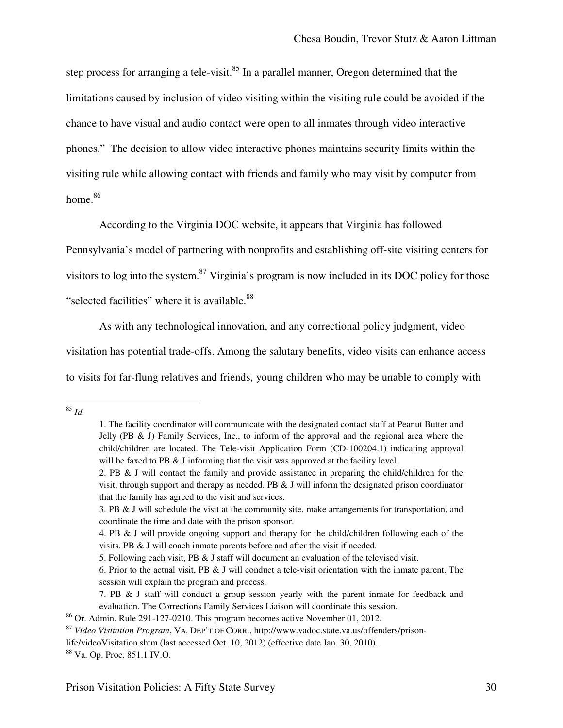step process for arranging a tele-visit.<sup>85</sup> In a parallel manner, Oregon determined that the limitations caused by inclusion of video visiting within the visiting rule could be avoided if the chance to have visual and audio contact were open to all inmates through video interactive phones." The decision to allow video interactive phones maintains security limits within the visiting rule while allowing contact with friends and family who may visit by computer from home.<sup>86</sup>

According to the Virginia DOC website, it appears that Virginia has followed

Pennsylvania's model of partnering with nonprofits and establishing off-site visiting centers for

visitors to log into the system.<sup>87</sup> Virginia's program is now included in its DOC policy for those

"selected facilities" where it is available.<sup>88</sup>

As with any technological innovation, and any correctional policy judgment, video visitation has potential trade-offs. Among the salutary benefits, video visits can enhance access to visits for far-flung relatives and friends, young children who may be unable to comply with

<sup>85</sup> *Id.*

<sup>1.</sup> The facility coordinator will communicate with the designated contact staff at Peanut Butter and Jelly (PB & J) Family Services, Inc., to inform of the approval and the regional area where the child/children are located. The Tele-visit Application Form (CD-100204.1) indicating approval will be faxed to PB & J informing that the visit was approved at the facility level.

<sup>2.</sup> PB & J will contact the family and provide assistance in preparing the child/children for the visit, through support and therapy as needed. PB & J will inform the designated prison coordinator that the family has agreed to the visit and services.

<sup>3.</sup> PB & J will schedule the visit at the community site, make arrangements for transportation, and coordinate the time and date with the prison sponsor.

<sup>4.</sup> PB & J will provide ongoing support and therapy for the child/children following each of the visits. PB & J will coach inmate parents before and after the visit if needed.

<sup>5.</sup> Following each visit, PB & J staff will document an evaluation of the televised visit.

<sup>6.</sup> Prior to the actual visit, PB & J will conduct a tele-visit orientation with the inmate parent. The session will explain the program and process.

<sup>7.</sup> PB & J staff will conduct a group session yearly with the parent inmate for feedback and evaluation. The Corrections Family Services Liaison will coordinate this session.

<sup>&</sup>lt;sup>86</sup> Or. Admin. Rule 291-127-0210. This program becomes active November 01, 2012.<br><sup>87</sup> *Video Visitation Program*, VA. DEP'T OF CORR., http://www.vadoc.state.va.us/offenders/prison-

life/videoVisitation.shtm (last accessed Oct. 10, 2012) (effective date Jan. 30, 2010). 88 Va. Op. Proc. 851.1.IV.O.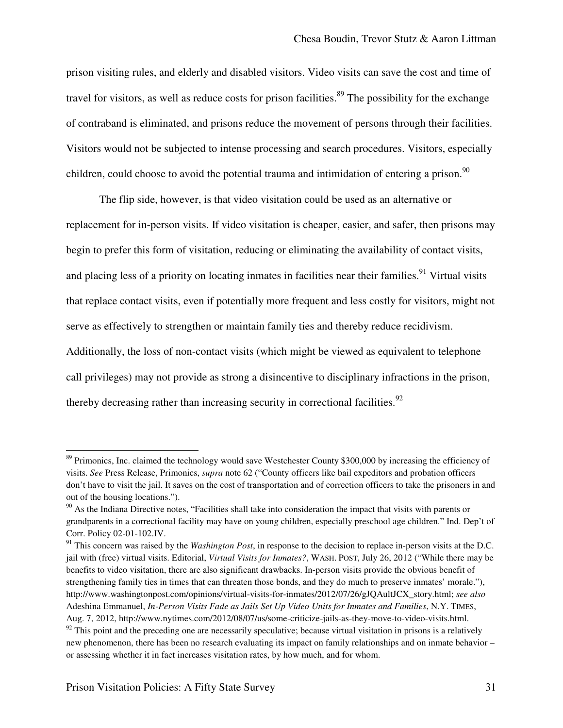prison visiting rules, and elderly and disabled visitors. Video visits can save the cost and time of travel for visitors, as well as reduce costs for prison facilities.<sup>89</sup> The possibility for the exchange of contraband is eliminated, and prisons reduce the movement of persons through their facilities. Visitors would not be subjected to intense processing and search procedures. Visitors, especially children, could choose to avoid the potential trauma and intimidation of entering a prison.<sup>90</sup>

The flip side, however, is that video visitation could be used as an alternative or replacement for in-person visits. If video visitation is cheaper, easier, and safer, then prisons may begin to prefer this form of visitation, reducing or eliminating the availability of contact visits, and placing less of a priority on locating inmates in facilities near their families.<sup>91</sup> Virtual visits that replace contact visits, even if potentially more frequent and less costly for visitors, might not serve as effectively to strengthen or maintain family ties and thereby reduce recidivism. Additionally, the loss of non-contact visits (which might be viewed as equivalent to telephone call privileges) may not provide as strong a disincentive to disciplinary infractions in the prison, thereby decreasing rather than increasing security in correctional facilities.<sup>92</sup>

<sup>&</sup>lt;sup>89</sup> Primonics, Inc. claimed the technology would save Westchester County \$300,000 by increasing the efficiency of visits. *See* Press Release, Primonics, *supra* note 62 ("County officers like bail expeditors and probation officers don't have to visit the jail. It saves on the cost of transportation and of correction officers to take the prisoners in and out of the housing locations.").

 $90$  As the Indiana Directive notes, "Facilities shall take into consideration the impact that visits with parents or grandparents in a correctional facility may have on young children, especially preschool age children." Ind. Dep't of Corr. Policy 02-01-102.IV.

<sup>&</sup>lt;sup>91</sup> This concern was raised by the *Washington Post*, in response to the decision to replace in-person visits at the D.C. jail with (free) virtual visits. Editorial, *Virtual Visits for Inmates?*, WASH. POST, July 26, 2012 ("While there may be benefits to video visitation, there are also significant drawbacks. In-person visits provide the obvious benefit of strengthening family ties in times that can threaten those bonds, and they do much to preserve inmates' morale."), http://www.washingtonpost.com/opinions/virtual-visits-for-inmates/2012/07/26/gJQAultJCX\_story.html; *see also*  Adeshina Emmanuel, *In-Person Visits Fade as Jails Set Up Video Units for Inmates and Families*, N.Y. TIMES, Aug. 7, 2012, http://www.nytimes.com/2012/08/07/us/some-criticize-jails-as-they-move-to-video-visits.html.  $92$  This point and the preceding one are necessarily speculative; because virtual visitation in prisons is a relatively

new phenomenon, there has been no research evaluating its impact on family relationships and on inmate behavior – or assessing whether it in fact increases visitation rates, by how much, and for whom.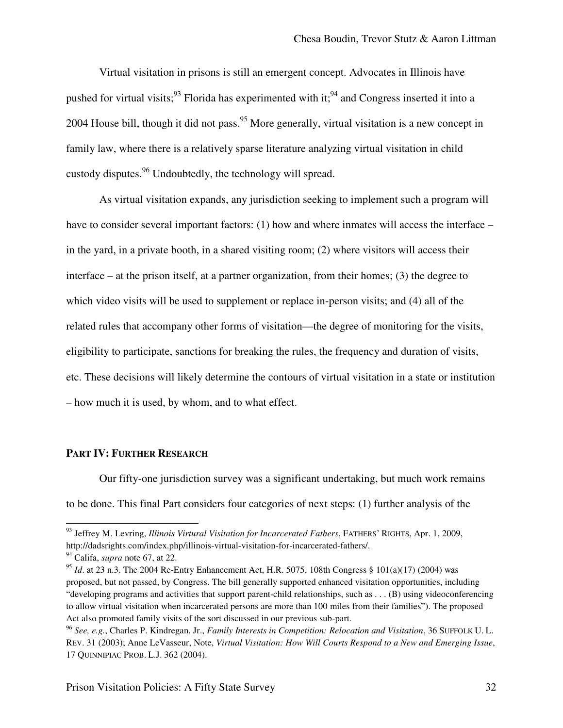Virtual visitation in prisons is still an emergent concept. Advocates in Illinois have pushed for virtual visits;<sup>93</sup> Florida has experimented with it;<sup>94</sup> and Congress inserted it into a 2004 House bill, though it did not pass.<sup>95</sup> More generally, virtual visitation is a new concept in family law, where there is a relatively sparse literature analyzing virtual visitation in child custody disputes.96 Undoubtedly, the technology will spread.

As virtual visitation expands, any jurisdiction seeking to implement such a program will have to consider several important factors: (1) how and where inmates will access the interface – in the yard, in a private booth, in a shared visiting room; (2) where visitors will access their interface – at the prison itself, at a partner organization, from their homes; (3) the degree to which video visits will be used to supplement or replace in-person visits; and (4) all of the related rules that accompany other forms of visitation—the degree of monitoring for the visits, eligibility to participate, sanctions for breaking the rules, the frequency and duration of visits, etc. These decisions will likely determine the contours of virtual visitation in a state or institution – how much it is used, by whom, and to what effect.

## **PART IV: FURTHER RESEARCH**

Our fifty-one jurisdiction survey was a significant undertaking, but much work remains to be done. This final Part considers four categories of next steps: (1) further analysis of the

<sup>93</sup> Jeffrey M. Levring, *Illinois Virtural Visitation for Incarcerated Fathers*, FATHERS' RIGHTS, Apr. 1, 2009, http://dadsrights.com/index.php/illinois-virtual-visitation-for-incarcerated-fathers/.

<sup>94</sup> Califa, *supra* note 67, at 22.

<sup>&</sup>lt;sup>95</sup> *Id.* at 23 n.3. The 2004 Re-Entry Enhancement Act, H.R. 5075, 108th Congress § 101(a)(17) (2004) was proposed, but not passed, by Congress. The bill generally supported enhanced visitation opportunities, including "developing programs and activities that support parent-child relationships, such as . . . (B) using videoconferencing to allow virtual visitation when incarcerated persons are more than 100 miles from their families"). The proposed Act also promoted family visits of the sort discussed in our previous sub-part.

<sup>96</sup> *See, e.g.*, Charles P. Kindregan, Jr., *Family Interests in Competition: Relocation and Visitation*, 36 SUFFOLK U. L. REV. 31 (2003); Anne LeVasseur, Note, *Virtual Visitation: How Will Courts Respond to a New and Emerging Issue*, 17 QUINNIPIAC PROB. L.J. 362 (2004).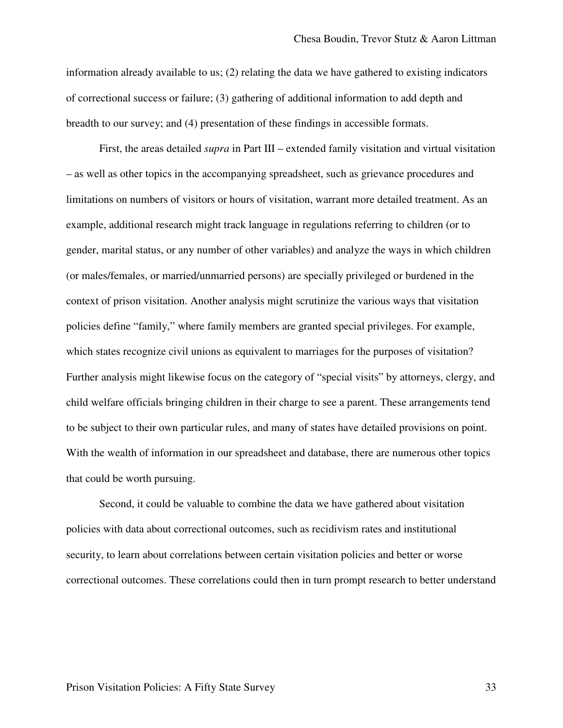information already available to us; (2) relating the data we have gathered to existing indicators of correctional success or failure; (3) gathering of additional information to add depth and breadth to our survey; and (4) presentation of these findings in accessible formats.

First, the areas detailed *supra* in Part III – extended family visitation and virtual visitation – as well as other topics in the accompanying spreadsheet, such as grievance procedures and limitations on numbers of visitors or hours of visitation, warrant more detailed treatment. As an example, additional research might track language in regulations referring to children (or to gender, marital status, or any number of other variables) and analyze the ways in which children (or males/females, or married/unmarried persons) are specially privileged or burdened in the context of prison visitation. Another analysis might scrutinize the various ways that visitation policies define "family," where family members are granted special privileges. For example, which states recognize civil unions as equivalent to marriages for the purposes of visitation? Further analysis might likewise focus on the category of "special visits" by attorneys, clergy, and child welfare officials bringing children in their charge to see a parent. These arrangements tend to be subject to their own particular rules, and many of states have detailed provisions on point. With the wealth of information in our spreadsheet and database, there are numerous other topics that could be worth pursuing.

Second, it could be valuable to combine the data we have gathered about visitation policies with data about correctional outcomes, such as recidivism rates and institutional security, to learn about correlations between certain visitation policies and better or worse correctional outcomes. These correlations could then in turn prompt research to better understand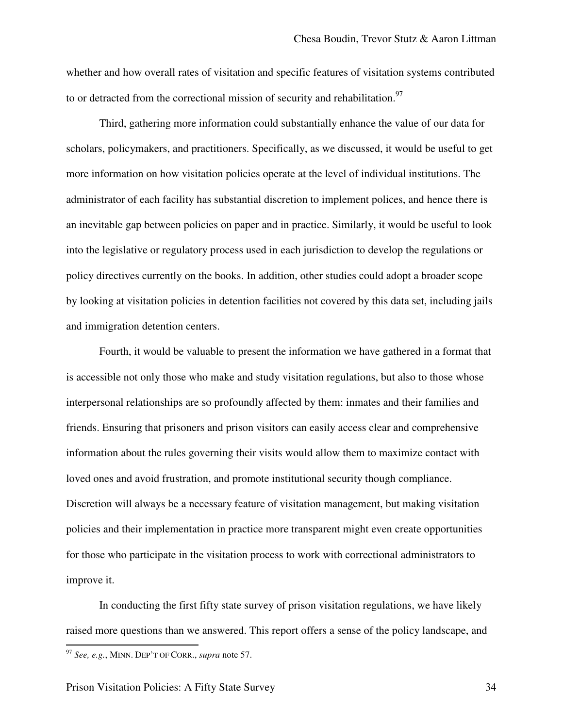whether and how overall rates of visitation and specific features of visitation systems contributed to or detracted from the correctional mission of security and rehabilitation.<sup>97</sup>

 Third, gathering more information could substantially enhance the value of our data for scholars, policymakers, and practitioners. Specifically, as we discussed, it would be useful to get more information on how visitation policies operate at the level of individual institutions. The administrator of each facility has substantial discretion to implement polices, and hence there is an inevitable gap between policies on paper and in practice. Similarly, it would be useful to look into the legislative or regulatory process used in each jurisdiction to develop the regulations or policy directives currently on the books. In addition, other studies could adopt a broader scope by looking at visitation policies in detention facilities not covered by this data set, including jails and immigration detention centers.

 Fourth, it would be valuable to present the information we have gathered in a format that is accessible not only those who make and study visitation regulations, but also to those whose interpersonal relationships are so profoundly affected by them: inmates and their families and friends. Ensuring that prisoners and prison visitors can easily access clear and comprehensive information about the rules governing their visits would allow them to maximize contact with loved ones and avoid frustration, and promote institutional security though compliance. Discretion will always be a necessary feature of visitation management, but making visitation policies and their implementation in practice more transparent might even create opportunities for those who participate in the visitation process to work with correctional administrators to improve it.

 In conducting the first fifty state survey of prison visitation regulations, we have likely raised more questions than we answered. This report offers a sense of the policy landscape, and ı

<sup>97</sup> *See, e.g.*, MINN. DEP'T OF CORR., *supra* note 57.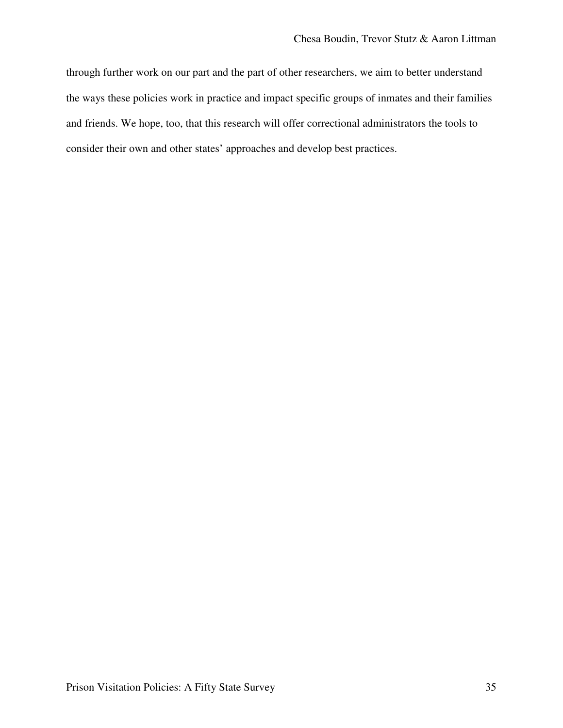through further work on our part and the part of other researchers, we aim to better understand the ways these policies work in practice and impact specific groups of inmates and their families and friends. We hope, too, that this research will offer correctional administrators the tools to consider their own and other states' approaches and develop best practices.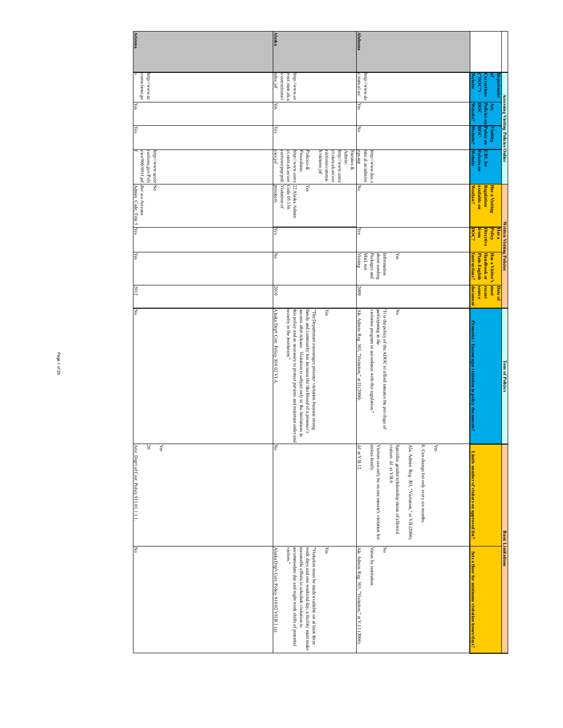| Զ<br><b>Nebsite</b><br><b>Department</b><br>$\left(\text{mO}\right)$<br><b>Corrections</b><br>Policies on<br>ă<br>Ę<br>Policy on<br>Visiting<br>ă<br>Policies on<br>URL for<br>Website | available on<br><b>Regulation</b><br>Westlaw?<br>Has a Visiting<br>from<br><b>Directive</b><br><b>Policy</b><br><b>Has a</b><br>ğ | Plain English<br><b>Handbook or</b><br>Has a Visitor's<br>ustructions?<br>source<br>recent<br>most<br><b>Date of</b><br>locume | <b>UOLIBIE</b><br>E<br>ents?                                                                                                                                                                                                                                                            | Limits number of visitors on approved list?                                                     |
|----------------------------------------------------------------------------------------------------------------------------------------------------------------------------------------|-----------------------------------------------------------------------------------------------------------------------------------|--------------------------------------------------------------------------------------------------------------------------------|-----------------------------------------------------------------------------------------------------------------------------------------------------------------------------------------------------------------------------------------------------------------------------------------|-------------------------------------------------------------------------------------------------|
|                                                                                                                                                                                        |                                                                                                                                   |                                                                                                                                |                                                                                                                                                                                                                                                                                         |                                                                                                 |
|                                                                                                                                                                                        |                                                                                                                                   |                                                                                                                                |                                                                                                                                                                                                                                                                                         |                                                                                                 |
|                                                                                                                                                                                        |                                                                                                                                   |                                                                                                                                |                                                                                                                                                                                                                                                                                         |                                                                                                 |
|                                                                                                                                                                                        |                                                                                                                                   |                                                                                                                                |                                                                                                                                                                                                                                                                                         | Yes                                                                                             |
|                                                                                                                                                                                        |                                                                                                                                   |                                                                                                                                |                                                                                                                                                                                                                                                                                         | Ala. Admin. Reg. 303, "Visitation," at V.B (2006).<br>8. Can change list only every six months. |
|                                                                                                                                                                                        |                                                                                                                                   | $\chi_{\rm{es}}$                                                                                                               | δÁ                                                                                                                                                                                                                                                                                      | visitors. Id. at V.B.6.<br>Specifies gender/relationship status of allowed                      |
| http://www.doc.s                                                                                                                                                                       |                                                                                                                                   | Packages and<br>about sending<br>Information                                                                                   | visitation program in accordance with this regulation."<br>participating in the<br>"It is the policy of the ADOC to afford inmates the privilege of                                                                                                                                     | unless family.<br>Visitors can only be on one inmate's visitation list                          |
| Alabama<br>http://www.do<br>state.al.us/<br>Yes<br>Š<br>tate.al.us/adminr<br>dse sa                                                                                                    | δŃ<br>Ιğ                                                                                                                          | Mail, not<br><b>Visiting</b><br>2009                                                                                           | Ala. Admin. Reg. 303, "Visitation," at II (2006)                                                                                                                                                                                                                                        | $ld$ . at V.B.12.                                                                               |
| ct.state.ak.us/cor<br>rections/commis<br>Statutes $\&$<br>h/statutes.jsf<br>http://www.corre<br>Admin:                                                                                 |                                                                                                                                   |                                                                                                                                | Yes                                                                                                                                                                                                                                                                                     |                                                                                                 |
| http://www.co<br>Procedures:<br>Policies &                                                                                                                                             | http://www.corre 22 Alaska Admin.<br>Υë                                                                                           |                                                                                                                                | this policy and as necessary to protect persons and maintain order and<br>success after release. Visitation is subject only to the limitations in<br>family and community ties increase the likelihood of a prisoner's<br>"The Department encourages prisoner visitation because strong |                                                                                                 |
| Alaska<br>rrect.state.ak.u<br>ndex.jsf<br>s/corrections/i<br>Yes<br>$Y$ es<br>ct.state.ak.us/cor<br>cies.jsf                                                                           | rections/pnp/poli Visitation of<br>$\text{Code } 05.130$<br>prisoners<br>Yes                                                      | š<br>2010                                                                                                                      | Alaska Dep't Corr. Policy 810.02 VLA.<br>security in the institution."                                                                                                                                                                                                                  | Š                                                                                               |
|                                                                                                                                                                                        |                                                                                                                                   |                                                                                                                                |                                                                                                                                                                                                                                                                                         |                                                                                                 |
| ze:www.//:dup<br>http://www.azeor<br>rections.gov/Pol                                                                                                                                  | š                                                                                                                                 |                                                                                                                                |                                                                                                                                                                                                                                                                                         | $Y$ es<br>$\infty$                                                                              |
| <b>Arizona</b><br>corrections.go<br>Yes<br>٧ë<br>cies/900/0911.pd                                                                                                                      | But see Arizona<br>Admin. Code, Title 5 Yes                                                                                       | ks<br>2012                                                                                                                     | Γ                                                                                                                                                                                                                                                                                       | Ariz. Dep't of Corr. Policy 911.01.1.1.1                                                        |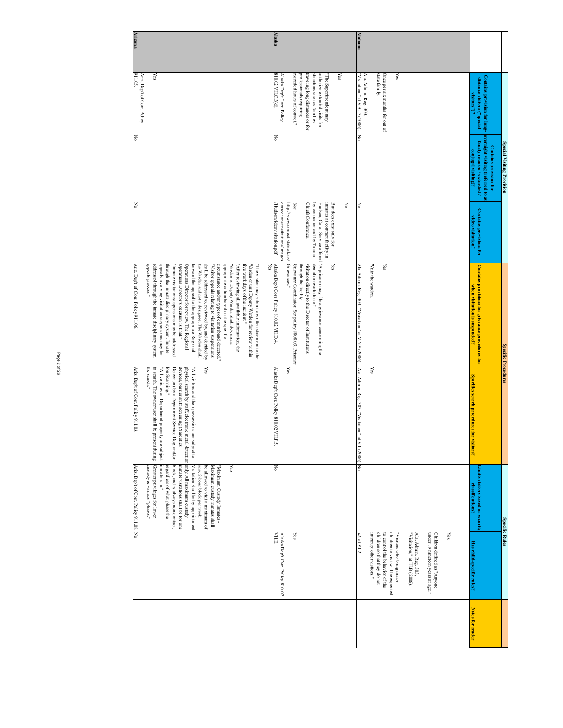|                |                                                                                                                                                                                                                                               | Special Visiting Provision                                                                                    |                                                                                                                                                                                                                                                                 | <b>Specific Procedures</b>                                                                                                                                                                                                                                                                                                                                                                                                                                                                                                                                                                                                                                                                                                                                                                                                                                                                                                          |                                                                                                                                                                                                                                                                                                                                                                                                   | <b>Specific Rules</b>                                                                                                                                                                                                                                                                                                                                                                                                                      |                                                                                                                                                                                      |                         |
|----------------|-----------------------------------------------------------------------------------------------------------------------------------------------------------------------------------------------------------------------------------------------|---------------------------------------------------------------------------------------------------------------|-----------------------------------------------------------------------------------------------------------------------------------------------------------------------------------------------------------------------------------------------------------------|-------------------------------------------------------------------------------------------------------------------------------------------------------------------------------------------------------------------------------------------------------------------------------------------------------------------------------------------------------------------------------------------------------------------------------------------------------------------------------------------------------------------------------------------------------------------------------------------------------------------------------------------------------------------------------------------------------------------------------------------------------------------------------------------------------------------------------------------------------------------------------------------------------------------------------------|---------------------------------------------------------------------------------------------------------------------------------------------------------------------------------------------------------------------------------------------------------------------------------------------------------------------------------------------------------------------------------------------------|--------------------------------------------------------------------------------------------------------------------------------------------------------------------------------------------------------------------------------------------------------------------------------------------------------------------------------------------------------------------------------------------------------------------------------------------|--------------------------------------------------------------------------------------------------------------------------------------------------------------------------------------|-------------------------|
|                | Contains provision for long-<br>distance visitors ("special<br><b>STORY</b>                                                                                                                                                                   | overnight visiting (referred to as<br>family reunion / extended /<br>Contains provision for<br>ugal visitingi | Contains provisions for<br>video visitation?                                                                                                                                                                                                                    | Contains provisions for grievance procedures for<br>when visitation is suspended?                                                                                                                                                                                                                                                                                                                                                                                                                                                                                                                                                                                                                                                                                                                                                                                                                                                   | <b>Snecifies search</b><br>Drocedures tor v<br><b>SIOT</b>                                                                                                                                                                                                                                                                                                                                        | imits visitors based on security<br>classifications?                                                                                                                                                                                                                                                                                                                                                                                       | E<br>Compo                                                                                                                                                                           | <b>Notes for reader</b> |
|                |                                                                                                                                                                                                                                               |                                                                                                               |                                                                                                                                                                                                                                                                 |                                                                                                                                                                                                                                                                                                                                                                                                                                                                                                                                                                                                                                                                                                                                                                                                                                                                                                                                     |                                                                                                                                                                                                                                                                                                                                                                                                   |                                                                                                                                                                                                                                                                                                                                                                                                                                            | under 19 nineteen years of age."<br>Yes<br>"Visitation," at III.B (2006).<br>Ala. Admin. Reg. 303,<br>Children defined as "Anyone                                                    |                         |
| Alabama        | state family.<br>Once per six months for out of<br>Yes<br>Ala. Admin. Reg. 303,<br>"Visitation," at V.B.13 (2006).                                                                                                                            | Š                                                                                                             | Š                                                                                                                                                                                                                                                               | Ala. Admin. Reg. 303, "Visitation," at VN.9 (2006)<br>Write the warden.<br>χes                                                                                                                                                                                                                                                                                                                                                                                                                                                                                                                                                                                                                                                                                                                                                                                                                                                      | <b>Yes</b><br>Ala.<br>Admin. Reg. 303, "Visitation," at V<br>(2006)                                                                                                                                                                                                                                                                                                                               | δŃ                                                                                                                                                                                                                                                                                                                                                                                                                                         | interrupt other visitors."<br>children so that they do not<br>to control the behavior of the<br>children to visit will be expected<br>Įď.<br>Visitors who bring minor<br>. at V.1.2. |                         |
| Alaska         | situations such as families<br>traveling long distances or for<br>authorize extended visits for<br>Yes<br>Alaska Dep't Corr. Policy<br>810.02 VII.C.3(d).<br>extended hours of contact."<br>professionals requiring<br>The Superintendent may | Š                                                                                                             | Chiefs Conference.<br>Š<br>corrections/institutions/images<br>http://www.correct.state.ak.us/<br>See<br>by contractor and by Tanana<br>Hudson, Colo. Service offered<br>inmates at contract facility in<br>But does exist only for<br>Hudsonvideovisitation.pdf | Grievances.<br>denial or restriction of<br>"A prisoner may file a grievance concerning the<br>Υes<br>Alaska Dept Corr. Policy 810.02 VILD.4<br>Grievance Coordinator. See policy #808.03, Prisoner<br>through the facility<br>visitation directly to the Director of Institutions                                                                                                                                                                                                                                                                                                                                                                                                                                                                                                                                                                                                                                                   | Alaska Dept Corr. Policy 810.02 VILF.5<br>χes                                                                                                                                                                                                                                                                                                                                                     | F                                                                                                                                                                                                                                                                                                                                                                                                                                          | <b>NILE</b><br>Alaska Dep't Corr. Policy 810.02<br>χes                                                                                                                               |                         |
| <b>Arizona</b> | 911.05.<br>Yes<br>Ariz. Dep't of Corr. Policy                                                                                                                                                                                                 | ΙŠ                                                                                                            | ΙŠ                                                                                                                                                                                                                                                              | Ariz. Dep't of Corr. Policy 911.06<br>appeals process."<br>Operations Director for review. The Regional<br>shall be addressed to, reviewed by, and decided by<br>through the inmate disciplinary system. Inmate<br>Operations Director's decision is final."<br>forward the appeal to the appropriate Regional<br>the Warden and not a designee. The Warden shall<br>circumstance and/or types of contraband detected."<br>appropriate action based on the specific<br>Warden or Deputy Warden shall determine<br>five work days of the incident."<br>Warden or unit Deputy Warden for review within<br>χes<br>appeals involving visitation suspensions may be<br>"Visitor appeals relating to visitation suspensions<br>The visitor may submit a written statement to the<br>iddressed through the inmate disciplinary system<br>Inmate visitation suspensions may be addressed<br>'After reviewing all available information, the | Yes<br>the search."<br>to search. The owner/user shall be present during<br>"All vehicles on Department property are subject<br>Detection) by a Department Service Dog, and/or<br>devices, barrier sniff screening (Narcotics<br>physical search by staff, electronic metal detection<br>Ariz. Dep't of Corr. Policy 911.03<br>"All visitors and their possessions are subject to<br>lon Scanning | only. All maximum custody<br>block, and is always non-contact,<br>eustody & various "phases."<br>Visitation shall be by appointment<br>Ariz. Dep't of Corr. Policy 911.08.<br>Greater privileges for lower<br>inmate is in."<br>regardless of what phase the<br>Maximum custody inmates shall<br>χes<br>inmate visitations shall be for one<br>one, 2-hour block per week.<br>be allowed to visit a maximum of<br>Maximum Custody Inmates- | $\overline{\mathbb{N}}$                                                                                                                                                              |                         |
|                |                                                                                                                                                                                                                                               |                                                                                                               |                                                                                                                                                                                                                                                                 |                                                                                                                                                                                                                                                                                                                                                                                                                                                                                                                                                                                                                                                                                                                                                                                                                                                                                                                                     |                                                                                                                                                                                                                                                                                                                                                                                                   |                                                                                                                                                                                                                                                                                                                                                                                                                                            |                                                                                                                                                                                      |                         |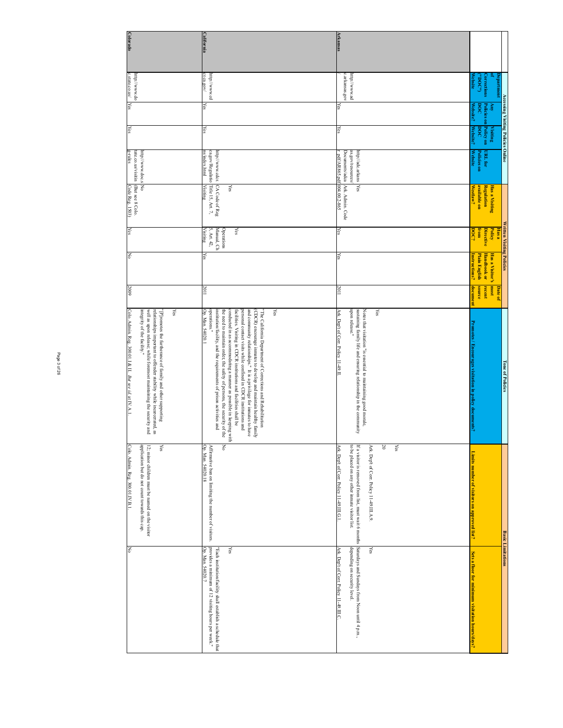|                   |                                       |                             | Accessing Visiting Policies Online |                                                                                                     |                                                                          | <b>Written Visiting Policies</b>                               |                                       |                                  | <b>Tone of Policies</b>                                                                                                                                                                                                                                                                                                                                                                                                                                                                                                                                                                                  | <b>Basic Limitations</b>                                                                                                                                                                                                                              |                                                                                                                                     |
|-------------------|---------------------------------------|-----------------------------|------------------------------------|-----------------------------------------------------------------------------------------------------|--------------------------------------------------------------------------|----------------------------------------------------------------|---------------------------------------|----------------------------------|----------------------------------------------------------------------------------------------------------------------------------------------------------------------------------------------------------------------------------------------------------------------------------------------------------------------------------------------------------------------------------------------------------------------------------------------------------------------------------------------------------------------------------------------------------------------------------------------------------|-------------------------------------------------------------------------------------------------------------------------------------------------------------------------------------------------------------------------------------------------------|-------------------------------------------------------------------------------------------------------------------------------------|
|                   | <b>Department</b><br>orrections       | Policies on<br>χω           | Policy on<br>Visiting              | URL for                                                                                             | <b>Regulation</b><br>Has a Visiting                                      | Policy<br><b>Directive</b><br><b>Has</b> a                     | <b>Handbook or</b><br>Has a Visitor's | <b>nost</b><br>recent<br>Date of |                                                                                                                                                                                                                                                                                                                                                                                                                                                                                                                                                                                                          |                                                                                                                                                                                                                                                       |                                                                                                                                     |
|                   | CaDOCLa<br>∤ebsite                    | Website?<br>00 <sub>d</sub> | Website?<br>00 <sub>d</sub>        | Website<br><b>Policies</b> on                                                                       | available on<br>Westlaw?                                                 | from<br>500                                                    | Plain English                         | source<br>ocumen                 | Promotes / Encourages visitation in policy documents?                                                                                                                                                                                                                                                                                                                                                                                                                                                                                                                                                    | Limits number of visitors on approved list?                                                                                                                                                                                                           | Sets a floor for minimum visitation hours/days?                                                                                     |
|                   |                                       |                             |                                    |                                                                                                     |                                                                          |                                                                |                                       |                                  | Yes                                                                                                                                                                                                                                                                                                                                                                                                                                                                                                                                                                                                      | $\approx$<br>Yes                                                                                                                                                                                                                                      |                                                                                                                                     |
| <b>Arkansas</b>   | http://www.ad<br>: arkansas.gov       | Yes                         | Yes                                | as.gov/resources<br>http://adc.arkans                                                               | Documents/adca   Ark. Admin. Code<br>r_pdf/AR865.pdf 004.00.2-865<br>Yes | Yes                                                            | Yes                                   | 2011                             | Ark Dept of Corr. Policy 11-49.II.<br>upon release."<br>sustaining family life and ensuring relationship in the community<br>Notes that visitation "is essential to maintaining good morale,                                                                                                                                                                                                                                                                                                                                                                                                             | to be placed on any other inmate visitor list.<br>If a visitor is removed from list, must wait 6 months Saturdays and Sundays from Noon until 4 p.m.,<br>Ark. Dept of Corr. Policy 11-49.III.A.9.<br>Ark. Dep't of Corr. Policy 11-49.III.G.I.<br>Yes | depending on security level.<br>Ark. Dept of Corr. Policy 11-49.III.C.                                                              |
|                   |                                       |                             |                                    |                                                                                                     |                                                                          |                                                                |                                       |                                  | Yes                                                                                                                                                                                                                                                                                                                                                                                                                                                                                                                                                                                                      |                                                                                                                                                                                                                                                       |                                                                                                                                     |
| <b>California</b> | $cr$ $ca$ $g$ $o$ v/<br>http://www.cd | Yes                         | Yes                                | http://www.cdcr. $CA\text{Code of Reg}\xspace$ ca.gov/Regulatio [Title 15, Art. 7,<br>ns/index.html | Visiting<br>χes                                                          | $5,$ Art. $42,$<br>Visiting<br>Operations<br>Manual, Ch<br>Yes | Yes                                   | 2011                             | Op. Man. 54020.1<br>the need to maintain order, the safety of persons, the security of the<br>conducted in as accommodating a manner as possible in keeping with<br>and community relationships." It is a privilege for inmates to have<br>(CDCR) encourage inmates to develop and maintain healthy family<br>operations."<br>facilities. Visiting in CDCR institutions and facilities shall be<br>personal contact visits while confined in CDCR institutions and<br>institution/facility, and the requirements of prison activities and<br>The California Department of Corrections and Rehabilitation | Affirmative ban on limiting the number of visitors.<br>Op. Man. 54020.18<br>Š<br>Yes                                                                                                                                                                  | "Each institution/facility shall establish a schedule that provides a minimum of $12$ visiting hours per week."<br>Op. Man. 54020.7 |
|                   |                                       |                             |                                    |                                                                                                     |                                                                          |                                                                |                                       |                                  | $\chi_{\rm{es}}$                                                                                                                                                                                                                                                                                                                                                                                                                                                                                                                                                                                         |                                                                                                                                                                                                                                                       |                                                                                                                                     |
|                   | http://www.do                         |                             |                                    | http://www.doc.s<br>tate.co.us/visitin                                                              | (But see 8 Colo.<br>δ                                                    |                                                                |                                       |                                  | relationships important to offender stability while incarcerated, as<br>integrity of the facility."<br>well as upon release; while foremost maintaining the security and<br>'[P]romotes the furtherance of family and other supporting                                                                                                                                                                                                                                                                                                                                                                   | application but do not count towards this cap.<br>12; minor children must be named on the visitor<br>$Y$ es                                                                                                                                           |                                                                                                                                     |
| Colorado          | c.state.co.us/                        | $\frac{1}{2}$               | Yes                                | g-rules                                                                                             | Code Reg. 1503)                                                          | Yes                                                            | Ιš                                    | 2009                             | Colo. Admin. Reg. 300.01.1 & II. But see id. at IV. A.1                                                                                                                                                                                                                                                                                                                                                                                                                                                                                                                                                  | Colo. Admin. Reg. 300.01.IV.B.1<br>$\overline{\mathsf{S}}$                                                                                                                                                                                            |                                                                                                                                     |

Page 3 of 26 Page 3 of 26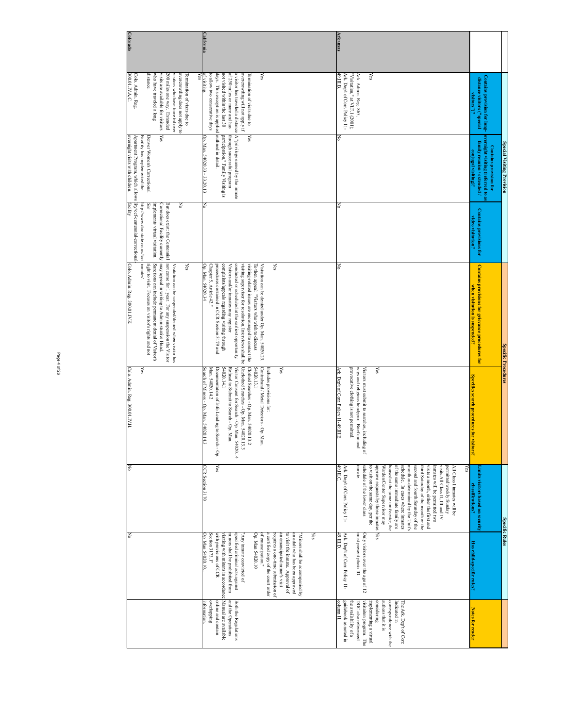|                                     |                                                                                                                                                                                                                                                                                                        | Special Visiting Provision                                                                                                                                               |                                                                                                                                                                | Specific Procedures                                                                                                                                                                                                                                                                                                                                                                                                                                                                |                                                                                                                                                                                                                                                                                                                                                                                                                                                           | <b>Specific Rules</b>                                                                                                                                                                                                                                                                                                                                                                                                                                                                                                                                                                             |                                                                                                                                                                                                                                                                                                                                                                                                                                                                                          |                                                                                                                                                                                                                                            |
|-------------------------------------|--------------------------------------------------------------------------------------------------------------------------------------------------------------------------------------------------------------------------------------------------------------------------------------------------------|--------------------------------------------------------------------------------------------------------------------------------------------------------------------------|----------------------------------------------------------------------------------------------------------------------------------------------------------------|------------------------------------------------------------------------------------------------------------------------------------------------------------------------------------------------------------------------------------------------------------------------------------------------------------------------------------------------------------------------------------------------------------------------------------------------------------------------------------|-----------------------------------------------------------------------------------------------------------------------------------------------------------------------------------------------------------------------------------------------------------------------------------------------------------------------------------------------------------------------------------------------------------------------------------------------------------|---------------------------------------------------------------------------------------------------------------------------------------------------------------------------------------------------------------------------------------------------------------------------------------------------------------------------------------------------------------------------------------------------------------------------------------------------------------------------------------------------------------------------------------------------------------------------------------------------|------------------------------------------------------------------------------------------------------------------------------------------------------------------------------------------------------------------------------------------------------------------------------------------------------------------------------------------------------------------------------------------------------------------------------------------------------------------------------------------|--------------------------------------------------------------------------------------------------------------------------------------------------------------------------------------------------------------------------------------------|
|                                     | Contains provision for long-<br>distance visitors ("special<br><b>VISIONS</b>                                                                                                                                                                                                                          | overnight visiting (referred to as<br>family reunion / extended /<br>Contains provision for<br>conjugal visiting)?                                                       | <b>Contains provisions for</b><br>video visitation?                                                                                                            | Contains provisions for grievance procedures for<br>when visitation is suspended?                                                                                                                                                                                                                                                                                                                                                                                                  | Specifies search procedures for vi<br>is le                                                                                                                                                                                                                                                                                                                                                                                                               | imits visitors based on security<br>classifications?                                                                                                                                                                                                                                                                                                                                                                                                                                                                                                                                              |                                                                                                                                                                                                                                                                                                                                                                                                                                                                                          | <b>Notes for reader</b>                                                                                                                                                                                                                    |
|                                     | "Visitation," at VLF.1 (2001);<br>Ark. Dep't of Corr. Policy 11-<br>Ark. Admin. Reg. 865,<br>Yes                                                                                                                                                                                                       |                                                                                                                                                                          |                                                                                                                                                                |                                                                                                                                                                                                                                                                                                                                                                                                                                                                                    | wigs and religious headgear. Brief cut and<br><b>Yes</b><br>provocative clothing is not permitted.<br>Visitors must submit to searches, including of                                                                                                                                                                                                                                                                                                      | schedule of the lower class<br>of the same immediate family are<br>Ark. Dep't of Corr. Policy 11-<br>imnate.<br>to visit on the same day, per the<br>Warden/Center Supervisor may<br>schedule. In cases where inmates<br>month as determined by the Unit':<br>second and fourth Saturday of the<br>third Saturday of the month or the<br>visits a month, either the first and<br>visits.All Class II, III and IV<br>permitted weekly Sunday<br>χē<br>approve requests by those inmates Yes<br>housed at the same unit/center, the<br>imnates will be permitted two<br>All Class I inmates will be | Ark. Dep't of Corr. Policy 11-<br>must present photo ID.<br>Only visitors over the age of 12                                                                                                                                                                                                                                                                                                                                                                                             | guidebook as noted in<br>authors that it is<br>correspondence with the<br>Indicated in<br>he availability of a<br>visitaiton program. The<br>implementing a virtual<br>The Ark. Dep't of Corr.<br><b>OC</b> also referenced<br>considering |
| <b>Califorma</b><br><b>Arkansas</b> | Yes<br>of visiting.<br>Yes<br>to allow two consecutive days<br>days. This exception is applied outlined in detail.<br>of 250 miles or more and has<br>overcrowding will not apply if<br>49.III.B.<br>not visited within the last 30<br>visitor has traveled a distance<br>Termination of visits due to | A "privilege earned by the inmate<br>participation," Family Visiting is<br>Yes<br>through successful program<br>Š<br>Op. Man. 54020.33 - 33.20.13                        | Ιš<br>š                                                                                                                                                        | Op. Man. 54020.34<br>Chapter 5, Article 42."<br>conducted or scheduled at the earliest opportunity.<br>Yes<br>š<br>procedures contained in CCR Section 3179 and<br>complaints/appeals regarding visiting through<br>Visitors and/or inmates may register<br>visiting supervisor for resolution. Interviews shall be<br>visiting-related issues are encouraged to contact the<br>To then appeal: "Visitors who wish to discuss<br>Visitation can be denied under Op. Man. 54020.23. | Unclothed Searches - Op. Man. 54020.13.3<br>Contraband / Metal Detectors - Op. Man<br>Visitor Consent for Search - Op. Man. 54020.14<br>Clothed Searches - Op. Man. 54020.13.<br>54020.13.1<br>Documentation of Info Leading to Search - Op.<br>54020.14.1<br><b>Yes</b><br>Search of Minors - Op. Man. 54020.14<br>Man. 54020.14.2<br>Refusal to Submit to Search - Op. Man.<br>Includes provisions for.<br>Ark. Dep't of Corr. Policy 11-49.III.E.<br>N | Yes<br>49.III.C<br>CCR Section 3170                                                                                                                                                                                                                                                                                                                                                                                                                                                                                                                                                               | Op. Man 54020.10.1<br>Section 3173.1"<br>with provisions of CCR<br>specified criminal acts against<br>Op. Man 54020.10<br>of emancipation."<br>a certified copy of the court order<br>requires a one-time submission of<br>an emancipated minor's visit<br>to visit the inmate. Approval of<br>an adult who has been approved<br>visiting with minors in accordance<br>minors shall be prohibited from<br>"Any imnate convicted of<br>ξś<br>49.III.D.<br>"Minors shall be accompanied by | Manual are available<br>and the Operations<br>Both the Regulations<br>overlapping<br>online and contain<br>column H.<br>information                                                                                                        |
| <b>Colorado</b>                     | 300.01.IV.A.C.<br>Colo. Admin. Reg.<br>visitors who have traveled over<br>overcrowding does not apply to<br>listance.<br>isits are available for visitors<br>200 miles one way. Extended<br>who have traveled a long<br>Fermination of visits due to                                                   | Yes<br>overnight visits with children<br>Apartment Program, which allows lity/ccf-centennial-correctional<br>Facility has implemented the<br>Denver Women's Correctional | Š<br>facility<br>implements virtual visitation.<br>But does exist: the Centennial<br>See<br>Correctional Facility currently<br>nttp://www.doc.state.co.us/faci | may appeal in writing to Administrative Head.<br>Colo. Admin. Reg. 300.01.IV.K<br>inmates'.<br>Sanctions can include permanent denial of Visitor's<br>not come for 1 year. For any suspension the Visitor<br>Yes<br>Visitation can be suspended/denied when visitor has<br>right to visit. Focuses on visitor's rights and not                                                                                                                                                     | Colo. Admin. Reg. 300.01.IVH.<br>Yes                                                                                                                                                                                                                                                                                                                                                                                                                      | š                                                                                                                                                                                                                                                                                                                                                                                                                                                                                                                                                                                                 | Z                                                                                                                                                                                                                                                                                                                                                                                                                                                                                        |                                                                                                                                                                                                                                            |

Page 4 of 26 Page 4 of 26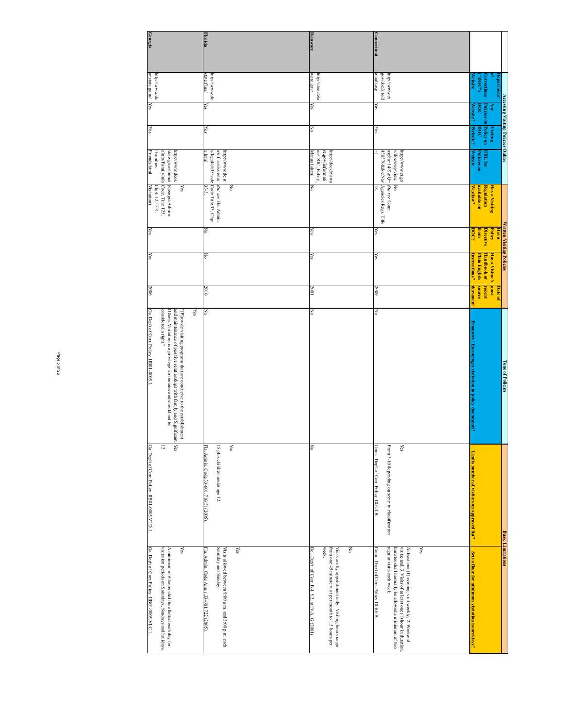|                |                                                |                  | Accessing Visiting Policies Online |                                                                         |                                                  | Written Visiting Policies  |                                       |                | <b>Tone of Policies</b>                                                                                                                                                                                                              |                                                                                          | <b>Basic Limitations</b>                                                                                                              |
|----------------|------------------------------------------------|------------------|------------------------------------|-------------------------------------------------------------------------|--------------------------------------------------|----------------------------|---------------------------------------|----------------|--------------------------------------------------------------------------------------------------------------------------------------------------------------------------------------------------------------------------------------|------------------------------------------------------------------------------------------|---------------------------------------------------------------------------------------------------------------------------------------|
|                | Department                                     |                  |                                    |                                                                         |                                                  | <b>HaS a</b>               |                                       | <b>Date of</b> |                                                                                                                                                                                                                                      |                                                                                          |                                                                                                                                       |
|                | Corrections                                    | Policies on<br>ξ | Policy on<br>Visiting              | URL for                                                                 | <b>Regulation</b><br>Has a Visiting              | <b>Policy</b><br>Directive | <b>Handbook or</b><br>Has a Visitor's | recent<br>180m |                                                                                                                                                                                                                                      |                                                                                          |                                                                                                                                       |
|                | (1,000)                                        | 50c              | <b>boc</b>                         | <b>Policies</b> on                                                      | available on                                     | from                       | <b>Plain English</b>                  | source         |                                                                                                                                                                                                                                      |                                                                                          |                                                                                                                                       |
|                | <b>Website</b>                                 | Website?         | Website?                           | <b>Website</b>                                                          | Westlaw?                                         | <b>DOC:</b>                | nstructions?                          | documen        | Promotes / Encourages visitation in policy documents?                                                                                                                                                                                | Limits number of visitors on approved list?                                              | Sets a floor for minimum visitation hours/days?                                                                                       |
|                |                                                |                  |                                    | http://www.ct.go                                                        |                                                  |                            |                                       |                |                                                                                                                                                                                                                                      | Yes                                                                                      | visits; and, 3. Visits of at least one (1) hour in duration.<br>At least one (1) evening visit weekly; 2. Weekend<br>$\chi_{\rm{6S}}$ |
| Connecticut    | efault.asp<br>gov/doc/site/d<br>http://www.ct. | Yes              | Yes                                | $-0.366t1 = 149286$<br>450576&docNav<br>v/doc/cwp/view.<br>$\mathbb{I}$ | Agencies Regs. Title<br>But see Conn.<br>δ<br>¤ĕ | Yes                        | Yes                                   | 2009           | Š                                                                                                                                                                                                                                    | Conn. Dep't of Corr. Policy 10.6.4.B.<br>From 5-10 depending on security classification. | Conn. Dept of Corr. Policy 10.6.6.B<br>regular visits each week.<br>Imnates shall normally be allowed a minimum of two                |
|                |                                                |                  |                                    |                                                                         |                                                  |                            |                                       |                |                                                                                                                                                                                                                                      |                                                                                          | Š                                                                                                                                     |
|                |                                                |                  |                                    | re.gov/informati<br>http://doc.delawa                                   |                                                  |                            |                                       |                |                                                                                                                                                                                                                                      |                                                                                          | week.<br>from one 45 minute visit per month to 1.5 hours per<br>Visits are by appointment only. Visiting hours range                  |
| Delaware       | http://doc.dela<br>ware.gov/                   | Yes              | Š                                  | Manual.shtml<br>on/DOC_Policy                                           | ΟŃ                                               | Yes                        | Yes                                   | 2001           | š                                                                                                                                                                                                                                    | Š                                                                                        | Del. Dep't. of Corr. Pol. 5.2, at IV.A, G (2001).                                                                                     |
|                |                                                |                  |                                    |                                                                         |                                                  |                            |                                       |                |                                                                                                                                                                                                                                      |                                                                                          |                                                                                                                                       |
|                |                                                |                  |                                    | ate.fl.us/secretar<br>http://www.dc.st                                  | But see Fla. Admin.<br>ŠΔ                        |                            |                                       |                |                                                                                                                                                                                                                                      | Yes<br>15 plus children under age 12.                                                    | Saturday and Sunday.<br>$_{\rm res}$<br>Visits allowed between 9:00 a.m. and 3:00 p.m. each                                           |
| <b>Florida</b> | state.fl.us/<br>http://www.dc.                 | Yes              | Yes                                | y/legal/ch33/inde<br>k.html                                             | Code Title 33, Chpt.<br>33-5.                    | Š                          | Š                                     | 2010           | š                                                                                                                                                                                                                                    | Fla. Admin. Code 33-601.716(3) (2005).                                                   | Fla. Admin. Code Ann. r.33-601.722 (2005)                                                                                             |
|                |                                                |                  |                                    |                                                                         |                                                  |                            |                                       |                | Yes                                                                                                                                                                                                                                  |                                                                                          |                                                                                                                                       |
|                |                                                |                  |                                    | elnfo'FamilyInfo<br>state.ga.us/Inmat<br>http://www.dcor.               | Code, Title 125,<br>(Georgia Admin<br>Yes        |                            |                                       |                | Others. Visitation is a privilege for inmates and should not be considered a right."<br>and maintenance of positive relationships with family and Significant<br>[P]rovide visiting programs that are conducive to the establishment | Yes<br>12                                                                                | visitation periods on Saturdays, Sundays and holidays.<br>A minimum of 6 hours shall be allotted each day for<br>$\chi_{\rm{es}}$     |
| Georgia        | or.state.ga.us/<br>http://www.dc               | Yes              | Yes                                | <b>Friends.html</b><br>Families-                                        | <b>Visitation</b> )<br>Chpt. 125-3-4.            | Yes                        | $Y$ es                                | 2006           | Ga. Dep't of Corr. Policy IIB01-0005.I.                                                                                                                                                                                              | Ga. Dept of Corr. Policy IIB01-0005.VLD.1.                                               | Ga. Dep't of Corr. Policy IIB01-0005.VI.C.1.                                                                                          |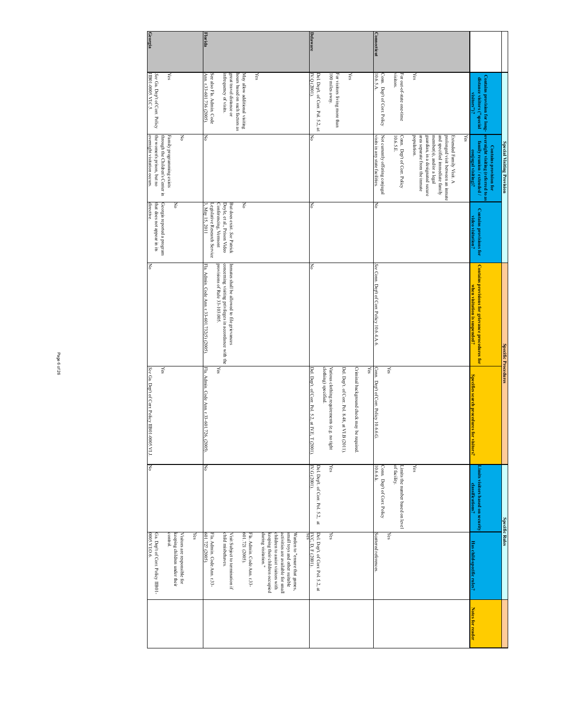|                    | Contains provision for long-<br>distance visitors ("special                                                                                                                          | overnight visiting (referred to as<br>family reunion / extended /<br>Special Visiting Provision<br>Contains provision for<br>conjugal visiting)?                                                                        | Contains provisions for<br>video visitation?                                                                                              | Contains provisions for grievance procedures for<br>when visitation is suspended?<br><b>Specific Procedures</b>                                                                        | Specifies search procedures for<br>itors?                                                                                 | imits visitors based on security<br>classifications?<br><b>Specific Rules</b>               | Has child-specific rules?                                                                                                                                                                                 | Notes for reader |
|--------------------|--------------------------------------------------------------------------------------------------------------------------------------------------------------------------------------|-------------------------------------------------------------------------------------------------------------------------------------------------------------------------------------------------------------------------|-------------------------------------------------------------------------------------------------------------------------------------------|----------------------------------------------------------------------------------------------------------------------------------------------------------------------------------------|---------------------------------------------------------------------------------------------------------------------------|---------------------------------------------------------------------------------------------|-----------------------------------------------------------------------------------------------------------------------------------------------------------------------------------------------------------|------------------|
|                    | Yes                                                                                                                                                                                  | guardian, in a designated secure<br>population.<br>and specified immediate family<br>prolonged visit between an inmate<br>Yes<br>area separate from the inmate<br>member(s), and/or a legal<br>Extended Family Visit. A |                                                                                                                                           |                                                                                                                                                                                        |                                                                                                                           | Yes                                                                                         |                                                                                                                                                                                                           |                  |
| <b>Connecticut</b> | Com. Dept of Corr. Policy<br>visitors.<br>For out-of-state one-time<br>10.6.5.A.                                                                                                     | Not currently offering conjugal<br>Com. Dept of Cor. Policy<br> 10.6.5.E.<br>visits in any state facilities.                                                                                                            | š                                                                                                                                         | See Conn. Dept of Corr. Policy 10.6.4.A.6.                                                                                                                                             | Yes<br>Conn.<br>Dep't of Corr. Policy 10.6.6.G.                                                                           | of facility.<br>Com. Dep't of Corr. Policy<br>10.6.6.k.<br>Limits the number based on level | Yes<br>Scattered references                                                                                                                                                                               |                  |
|                    | Yes                                                                                                                                                                                  |                                                                                                                                                                                                                         |                                                                                                                                           |                                                                                                                                                                                        | Criminal background check may be required.<br>Yes<br>Del. Dep't. of Corr. Pol. 8.48, at VLB (2011).                       |                                                                                             |                                                                                                                                                                                                           |                  |
| Delaware           | IV.Q (2001)<br>Del. Dep't. of Corr. Pol. 5.2, at<br>For visitors living more than<br>00 miles away.                                                                                  | 공                                                                                                                                                                                                                       | Νo                                                                                                                                        | Š                                                                                                                                                                                      | Del. Dep't. of Corr. Pol. 5.2, at IV.E, T1<br>Various clothing requirements (e.g. no tight clothing) specified.<br>(2001) | χes<br>IV.G (2001).<br>Del. Dep't. of Corr. Pol. 5.2, at                                    | Del. Dep't. of Corr. Pol. 5.2, at<br>Yes<br>N.C, D, F (2001)                                                                                                                                              |                  |
|                    |                                                                                                                                                                                      |                                                                                                                                                                                                                         |                                                                                                                                           |                                                                                                                                                                                        |                                                                                                                           |                                                                                             | during visitation."<br>children to assist visitors with<br>small toys and other suitable<br>keeping their children occupied<br>activities are available for small<br>Warden to "ensure that games,<br>res |                  |
| <b>Florida</b>     | Am. r.33-601.736 (2005)<br>See also Fla. Admin. Code<br>infrequency of visits.<br>great travel distance or<br>hours based on such factors as<br>May allow additional visiting<br>Yes | ko                                                                                                                                                                                                                      | ξ<br>But does exist. See Patrick<br>3, May 15, 201<br>Conferencing, Vermont<br>Doyle, et al., Prison Video<br>egislative Research Service | concerning visiting privileges in accordance with the<br>Inmates shall be allowed to file grievances<br>provisions of Rule 33-103.005.<br>Fla. Admin. Code Ann. r.33-601.732(5) (2005) | Fla. Admin. Code Ann. r.33-601.726, (2005)<br>χes                                                                         | ļζ                                                                                          | child misbehaves.<br>601.721 (2005).<br>601.727 (2005)<br>Fla. Admin. Code Ann. r.33-<br>Visit Subject to termination if<br>Fla. Admin. Code Ann. r.33-                                                   |                  |
|                    | Yes                                                                                                                                                                                  | δ<br>Family programming exists                                                                                                                                                                                          | Ko                                                                                                                                        |                                                                                                                                                                                        |                                                                                                                           |                                                                                             | control.<br>keeping children under their<br>Yes<br>Visitors are responsible for                                                                                                                           |                  |
| Georgia            | IIB01-0005.VI.C.5.<br>See Ga. Dept of Corr. Policy                                                                                                                                   | the women's prison, but no<br>overnight visitation occurs<br>through the Children's Center in                                                                                                                           | directive.<br>Georgia reported a program<br>that does not appear in its                                                                   | ΙŠ                                                                                                                                                                                     | See Ga. Dept of Corr. Policy IIB01-0005.VLJ.<br>Yes                                                                       | ξ                                                                                           | 0005.VI.O.6.<br>Ga. Dep't of Corr. Policy IIB01-                                                                                                                                                          |                  |

Page 6 of 26 Page 6 of 26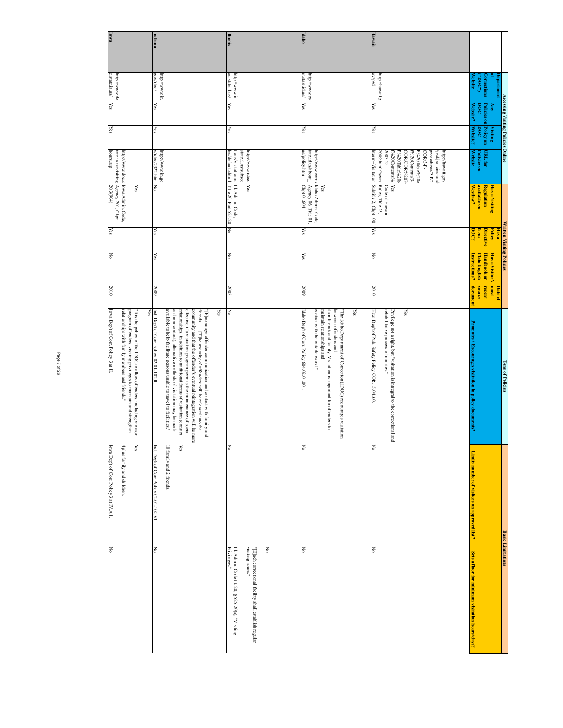|              |                                                   |                  | Accessing Visiting Policies Online |                                                                                                           |                                            | Written Visiting Policies |                                     |                           | <b>Tone of Policies</b>                                                                                                                                                                                                                                                         | <b>Basic Limitations</b>                           |                                                                          |
|--------------|---------------------------------------------------|------------------|------------------------------------|-----------------------------------------------------------------------------------------------------------|--------------------------------------------|---------------------------|-------------------------------------|---------------------------|---------------------------------------------------------------------------------------------------------------------------------------------------------------------------------------------------------------------------------------------------------------------------------|----------------------------------------------------|--------------------------------------------------------------------------|
|              | <b>Department</b>                                 | Ę                | <b>Visiting</b>                    |                                                                                                           | Has a Visiting                             | Policy<br><b>Has</b> a    | Has a Visitor's                     | $180 \text{m}$<br>Date of |                                                                                                                                                                                                                                                                                 |                                                    |                                                                          |
|              | $\left(\right.$ and $\left(\right.$<br>orrections | Policies on<br>š | Policy on<br>poc                   | URL for<br>Policies on                                                                                    | <b>Regulation</b>                          | Directive                 | <b>Handbook or</b>                  | recent                    |                                                                                                                                                                                                                                                                                 |                                                    |                                                                          |
|              | (ensute                                           |                  |                                    | Website                                                                                                   | available on<br>Westlaw?                   | from<br>ğ                 | Plain English<br><b>Baractions?</b> | source<br><b>Secure</b>   | Encourages visitation in                                                                                                                                                                                                                                                        | imits number of visitors on approved list?<br>Sets | floor for minimum visitation hours/days?                                 |
|              |                                                   |                  |                                    |                                                                                                           |                                            |                           |                                     |                           |                                                                                                                                                                                                                                                                                 |                                                    |                                                                          |
|              |                                                   |                  |                                    | COR/3-P-<br>procedures/P-P/3<br>http://hawaii.gov<br>P%20Table%20o<br>P%20Contents/3-<br>psd/policies-and |                                            |                           |                                     |                           |                                                                                                                                                                                                                                                                                 |                                                    |                                                                          |
|              | http://hawaii.g                                   | Yes              |                                    | 2003-23-<br>COR/COR%20P<br>2009.html/?searc Rules, Title 23,<br>P/a20Contents%<br>P%20Table%20c           | Yes<br>Code of Hawaii                      |                           | ξ                                   | 2010                      | Yes<br>rehabilitative process of inmates."<br>Privilege not a right, but "visitation is intregral to the correctional and                                                                                                                                                       |                                                    |                                                                          |
| Hawaii       | beq/vo                                            |                  | $Y$ es                             | hterm=Visitation                                                                                          | Subtitle 2, Chpt 100                       | $\overline{\text{Yes}}$   |                                     |                           | Yes<br>Haw. Dep't of Pub. Safety Policy COR.15.04.3.0.                                                                                                                                                                                                                          | ķο<br>Κ                                            |                                                                          |
|              |                                                   |                  |                                    | http://www.corr.s                                                                                         | Idaho Admin. Code,<br>Yes                  |                           |                                     |                           | maintain relationships and<br>contact with the outside world."<br>their friends and family. Visitation is important for offenders to<br>between offenders and<br>"The Idaho Department of Correction (IDOC) encourages visitation                                               |                                                    |                                                                          |
| <b>Idaho</b> | r.state.id.us/<br>риф://www.co                    | Yes              | $Y$ es                             | us/policy.htm<br>tate.id.us/about_                                                                        | Agency 06, Title 01,<br>Chpt 01.604        | Yes                       | Yes                                 | 2009                      | daho Dep't of Corr. Policy 604.02.01.001                                                                                                                                                                                                                                        | ķο<br>Κo                                           |                                                                          |
|              |                                                   |                  |                                    |                                                                                                           |                                            |                           |                                     |                           |                                                                                                                                                                                                                                                                                 | $\mathop{\leq}$                                    |                                                                          |
|              |                                                   |                  |                                    | http://www.idoc.                                                                                          | Yes                                        |                           |                                     |                           |                                                                                                                                                                                                                                                                                 |                                                    | visiting hours."<br>[E]ach correctional facility shall establish regular |
| lllinois     | http://www.id<br>oc.state.il.us/                  | Yes              | $\chi_{\rm{es}}$                   | tions/visitationru<br>les/default.shtml<br>state.il.us/subsec                                             | Title 20, Part 525.20<br>III. Admin. Code, | Ko                        | Š                                   | 2003                      | š                                                                                                                                                                                                                                                                               | Š<br>Privileges."                                  | III. Adnin. Code tit. 20, § 525.20(a), "Visiting                         |
|              |                                                   |                  |                                    |                                                                                                           |                                            |                           |                                     |                           | Yes                                                                                                                                                                                                                                                                             |                                                    |                                                                          |
|              |                                                   |                  |                                    |                                                                                                           |                                            |                           |                                     |                           | effective if a visitation program permits the maintenance of social<br>community and that the offender's eventual reintegration will be more<br>friends [T]he majority of offenders will be released into the<br>[E]ncourage offender communication and contact with family and |                                                    |                                                                          |
|              |                                                   |                  |                                    |                                                                                                           |                                            |                           |                                     |                           | available to help facilitate persons unable to travel to facilities."<br>and non-contact), alternative methods of visitation may be made<br>relationships. In addition to traditional forms of visitation (contact                                                              | Yes<br>10 family and 2 friends.                    |                                                                          |
| Indiana      | gov/idoc/<br>http://www.in.                       | Yes              | $\chi_{\rm{es}}$                   | http://www.in.go<br>v/idoc/2322.htm                                                                       | δŃ                                         | Yes                       | Yes                                 | 2009                      | Ind. Dep't of Corr. Policy 02-01-102.II.<br>Yes                                                                                                                                                                                                                                 | Ind. Dep't of Corr. Policy 02-01-102.VI<br>ζ       |                                                                          |
|              |                                                   |                  |                                    |                                                                                                           |                                            |                           |                                     |                           |                                                                                                                                                                                                                                                                                 |                                                    |                                                                          |
|              |                                                   |                  |                                    |                                                                                                           | Yes                                        |                           |                                     |                           | It is the policy of the IDOC to allow offenders, including violator                                                                                                                                                                                                             | $X$ es                                             |                                                                          |
|              | http://www.do                                     |                  |                                    |                                                                                                           | http://www.doc.s lowa Admin. Code          |                           |                                     |                           | program offenders, visiting privileges to maintain and strengthen<br>relationships with family members and friends."                                                                                                                                                            | 4 plus family and children.                        |                                                                          |
| гмот         | c.state.ia.us/                                    | Yes              | $\chi_{\rm{es}}$                   | hours.asp<br>tate.ia.us/visiting                                                                          | 20.3(904)<br>Agency 201, Chpt              | Yes                       | Š                                   | 2010                      | lowa Dep't of Corr. Policy 3 at II.                                                                                                                                                                                                                                             | Iowa Dept of Corr. Policy 3 at IV.A.1<br>$\leq$    |                                                                          |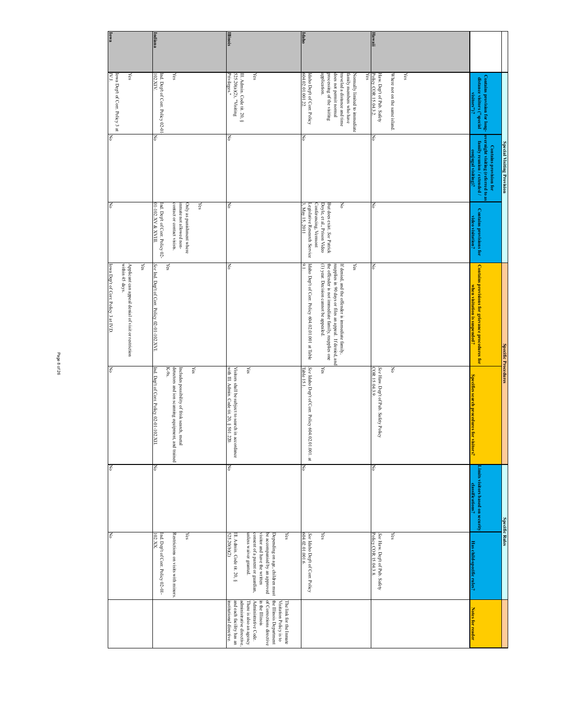|               |                                                                                                                                                                                                                           | Special Visiting Provision                                                                                         |                                                                                                                                                                   | Specific Procedures                                                                                                                                                                                                                                                             |                                                                                                                                                                 | Specific Rules                                       |                                                                                                                                                                                                                             |                                                                                                                                                                                                                                                                     |
|---------------|---------------------------------------------------------------------------------------------------------------------------------------------------------------------------------------------------------------------------|--------------------------------------------------------------------------------------------------------------------|-------------------------------------------------------------------------------------------------------------------------------------------------------------------|---------------------------------------------------------------------------------------------------------------------------------------------------------------------------------------------------------------------------------------------------------------------------------|-----------------------------------------------------------------------------------------------------------------------------------------------------------------|------------------------------------------------------|-----------------------------------------------------------------------------------------------------------------------------------------------------------------------------------------------------------------------------|---------------------------------------------------------------------------------------------------------------------------------------------------------------------------------------------------------------------------------------------------------------------|
|               | Contains provision for long-<br>distance visitors ("special<br>ditors")                                                                                                                                                   | overnight visiting (referred to as<br>family reunion / extended /<br>Contains provision for<br>conjugal visiting)? | Contains provisions for<br>video visitation?                                                                                                                      | Contains provisions for grievance procedures for<br>when visitation is suspended?                                                                                                                                                                                               | <b>Specifies search</b><br>procedures for<br>iara f                                                                                                             | imits visitors based on security<br>classifications? | Ias child-specific rules?                                                                                                                                                                                                   | Notes for reader                                                                                                                                                                                                                                                    |
|               | $\chi_{\rm{es}}$                                                                                                                                                                                                          |                                                                                                                    |                                                                                                                                                                   |                                                                                                                                                                                                                                                                                 |                                                                                                                                                                 |                                                      |                                                                                                                                                                                                                             |                                                                                                                                                                                                                                                                     |
| <b>Hawaii</b> | Where not on the same island.<br>Policy COR. 15.04.3.2.<br>Haw. Dep't of Pub. Safety                                                                                                                                      | δĀ                                                                                                                 | Š                                                                                                                                                                 | š                                                                                                                                                                                                                                                                               | COR.15.04.3.9.<br>Š<br>See Haw. Dep't of Pub. Safety Policy                                                                                                     | Š                                                    | Policy COR.15.04.3.8.<br>See Haw. Dep't of Pub. Safety<br>Yes                                                                                                                                                               |                                                                                                                                                                                                                                                                     |
| <b>Idaho</b>  | ks<br>604.02.01.001.22.<br>processing of the visiting<br>application.<br>does not permit normal<br>traveled a distance and time<br>family members who have<br>Normally limited to immediate<br>daho Dep't of Corr. Policy | ΙŠ                                                                                                                 | $\overline{\mathbf{S}}$<br>Doyle, et al., Prison Video<br>3, May 15, 2011<br>Conferencing, Vermont<br>But does exist. See Patrick<br>Legislative Research Service | ldaho Dept of Corr. Policy 604.02.01.001 at Table<br>9,1.<br>the offender is not immediate family, reapplies one $(1)$ year. Decision cannot be appealed.<br>Yes<br>reapplies in 90 days or files an appeal. If denied, and<br>If denied, and the offender is immediate family, | See Idaho Dep <sup>t</sup> of Corr. Policy 604.02.01.001. at<br>Yes<br>Table 15.1                                                                               | Κ                                                    | See Idaho Dept of Corr. Policy<br><u>604.02.01.001.6</u> .<br>Yes                                                                                                                                                           |                                                                                                                                                                                                                                                                     |
| Illinois      | 525.20(a)(2), "Visiting<br>Privileges."<br>Yes<br>III. Admin. Code tit. 20, §                                                                                                                                             | δ                                                                                                                  | Š                                                                                                                                                                 | ζ                                                                                                                                                                                                                                                                               | Visitors shall be subject to search in accordance with III. Admin. Code tit. $20$ , $\S$ 501.220.<br>Yes                                                        | ζ                                                    | 525.20(b)(2)<br>III. Admin. Code tit. 20, §<br>consent of a parent or guardian,<br>unless waiver granted.<br>visitor and have the written<br>be accompanied by an approved<br><b>Yes</b><br>Depending on age, children must | the Illinois Department<br>Administrative Code.<br>of Corrections directive<br>and each facility has an<br>administrative directive,<br>in the Illinois<br>Visitation Policy is to<br>nstitutional directive.<br>There is also an agency<br>The link for the Inmate |
| Indiana       | $\chi_{\rm{GS}}$<br>Ind. Dep't of Corr. Policy 02-01<br>102.XIV.                                                                                                                                                          | ŠΔ                                                                                                                 | immate not allowed non-<br>contact or contact visists.<br>Ind. Dept of Corr. Policy 02-<br>01-102.XV & XVIII.<br>Only as punishment where<br>$\chi_{\rm{es}}$     | Yes<br>See Ind. Dep't of Corr. Policy 02-01-102 XVI                                                                                                                                                                                                                             | $K-9s$ .<br>detectors and ion scanning equipment, and trained<br>Yes<br>Ind. Dep't of Corr. Policy 02-01-102.XII<br>Includes possibility of frisk search, metal | š                                                    | Restrictions on visits with minors<br>Yes<br>Ind. Dep't of Corr. Policy 02-01-<br>102.XX.                                                                                                                                   |                                                                                                                                                                                                                                                                     |
| lowa          | lowa Dep't of Corr. Policy 3 at<br>IV.J.<br>Yes                                                                                                                                                                           | δ                                                                                                                  | No                                                                                                                                                                | lowa Dep't of Corr. Policy 3 at IV.D.<br>within 45 days.<br>Applicant can appeal denial of visit or restriction<br>Yes                                                                                                                                                          | No                                                                                                                                                              | Νo                                                   | Š                                                                                                                                                                                                                           |                                                                                                                                                                                                                                                                     |

Page 8 of 26 Page 8 of 26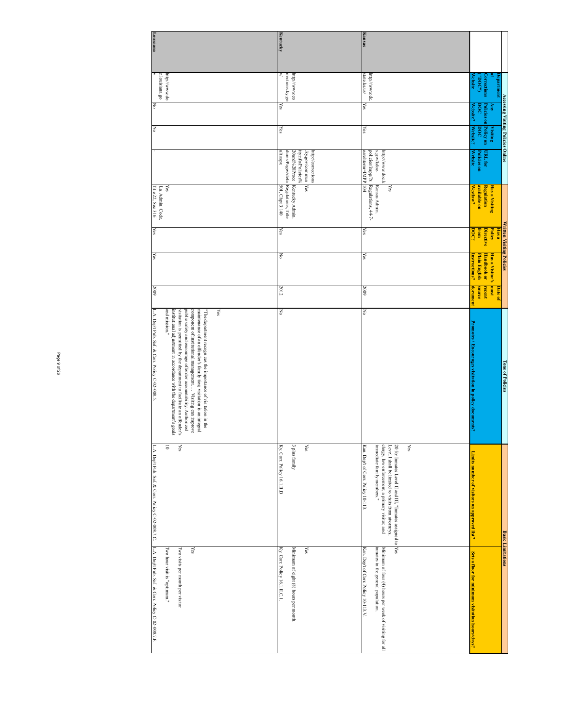|                 |                                        |                  | Accessing Visiting Policies Online |                                                                                                           |                                                                 | <b>Written Visiting Policies</b> |                                |                        | <b>Tone of Policies</b>                                                                                                                                                                                |                                                                                                                                                                                                         | <b>Basic Limitations</b>                                                                     |
|-----------------|----------------------------------------|------------------|------------------------------------|-----------------------------------------------------------------------------------------------------------|-----------------------------------------------------------------|----------------------------------|--------------------------------|------------------------|--------------------------------------------------------------------------------------------------------------------------------------------------------------------------------------------------------|---------------------------------------------------------------------------------------------------------------------------------------------------------------------------------------------------------|----------------------------------------------------------------------------------------------|
|                 | Department                             |                  |                                    |                                                                                                           |                                                                 | <b>Has</b> a                     |                                | Date of                |                                                                                                                                                                                                        |                                                                                                                                                                                                         |                                                                                              |
|                 | <b>Jorrections</b>                     | Policies on<br>Ę | Policy on<br><b>Visiting</b>       | URL for                                                                                                   | <b>Regulation</b><br>Has a Visiting                             | Directive<br>Policy              | Has a Visitor's<br>Handbook or | <b>180CH</b><br>recent |                                                                                                                                                                                                        |                                                                                                                                                                                                         |                                                                                              |
|                 | "DOC")                                 | 50c              | <b>DOC</b>                         | <b>Policies on</b>                                                                                        | available on                                                    | from                             | <b>Plain English</b>           | source                 |                                                                                                                                                                                                        |                                                                                                                                                                                                         |                                                                                              |
|                 | Website                                | Website?         | Website?                           | <b>Website</b>                                                                                            | Westlaw?                                                        | <u>၁၀</u>                        | nstructions?                   | docume                 | Promotes<br>' Encourages visitation in policy documents?                                                                                                                                               | Limits number of visitors on approved list?                                                                                                                                                             | Sets a floor for minimum visitation hours/days?                                              |
|                 |                                        |                  |                                    | s.gov/kdoc-<br>http://www.doc.k                                                                           | Kansas Admin.<br>Yes                                            |                                  |                                |                        |                                                                                                                                                                                                        | clergy, law enforcement, a primary visitor, and<br>immediate family members."<br>Yes<br>Level I shall be limited to visits from attorneys,<br>20 for Inmates Level II and III, "Inmates assigned to Yes | Minimum of four (4) hours per week of visiting for all<br>inmates in the general population. |
| Kansas          | state.ks.us/<br>http://www.dc.         | Yes              | Yes                                | earchterm=IMPP<br>policies/impp/2s                                                                        | Regulations, 44-7-<br>104                                       | Yes                              | Yes                            | 2009                   | ζ                                                                                                                                                                                                      | Kan. Dep't of Corr. Policy 10-113.                                                                                                                                                                      | Kan. Dep't of Corr. Policy 10-113.V.                                                         |
|                 |                                        |                  |                                    |                                                                                                           |                                                                 |                                  |                                |                        |                                                                                                                                                                                                        |                                                                                                                                                                                                         |                                                                                              |
| <b>Kentucky</b> | rrections.ky.go<br>http://www.co<br>≤. | Yes              | Yes                                | dures/Pages/defa<br>20and%20Proce<br>ityinfo/Policies%<br>http://corrections<br>ult.aspx<br>hy.gov/commun | Regulations, Title<br>Kentucky Admin.<br>Yes<br>501, Chpt 3:140 | Yes                              | $\leq$                         | 2012                   | Š                                                                                                                                                                                                      | 3 plus family<br>Ky. Cor. Policy 16.1.II.D<br>Yes                                                                                                                                                       | Ky. Corr. Policy 16.1.II.C.1<br>Minimum of eight (8) hours per month.<br>Yes                 |
|                 |                                        |                  |                                    |                                                                                                           |                                                                 |                                  |                                |                        |                                                                                                                                                                                                        |                                                                                                                                                                                                         |                                                                                              |
|                 |                                        |                  |                                    |                                                                                                           |                                                                 |                                  |                                |                        | Yes<br>maintenance of an offender's family ties; visitation is an integral<br>"The department recognizes the importance of visitation in the                                                           |                                                                                                                                                                                                         | Yes                                                                                          |
|                 |                                        |                  |                                    |                                                                                                           |                                                                 |                                  |                                |                        | public safety and encourage offender accountability. Authorized<br>component of institutional management Visiting can improve<br>visitation is permitted by the department to facilitate an offender's | Yes                                                                                                                                                                                                     | Two visits per month per visitor                                                             |
|                 | c.louisiana.go<br>http://www.do        |                  |                                    |                                                                                                           | χes                                                             |                                  |                                |                        | institutional adjustment in accordance with the department's goals and mission." $\,$                                                                                                                  | $\overline{\circ}$                                                                                                                                                                                      | Two hour visit is "optimum."                                                                 |
| Louisiana       |                                        | š                | ŠΣ                                 |                                                                                                           | La Admin Code,<br>Title 22, Sec 316                             | $\frac{1}{2}$                    | Yes                            | 2009                   | L.A. Dep't Pub. Saf. & Corr. Policy C-02-008.5.                                                                                                                                                        | L.A. Dept Pub. Saf. & Corr. Policy C-02-008.7.C.                                                                                                                                                        | L.A. Dept Pub. Saf. & Corr. Policy C-02-008.7.F.                                             |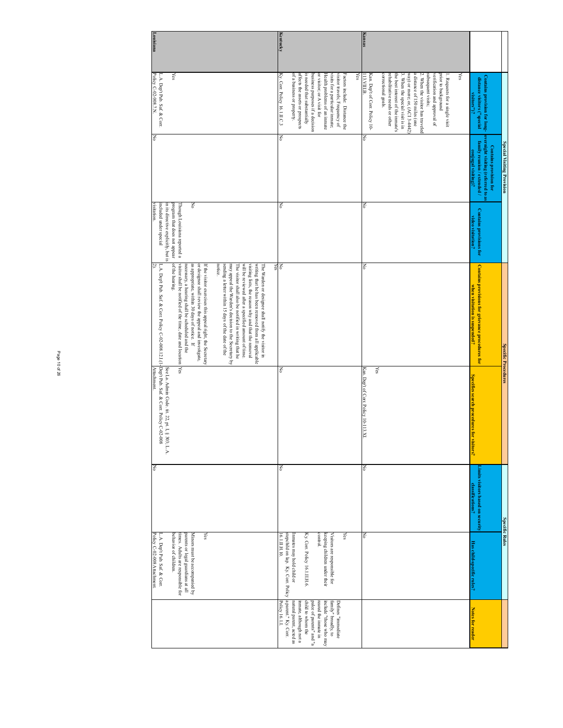|           |                                                                                                                                                                                                                                                                                                                                                                                  |                                                                                                                                               |                                                                                                             | Specific Procedures                                                                                                                                                                                                                                                                                                                                                                                       |                                                                | <b>Specific Rules</b>                                |                                                                                                                                                                                     |                                                                                                                                                                                                                            |
|-----------|----------------------------------------------------------------------------------------------------------------------------------------------------------------------------------------------------------------------------------------------------------------------------------------------------------------------------------------------------------------------------------|-----------------------------------------------------------------------------------------------------------------------------------------------|-------------------------------------------------------------------------------------------------------------|-----------------------------------------------------------------------------------------------------------------------------------------------------------------------------------------------------------------------------------------------------------------------------------------------------------------------------------------------------------------------------------------------------------|----------------------------------------------------------------|------------------------------------------------------|-------------------------------------------------------------------------------------------------------------------------------------------------------------------------------------|----------------------------------------------------------------------------------------------------------------------------------------------------------------------------------------------------------------------------|
|           | Contains provision for long-<br>distance visitors ("special<br><b>STOTES</b>                                                                                                                                                                                                                                                                                                     | overnight visiting (referred to as<br>family reunion / extended /<br>Special Visiting Provision<br>Contains provision for<br>iugal visiting)? | Contains provisions for<br>rideo visitation?                                                                | Contains provisions for grievance procedures for<br>when visitation is suspended?                                                                                                                                                                                                                                                                                                                         | Specifies search procedures for <b>v</b><br><b>Lers?</b>       | imits visitors based on security<br>classifications? | Has child-specific rules?                                                                                                                                                           | <b>Notes for reader</b>                                                                                                                                                                                                    |
|           | Yes                                                                                                                                                                                                                                                                                                                                                                              |                                                                                                                                               |                                                                                                             |                                                                                                                                                                                                                                                                                                                                                                                                           |                                                                |                                                      |                                                                                                                                                                                     |                                                                                                                                                                                                                            |
|           | correctional goals.<br>Kan. Dep't of Corr. Policy 10-<br>the best interest of the inmate's<br>3. When the special visit is in<br>verification and approval of<br>prior to background<br>cehabilitative needs or other<br>a distance of 150 miles (one<br>2. When the visitor has traveled<br>subsequent visits;<br>way) or more; or, (ACI 3-4442)<br>Requests for a single visit |                                                                                                                                               |                                                                                                             |                                                                                                                                                                                                                                                                                                                                                                                                           | Yes                                                            |                                                      |                                                                                                                                                                                     |                                                                                                                                                                                                                            |
| Kansas    | Yes<br>13. VIII.B.                                                                                                                                                                                                                                                                                                                                                               | No                                                                                                                                            | Š                                                                                                           | š                                                                                                                                                                                                                                                                                                                                                                                                         | Kan. Dep't of Corr. Policy 10-113.XI.                          | Š                                                    | Š                                                                                                                                                                                   |                                                                                                                                                                                                                            |
|           | of a business or property.<br>or visitor; or A visit for<br>is needed that substantially<br>Health problems of an inmate<br>visits for a particular inmate;<br>visitor travels; Frequency of<br>affects the assets or prospects<br>business purposes if a decision<br>Factors include: Distance the                                                                              |                                                                                                                                               |                                                                                                             |                                                                                                                                                                                                                                                                                                                                                                                                           |                                                                |                                                      | stepchild on lap. Ky. Corr. Policy<br>Ky. Corr. Policy 16.1.II.H.6.<br>control.<br>Visitors are responsible for<br>keeping children under their<br>Yes<br>Inmates may hold child or | a parent." Ky. Corr.<br>child to whom the<br>include "those who may<br>family" broadly, to<br>Defines "immediate<br>palce of parents" and "a<br>reared the inmate in<br>imnate, although not a<br>aatural parent, acted as |
| Kentucky  | Ky. Corr. Policy 16.1.II.C.3                                                                                                                                                                                                                                                                                                                                                     | δÄ                                                                                                                                            | š                                                                                                           | Nos                                                                                                                                                                                                                                                                                                                                                                                                       | Š                                                              | Š                                                    | 16.1.II.H.10                                                                                                                                                                        | Policy 16.1.I                                                                                                                                                                                                              |
|           |                                                                                                                                                                                                                                                                                                                                                                                  |                                                                                                                                               |                                                                                                             | notice.<br>sending a letter within 15 days of the date of the<br>may appeal the Warden's decision to the Secretary by<br>will be reviewed after a specified amount of time.<br>visiting lists, the reason why and that the removal<br>writing that he has been removed from all applicable<br>The Warden or designee shall notify the visitor in<br>The visitor shall also be notified in writing that he |                                                                |                                                      |                                                                                                                                                                                     |                                                                                                                                                                                                                            |
|           |                                                                                                                                                                                                                                                                                                                                                                                  |                                                                                                                                               | Σρ<br>Though Louisiana reported a                                                                           | or designee shall review the appeal and investigate,<br>visitor shall be notified of the time, date and location  Yes<br>as appropriate, within 30 days of notice. If<br>necessary, a hearing shall be scheduled and the<br>If the visitor exercises this appeal right, the Secretary                                                                                                                     |                                                                |                                                      | times. Adults are responsible for<br>parents or legal guardians at all<br>Minors must be accompanied by<br>Yes                                                                      |                                                                                                                                                                                                                            |
| Louisiana | Yes<br>Policy C-02-008.7.N<br>.A. Dep't Pub. Saf. & Corr.                                                                                                                                                                                                                                                                                                                        | Š                                                                                                                                             | included under special<br>in its directive explicitly, but is<br>visitation<br>program that does not appear | of the hearing.<br>L.A. Dep't Pub. Saf. & Corr. Policy C-02-008.12.1.(1 $\frac{1}{2}$ Dep't Pub. Saf. & Corr. Policy C-02-008                                                                                                                                                                                                                                                                             | See La. Admin Code. tit. 22, pt. I, § 303; L.A.<br>Attachment. | ζ                                                    | behavior of children<br>Policy C-02-008 Attachment<br>L.A. Dep't Pub. Saf. & Corr.                                                                                                  |                                                                                                                                                                                                                            |

Page 10 of 26 Page 10 of 26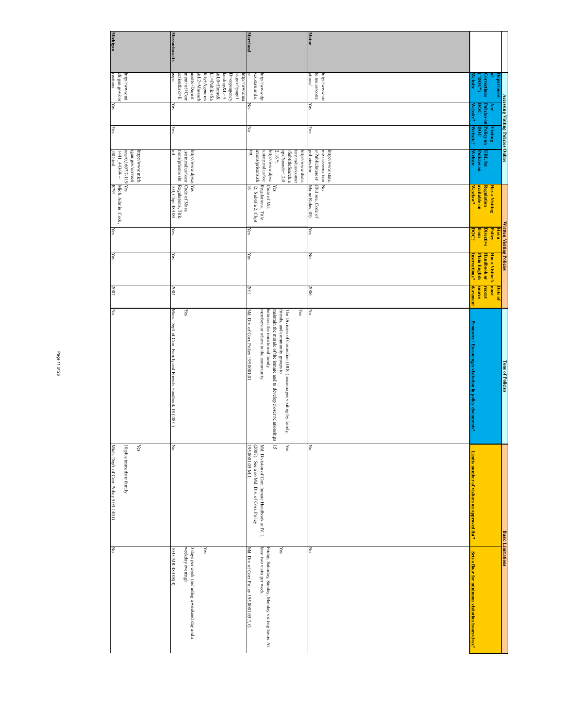|               |                                                                                        |               | Accessing Visiting Policies Online |                                                           |                                                      | Written Visiting        | Policies           |                | <b>Tone of Policies</b>                                                                             | <b>Basic Limitations</b>                       |                                                                                   |
|---------------|----------------------------------------------------------------------------------------|---------------|------------------------------------|-----------------------------------------------------------|------------------------------------------------------|-------------------------|--------------------|----------------|-----------------------------------------------------------------------------------------------------|------------------------------------------------|-----------------------------------------------------------------------------------|
|               | partment                                                                               |               |                                    |                                                           |                                                      | Has a                   |                    | <b>Jate of</b> |                                                                                                     |                                                |                                                                                   |
|               |                                                                                        | Áшу           | Visiting                           |                                                           | Has a Visiting                                       | Policy                  | Has a Visitor's    | 180CH          |                                                                                                     |                                                |                                                                                   |
|               | Corrections                                                                            | Policies on   | Policy on                          | URL for                                                   | <b>Regulation</b>                                    | <b>Directive</b>        | <b>Handbook or</b> | recent         |                                                                                                     |                                                |                                                                                   |
|               | (1,0.001)                                                                              | 500           | 500                                | <b>Policies on</b>                                        | available on                                         | from                    | Plain English      | source         |                                                                                                     |                                                |                                                                                   |
|               |                                                                                        |               |                                    |                                                           |                                                      |                         |                    |                |                                                                                                     |                                                |                                                                                   |
|               | lehsite                                                                                |               |                                    | Website                                                   | Westlaw?                                             | ă                       | ustructions?       | locum          | moments<br>konod un                                                                                 | Limits number of visitors on approved list?    | Sets a floor for minimum visitation hours/days?                                   |
|               |                                                                                        |               |                                    |                                                           |                                                      |                         |                    |                |                                                                                                     |                                                |                                                                                   |
|               |                                                                                        |               |                                    |                                                           |                                                      |                         |                    |                |                                                                                                     |                                                |                                                                                   |
|               |                                                                                        |               |                                    |                                                           |                                                      |                         |                    |                |                                                                                                     |                                                |                                                                                   |
|               |                                                                                        |               |                                    |                                                           |                                                      |                         |                    |                |                                                                                                     |                                                |                                                                                   |
|               |                                                                                        |               |                                    |                                                           |                                                      |                         |                    |                |                                                                                                     |                                                |                                                                                   |
|               |                                                                                        |               |                                    |                                                           |                                                      |                         |                    |                |                                                                                                     |                                                |                                                                                   |
|               |                                                                                        |               |                                    |                                                           |                                                      |                         |                    |                |                                                                                                     |                                                |                                                                                   |
|               |                                                                                        |               |                                    |                                                           |                                                      |                         |                    |                |                                                                                                     |                                                |                                                                                   |
|               |                                                                                        |               |                                    |                                                           |                                                      |                         |                    |                |                                                                                                     |                                                |                                                                                   |
|               |                                                                                        |               |                                    |                                                           |                                                      |                         |                    |                |                                                                                                     |                                                |                                                                                   |
|               |                                                                                        |               |                                    | http://www.state.                                         |                                                      |                         |                    |                |                                                                                                     |                                                |                                                                                   |
|               | http://www.sta                                                                         |               |                                    | me.us/correction                                          | οN                                                   |                         |                    |                |                                                                                                     |                                                |                                                                                   |
|               | te.me.us/corre                                                                         |               |                                    | s/PublicInterest/                                         | (But see, Code of                                    | $\overline{\text{Yes}}$ | Š                  |                |                                                                                                     |                                                | Š                                                                                 |
| Maine         | ctions/                                                                                | Yes           | Yes                                | policies.htm                                              | Maine Rules, 03)                                     |                         |                    | 2006           | š                                                                                                   | Š                                              |                                                                                   |
|               |                                                                                        |               |                                    | tate.md.us/comar<br>/SubtitleSearch.a<br>http://www.dsd.s |                                                      |                         |                    |                | Yes                                                                                                 |                                                |                                                                                   |
|               |                                                                                        |               |                                    | spx?search=12.0                                           |                                                      |                         |                    |                | friends, and community groups to<br>The Division of Correction (DOC) encourages visiting by family, | Yes                                            | $\chi_{\rm{es}}$                                                                  |
|               |                                                                                        |               |                                    | http://www.dpsc<br>$2.16.*$                               | Yes                                                  |                         |                    |                | maintain the morale of the inmate and to develop closer relationships                               | $\overline{5}$                                 |                                                                                   |
|               | processive dp                                                                          |               |                                    | s.state.md.us/loc                                         | Regulations. Title<br>Code of Md.                    |                         |                    |                | between the inmate and family<br>members or others in the community.                                | Md. Division of Corr. Inmate Handbook at IV. L | least two visits per week.<br>Friday, Saturday, Sunday, Monday visiting hours. At |
|               | scs.state.md.u                                                                         |               |                                    | 틸<br>ations/prisons.sh                                    | $\frac{1}{16}$ , Subtitle 2, Chpt<br>$\frac{16}{16}$ |                         |                    |                |                                                                                                     | (2007). See also Md. Div. of Corr. Policy      |                                                                                   |
| Maryland      |                                                                                        | Š             | Š                                  |                                                           |                                                      | Yes                     | Yes                | 2011           | Md. Div. of Corr. Policy 195.0001.01                                                                | 195.0001.05.M.1.                               | Md. Div. of Corr. Policy 195.0001.05.F, G.                                        |
|               | ss.gov/?page1<br>http://www.ma                                                         |               |                                    |                                                           |                                                      |                         |                    |                |                                                                                                     |                                                |                                                                                   |
|               |                                                                                        |               |                                    |                                                           |                                                      |                         |                    |                |                                                                                                     |                                                |                                                                                   |
|               | $\begin{array}{ll} \mathrm{Deopsagency} \\ \mathrm{landing}\& \mathrm{Id} \end{array}$ |               |                                    |                                                           |                                                      |                         |                    |                |                                                                                                     |                                                |                                                                                   |
|               | &L0=Home&                                                                              |               |                                    |                                                           |                                                      |                         |                    |                |                                                                                                     |                                                |                                                                                   |
|               | $L1 =$ Public+Sa                                                                       |               |                                    |                                                           |                                                      |                         |                    |                |                                                                                                     |                                                |                                                                                   |
|               | &L2=Massach<br>$fety+Agenices$                                                         |               |                                    |                                                           |                                                      |                         |                    |                |                                                                                                     |                                                | Yes                                                                               |
|               | usetts+Depart                                                                          |               |                                    | http://www.dpscs/Yes                                      |                                                      |                         |                    |                |                                                                                                     |                                                | 3 days per week (including a weekend day and a                                    |
|               | ment+of+Corr                                                                           |               |                                    | state.md.us/loca                                          | Code of Mass.                                        |                         |                    |                | Yes                                                                                                 |                                                | weekday evening)                                                                  |
|               | ection&sid=E                                                                           |               |                                    | tions/prisons sht Regulations, Title<br>ml                |                                                      |                         |                    |                |                                                                                                     |                                                |                                                                                   |
| Massachusetts | sqo                                                                                    | Yes           | $\frac{1}{2}$                      |                                                           |                                                      | Yes                     | Yes                | 2004           | Mass. Dep't of Corr. Family and Friends Handbook 18 (2001)                                          | ē                                              | 103 CMR 483.08(4)                                                                 |
|               |                                                                                        |               |                                    |                                                           |                                                      |                         |                    |                |                                                                                                     |                                                |                                                                                   |
|               |                                                                                        |               |                                    |                                                           |                                                      |                         |                    |                |                                                                                                     |                                                |                                                                                   |
|               |                                                                                        |               |                                    |                                                           |                                                      |                         |                    |                |                                                                                                     | Yes                                            |                                                                                   |
|               |                                                                                        |               |                                    | igan.gov/correcti<br>http://www.mich                      |                                                      |                         |                    |                |                                                                                                     |                                                |                                                                                   |
|               | http://www.mi<br>chigan.gov/cor                                                        |               |                                    | ons/0,1607,7-119                                          | Yes                                                  |                         |                    |                |                                                                                                     | 10 plus immediate family                       |                                                                                   |
| Michigan      | rections                                                                               | $\frac{1}{2}$ | Yes                                | .00.html<br>$1441 - 4369 -$                               | $\overline{1628}$<br>Mich. Admin. Code,              | $\sqrt{es}$             | Yes                | 2007           | ΙŠ                                                                                                  | Mich. Dept. of Corr. Policy 5.03.140.G         | ko                                                                                |
|               |                                                                                        |               |                                    |                                                           |                                                      |                         |                    |                |                                                                                                     |                                                |                                                                                   |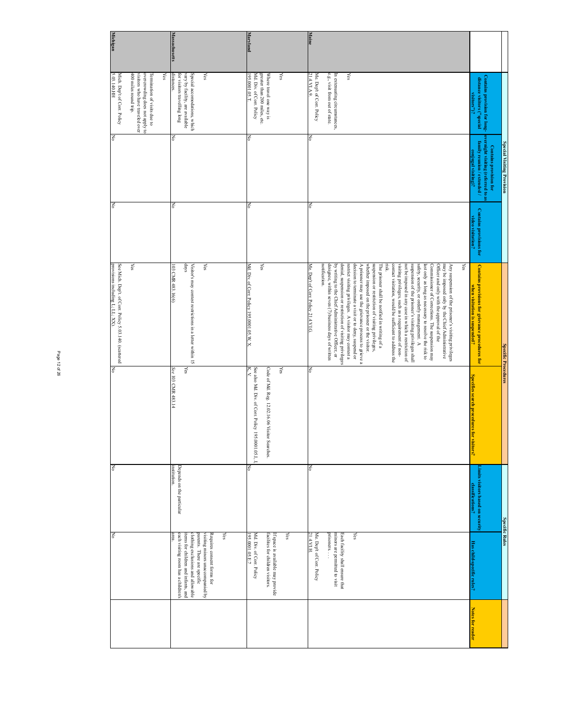|               |                                                                                                                                   | Special Visiting Provision                                                                                     |                                             | <b>Specific Procedures</b>                                                                                                                                                                                                                                                                                                                                                                                                                                                                                                                                                                                                                                                                                                                                                                                                                                                                                                                                                                                                                                                                    |                                                                                                                            |                                                      | <b>Specific Rules</b>                                                                                                                                                                                                            |                         |
|---------------|-----------------------------------------------------------------------------------------------------------------------------------|----------------------------------------------------------------------------------------------------------------|---------------------------------------------|-----------------------------------------------------------------------------------------------------------------------------------------------------------------------------------------------------------------------------------------------------------------------------------------------------------------------------------------------------------------------------------------------------------------------------------------------------------------------------------------------------------------------------------------------------------------------------------------------------------------------------------------------------------------------------------------------------------------------------------------------------------------------------------------------------------------------------------------------------------------------------------------------------------------------------------------------------------------------------------------------------------------------------------------------------------------------------------------------|----------------------------------------------------------------------------------------------------------------------------|------------------------------------------------------|----------------------------------------------------------------------------------------------------------------------------------------------------------------------------------------------------------------------------------|-------------------------|
|               | Contains provision for long-<br>distance visitors ("special<br>Elitors")?                                                         | overnight visiting (referred to as<br>family reunion / extended /<br>Contains provision for<br>ugal visiting)? | Contains provisions for<br>ideo visitation? | Contains provisions for grievance procedures for<br>when visitation is suspended?                                                                                                                                                                                                                                                                                                                                                                                                                                                                                                                                                                                                                                                                                                                                                                                                                                                                                                                                                                                                             | Specifies search procedures for <b>v</b><br>isrs?                                                                          | imits visitors based on security<br>classifications? | Has child-specific rules?                                                                                                                                                                                                        | <b>Notes for reader</b> |
|               | e.g., visit from out of state.<br>Yes<br>In extenuating circumstances,                                                            |                                                                                                                |                                             | Officer and only with the approval of the<br>A prisoner may use the grievance process to grieve a<br>suspension or restriction of visiting privileges,<br>contact visitation, would be sufficient to address the<br>suspension of the prisoner's visiting privileges shall<br>Commissioner of Corrections. The suspension may<br>last only as long as necessary to resolve the risk to<br>may be imposed only by the Chief Administrative<br>Any suspension of the prisoner's visiting privileges<br>Yes<br>notification<br>designee, within se ven (7) business days of written<br>by writing to the Chief Administrative Officer, or<br>denial, suspension or restriction of visiting privileges<br>restrict visiting privileges. A visitor may contest a<br>whether imposed on the prisoner or the visitor.<br>The prisoner shall be notified in writing of a<br>risk.<br>visiting privileges, such as a requirement of non-<br>not be imposed in any case in which a restriction of<br>safety, security, or orderly management. A<br>decision to terminate a visit or to deny, suspend or |                                                                                                                            |                                                      | prisoners<br>minors are permitted to visit<br>Yes<br>Each facility shall ensure that                                                                                                                                             |                         |
| Maine         | Me. Dep't of Corr. Policy<br>21.4.VLA.9.                                                                                          | δ                                                                                                              | Š                                           | Me. Dept of Corr. Policy 21.4.VI.G.                                                                                                                                                                                                                                                                                                                                                                                                                                                                                                                                                                                                                                                                                                                                                                                                                                                                                                                                                                                                                                                           | Κo                                                                                                                         | Š                                                    | 21.4.VLH.<br>Me. Dep't of Corr. Policy                                                                                                                                                                                           |                         |
| Maryland      | Md. Div. of Corr. Policy<br>greater than 200 miles, etc.<br>Where travel one way is<br>Yes<br>195.0001.05.T.                      | Κo                                                                                                             | š                                           | Md. Div. of Cort. Policy 195.0001.05.W, X<br>Yes                                                                                                                                                                                                                                                                                                                                                                                                                                                                                                                                                                                                                                                                                                                                                                                                                                                                                                                                                                                                                                              | K, Y<br>See also Md. Div. of Corr. Policy 195.0001.05.I, J<br>Code of Md. Reg. 12.02.16.06 Visitor Searches.<br><b>Yes</b> | Š                                                    | Md. Div. of Corr. Policy<br>facilites for children visitors.<br>If space is available may provide<br>$\chi_{\rm eS}$<br>195.0001.05.E.7                                                                                          |                         |
|               | Special accomodations, which<br>Yes<br>for visitors travelling long<br>vary by facility, are available<br>listances               | Σō                                                                                                             | š                                           | days<br>Visitor's may contest restrictions in a letter within 15<br>Yes<br>103 CMR 483.16(6)                                                                                                                                                                                                                                                                                                                                                                                                                                                                                                                                                                                                                                                                                                                                                                                                                                                                                                                                                                                                  | See 103 CMR 483.14<br>χes                                                                                                  | institution<br>Depends on the particular             | area.<br>each visiting room has a children's<br>items for children and infants, and<br>clothing exclusions and allowable<br>parents. There are specific<br>visiting minors unaccompanied by<br>Requires consent forms for<br>Yes |                         |
| Massachusetts |                                                                                                                                   |                                                                                                                |                                             |                                                                                                                                                                                                                                                                                                                                                                                                                                                                                                                                                                                                                                                                                                                                                                                                                                                                                                                                                                                                                                                                                               |                                                                                                                            |                                                      |                                                                                                                                                                                                                                  |                         |
|               | Yes<br>400 miles round trip.<br>visitors who have traveled over<br>overcrowding does not apply to<br>Termination of visits due to |                                                                                                                |                                             | Yes                                                                                                                                                                                                                                                                                                                                                                                                                                                                                                                                                                                                                                                                                                                                                                                                                                                                                                                                                                                                                                                                                           |                                                                                                                            |                                                      |                                                                                                                                                                                                                                  |                         |
| Michigan      | 5.03.140.HH<br>Mich. Dep't of Corr. Policy                                                                                        | Δp                                                                                                             | ļΣ                                          | provisions including L; LL; XX).<br>See Mich. Dep't. of Corr. Policy 5.03.140. (scattered                                                                                                                                                                                                                                                                                                                                                                                                                                                                                                                                                                                                                                                                                                                                                                                                                                                                                                                                                                                                     | ŠΡ                                                                                                                         | ΙŠ                                                   | ļξ                                                                                                                                                                                                                               |                         |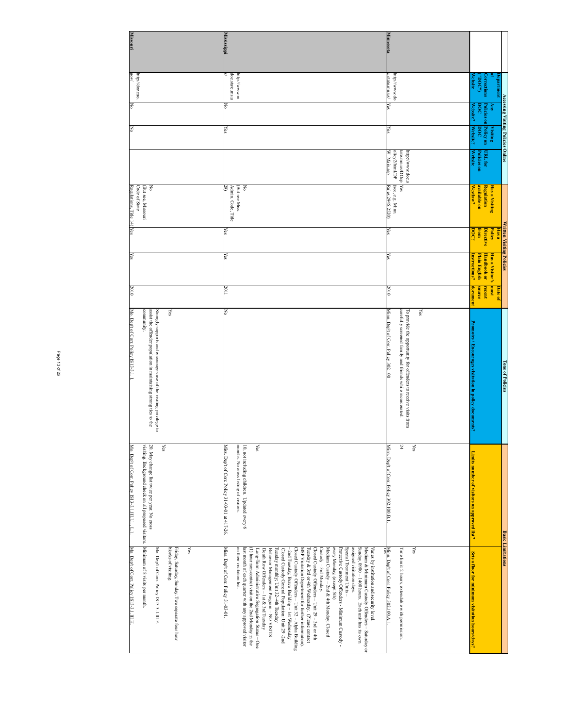|                 | Department<br>χmy                                                            | Accessing Visiting Policies Online<br>Visiting |                                                       | Has a Visiting                                  | <b>Written Visiting Policies</b><br><b>Policy</b><br><b>Hasa</b> | Has a Visitor's                                     | <b>hoom</b><br>Date of     | <b>Tone of Policies</b>                                                                                                                                    | <b>Basic Limitations</b>                                                                                                                |
|-----------------|------------------------------------------------------------------------------|------------------------------------------------|-------------------------------------------------------|-------------------------------------------------|------------------------------------------------------------------|-----------------------------------------------------|----------------------------|------------------------------------------------------------------------------------------------------------------------------------------------------------|-----------------------------------------------------------------------------------------------------------------------------------------|
|                 | moon)<br>orrections<br>ebsite)<br>Policies on<br>Website?<br>00 <sub>d</sub> | Policy on<br><b>Website?</b><br>500            | Website<br>Policies on<br>URL for                     | available on<br>Regulation<br>Westlaw?          | from<br>Directive<br>500                                         | <b>Handbook or</b><br>Plain English<br>nstructions? | source<br>recent<br>ocumen | Promotes / Encourages visitation in policy documents?                                                                                                      | Limits number of visitors on approved list?                                                                                             |
|                 | http://www.do<br>Yes                                                         |                                                | tate.mn.us/DOcp<br>olicy2/html/DP<br>http://www.doc.s | (see, e.g. Mim.<br>Rules 2945.2520)<br>Yes      | Yes                                                              |                                                     | 2010                       | carefully screened family and friends while incarcerated.<br>Yes<br>To provide the opportunity for offenders to receive visits from                        | Minn. Dept of Corr. Policy 302.100.B.1<br>24<br>Yes                                                                                     |
| Minnesota       | state.mn.us/                                                                 | $\frac{1}{2}$                                  | W Main.asp                                            |                                                 |                                                                  | $\frac{1}{2}$                                       |                            | Minn. Dep't of Corr. Policy 302.100                                                                                                                        |                                                                                                                                         |
|                 | doc.state.ms.u<br>urwww//:dnp<br>Š                                           | Yes                                            |                                                       | Š<br>જી<br>Admin. Code, Title<br>(But see Miss. | Yes                                                              | Yes                                                 | 2011                       | š                                                                                                                                                          | $Y$ es                                                                                                                                  |
| Mississippi     |                                                                              |                                                |                                                       |                                                 |                                                                  |                                                     |                            |                                                                                                                                                            | Miss. Dep't of Corr. Policy 31-03-01 at 417-26.<br>months. No cross listing of visitors.<br>10, not including children. Updated every 6 |
|                 |                                                                              |                                                |                                                       |                                                 |                                                                  |                                                     |                            |                                                                                                                                                            |                                                                                                                                         |
|                 |                                                                              |                                                |                                                       | š<br>But see, Missouri                          |                                                                  |                                                     |                            | Yes<br>community.<br>Strongly supports and encourages use of the visiting privilege to<br>assist the offender population in maintaining strong ties to the | visiting. Background check on all proposed visitors.<br>20. May change list twice per year. No cross<br>Yes                             |
| <b>Missouri</b> | $60\sqrt{ }$<br>http://doc.mo.<br>ΙŠ                                         | ΙŠ                                             |                                                       | Regulations, Title 14) Yes<br>Code of State     |                                                                  | Yes                                                 | 2010                       | Mo. Dep't of Corr. Policy IS13-3.1. I                                                                                                                      | Mo. Dept of Cor. Policy IS13-3.1.III.11,, L.1.                                                                                          |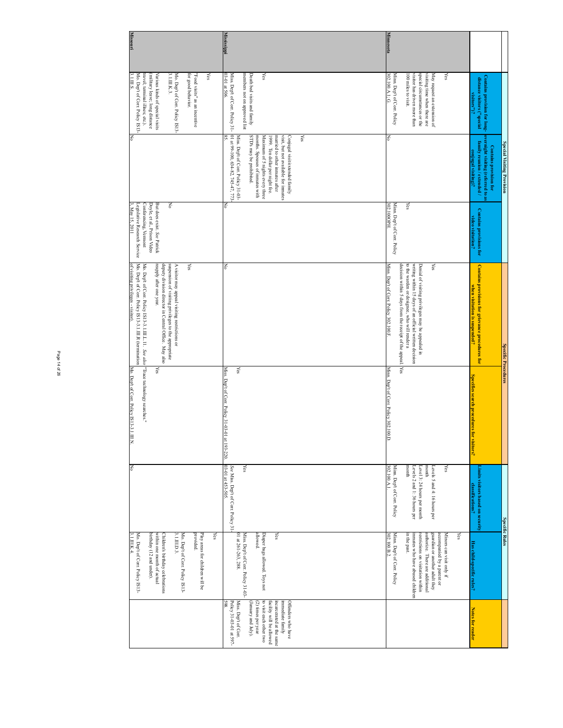|                 |                                                                                                                                                                                                             | Special Visiting Provision                                                                                                                                                                                                                                                                                                       |                                                                                                                                       | <b>Specific Procedures</b>                                                                                                                                                                                                                                           |                                                           | <b>Specific Rules</b>                                                                                                                                              |                                                                                                                                                                                                                                                                            |                                                                                                                                                                                                                                    |
|-----------------|-------------------------------------------------------------------------------------------------------------------------------------------------------------------------------------------------------------|----------------------------------------------------------------------------------------------------------------------------------------------------------------------------------------------------------------------------------------------------------------------------------------------------------------------------------|---------------------------------------------------------------------------------------------------------------------------------------|----------------------------------------------------------------------------------------------------------------------------------------------------------------------------------------------------------------------------------------------------------------------|-----------------------------------------------------------|--------------------------------------------------------------------------------------------------------------------------------------------------------------------|----------------------------------------------------------------------------------------------------------------------------------------------------------------------------------------------------------------------------------------------------------------------------|------------------------------------------------------------------------------------------------------------------------------------------------------------------------------------------------------------------------------------|
|                 | Contains provision for long-<br>distance visitors ("special<br>sitors")?                                                                                                                                    | overnight visiting (referred to as<br>family reunion / extended /<br><b>Contains provision for</b><br>conjugal visiting)?                                                                                                                                                                                                        | Contains provisions for<br>video visitation?                                                                                          | Contains provisions for grievance procedures for<br>when visitation is suspended?                                                                                                                                                                                    | Specifies search procedures for <b>v</b><br><b>iers?</b>  | imits visitors based on security<br>classifications?                                                                                                               | Has child-specific rules?                                                                                                                                                                                                                                                  | <b>Notes for reader</b>                                                                                                                                                                                                            |
| Minnesota       | visiting time when there are<br>May request an extension of<br>Minn. Dep't of Corr. Policy<br>visitor has driven more than<br>100 miles to visit.<br>special circumstances or the<br>Yes<br>302.100.A.1; G. | š                                                                                                                                                                                                                                                                                                                                | Yes<br>Minn. Dep't of Corr. Policy<br>302.100OPH.                                                                                     | decision within 5 days from the receipt of the appeal.<br>writing within 15 days of an official written decision<br>Yes<br>Minn. Dep't of Corr. Policy 302.100.F<br>to the warden or designee, who will render a<br>Denial of visiting privileges may be appealed in | Yes<br>Minn. Dep't of Corr. Policy 302.100.D.             | Minn. Dep't of Corr. Policy<br>throm<br>throm<br>302.100.A.1<br>χes<br>Levels 2 and 1: 36 hours per<br>Level 3: 24 hours per month<br>Levels 5 and 4: 16 hours per | Minn. Dep't of Corr. Policy<br>in the past.<br>inmates who have abused children<br>restrictions on visitation within<br>authorize. There are additional<br>guardian or another adult they<br>accompanied by a parent or<br>Minors can visit only if<br>Yes<br>302.100.B.2. |                                                                                                                                                                                                                                    |
|                 |                                                                                                                                                                                                             | Yes                                                                                                                                                                                                                                                                                                                              |                                                                                                                                       |                                                                                                                                                                                                                                                                      |                                                           |                                                                                                                                                                    |                                                                                                                                                                                                                                                                            |                                                                                                                                                                                                                                    |
| Mississippi     | Miss. Dep't of Corr. Policy 31-<br><u>03-01 at 506</u> .<br>Yes<br>members not on approved list<br>Death bed visits and family                                                                              | 01 at 99-100, 634-82, 745-47, 773-<br>85.<br>months. Spouses of inmates with<br>STD's may be prohibited.<br>Miss. Dep't of Corr. Policy 31-03-<br>Maximum of 5 nights every three<br>married to other imnates after<br>visit, but not available for inmates<br>Conjugal visit/extended family<br>1999. Ten dollar per night fee. | Š                                                                                                                                     | š                                                                                                                                                                                                                                                                    | Miss. Dep't of Corr. Policy 31-03-01 at<br>Yes<br>93-220. | 03-01 at 453-505.<br>See Miss. Dep't of Corr. Policy 31.<br>Yes                                                                                                    | Miss. Dept of Corr. Policy 31-03-<br> 01 at 261-263, 288.<br>allowed.<br>Diaper bags allowed. Toys not<br>Yes                                                                                                                                                              | immediate family<br>Policy 31-03-01 at 597-<br>598.<br>Miss. Dep't of Con.<br>(January and July).<br>to visit each other two<br>Offenders who have<br>incarcerated at the same<br>facility will be allowed<br>$(2)$ times per year |
|                 | for good behavior.<br>Xes<br>Food visits" as an incentive                                                                                                                                                   |                                                                                                                                                                                                                                                                                                                                  |                                                                                                                                       | Yes                                                                                                                                                                                                                                                                  |                                                           |                                                                                                                                                                    | provided.<br>Yes<br>Play areas for children will be                                                                                                                                                                                                                        |                                                                                                                                                                                                                                    |
|                 | 3.1.III.K.3.<br>Mo. Dep't of Corr. Policy IS13-                                                                                                                                                             |                                                                                                                                                                                                                                                                                                                                  | Ko                                                                                                                                    | suspension of visiting privileges to the appropriate<br>A visitor may appeal visiting restrictions or<br>deputy division director in Central Office. May also                                                                                                        |                                                           |                                                                                                                                                                    | Children's birthday celebrations<br>3.1.III.D.3.<br>Mo. Dep't of Corr. Policy IS13-                                                                                                                                                                                        |                                                                                                                                                                                                                                    |
| <b>Missouri</b> | Mo. Dep't of Corr. Policy IS13-<br>3.1.III.S.<br>travel; terminal illnes; etc.)<br>(military leave; long distance<br>Various kinds of special visits                                                        | No                                                                                                                                                                                                                                                                                                                               | 3, May 15, 2011<br>Conferencing, Vernont<br>Doyle, et al., Prison Video<br>But does exist. See Patrick<br>egislative Research Service | Mo. Dep't of Corr. Policy IS13-3.1. III.R (termination<br>of visiting privileges - visitor).<br>Mo. Dep't of Corr. Policy IS13-3.1. III.L.11. See also "Trace technology searches."<br>reapply after one year.                                                       | Mo. Dept of Corr. Policy IS13-3.1. III.N<br>χes           | ŠΛ                                                                                                                                                                 | ىي<br>Mo. Dep't of Corr. Policy IS13-<br>birthday (12 and under).<br>within one month of actual<br>$3.1\,\mathrm{I}\,\mathrm{L}\,\mathrm{K}\,4.$                                                                                                                           |                                                                                                                                                                                                                                    |
|                 |                                                                                                                                                                                                             |                                                                                                                                                                                                                                                                                                                                  |                                                                                                                                       |                                                                                                                                                                                                                                                                      |                                                           |                                                                                                                                                                    |                                                                                                                                                                                                                                                                            |                                                                                                                                                                                                                                    |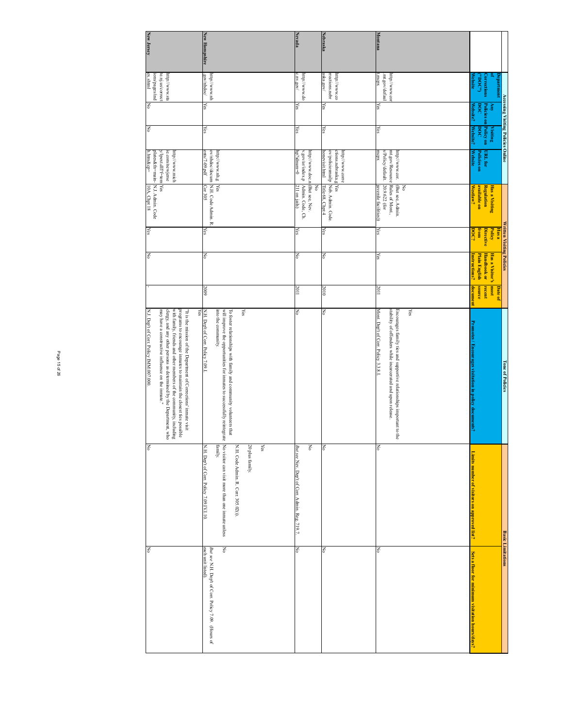|                 |                                                         | Accessing Visiting Policies Online |                      |                                                                                 |                                                                 | Written Visiting Policies |                               |                                | <b>Tone of Policies</b>                                                                                                                                                                                                                                          | <b>Basic Limitations</b>                                          |                                                                        |
|-----------------|---------------------------------------------------------|------------------------------------|----------------------|---------------------------------------------------------------------------------|-----------------------------------------------------------------|---------------------------|-------------------------------|--------------------------------|------------------------------------------------------------------------------------------------------------------------------------------------------------------------------------------------------------------------------------------------------------------|-------------------------------------------------------------------|------------------------------------------------------------------------|
|                 | <b>Department</b>                                       | λων                                | Visiting             |                                                                                 | Has a Visiting                                                  | Policy<br><b>HaS a</b>    | Has a Visitor's               | <b>18000</b><br><b>Date of</b> |                                                                                                                                                                                                                                                                  |                                                                   |                                                                        |
|                 | <b>Corrections</b>                                      | Policies on                        | Policy on            | URL for                                                                         | <b>Regulation</b>                                               | Directive                 | <b>Handbook or</b>            | recent                         |                                                                                                                                                                                                                                                                  |                                                                   |                                                                        |
|                 | <b><i>Nebsite</i></b><br>moc")                          | Website?<br>boc                    | Website?<br>boc      | <b>Website</b><br>Policies on                                                   | Westlaw?<br>available on                                        | poc<br>from               | Plain English<br>nstructions? | document<br>source             | Promotes / Encourages visitation in policy documents?                                                                                                                                                                                                            | <b>Limits number of visitors on approved list?</b>                | Sets a floor for minimum visitation hours/days?                        |
|                 |                                                         |                                    |                      |                                                                                 |                                                                 |                           |                               |                                |                                                                                                                                                                                                                                                                  |                                                                   |                                                                        |
| Montana         | нир://www.cor<br>.mt.gov/defaul<br>xdour:<br><b>Yes</b> |                                    | Yes                  | s/Policy/default.<br>mt.gov/Resource Rules of Mont.,<br>mepx<br>http://www.cor. | 20.9.622 (for<br>(But see, Admin.<br>δ<br>juvenile facilities)) | $\overline{\text{Yes}}$   | Yes                           | 2011                           | Mont. Dep't of Con. Policy 3.3.8.1.<br>stability of offenders while incarcerated and upon release.<br>Yes<br>Encourages family ties and supportive relationships important to the                                                                                | ξ<br>Š                                                            |                                                                        |
|                 |                                                         |                                    |                      |                                                                                 |                                                                 |                           |                               |                                |                                                                                                                                                                                                                                                                  |                                                                   |                                                                        |
| <b>Nebraska</b> | aska.gov/<br>rrections.nebr<br>http://www.co<br>Yes     |                                    | Yes                  | ctions.nebraska.g Yes<br>honevisit.html<br>http://www.corre                     | ov/policiesmailp Neb. Admin. Code.<br>Title 68, Chpt 4          | Yes                       | ko                            | 2010                           | ko                                                                                                                                                                                                                                                               | $\overline{\mathbb{R}}$<br>Š                                      |                                                                        |
|                 | http://www.do<br>Yes                                    |                                    | Yes                  | v.gov/ar/index.p<br>http://www.doc.n (But see, Nev.                             | Admin. Code, Ch.<br>211 on jails)<br>δ                          | Yes                       | š                             | 2011                           | ŠΚ                                                                                                                                                                                                                                                               | $\overline{\mathbf{z}}$<br>No                                     |                                                                        |
| <b>Nevada</b>   | c.nv.gov/                                               |                                    |                      | 0=mumicqi                                                                       |                                                                 |                           |                               |                                |                                                                                                                                                                                                                                                                  | But see Nev. Dept of Corr. Admin. Reg. 719.7.                     |                                                                        |
|                 |                                                         |                                    |                      |                                                                                 |                                                                 |                           |                               |                                |                                                                                                                                                                                                                                                                  | Yes                                                               |                                                                        |
|                 |                                                         |                                    |                      |                                                                                 |                                                                 |                           |                               |                                | Yes                                                                                                                                                                                                                                                              | 20 plus family.                                                   |                                                                        |
|                 |                                                         |                                    |                      |                                                                                 |                                                                 |                           |                               |                                | To foster relationships with family and community volunteers that                                                                                                                                                                                                | N.H. Code Admin. R. Corr. 305.02(i).                              |                                                                        |
|                 |                                                         |                                    |                      | http://www.hh.g                                                                 | Υës                                                             |                           |                               |                                | will improve the opportunities for inmates to successfully reintegrate<br>into the community.                                                                                                                                                                    | family.<br>No visitor can visit more than one inmate unless<br>Νo |                                                                        |
| New Hampshire   | .gov/nhdoc/<br>prospective and<br>Yes                   |                                    | $\frac{1}{\sqrt{2}}$ | ents/7-09.pdf                                                                   | ov/nhdoc/docum N.H. Code Admin. R<br>Cor 305                    | Yes                       | ļζ                            | 2009                           | N.H. Dep't of Corr. Policy 7.09.I.<br>Yes                                                                                                                                                                                                                        | N.H. Dep't of Corr. Policy 7.09.IVI.10                            | each unit listed)<br>But see N.H. Dept of Corr. Policy 7.09. (Hours of |
|                 |                                                         |                                    |                      |                                                                                 |                                                                 |                           |                               |                                | 'It is the mission of the Department of Corrections' inmate visit                                                                                                                                                                                                |                                                                   |                                                                        |
|                 | te.nj.us/correct<br>http://www.sta                      |                                    |                      | ie.com/newjerse<br>y/lpext.dll?f=tem<br>http://www.mich                         | Υës                                                             |                           |                               |                                | programs to encourage inmates to maintain the closest ties possible<br>may have a constructive influence on the inmate."<br>with family, friends and other members of the community, including clegy, and any other persons as determined by the Department, who |                                                                   |                                                                        |
| New Jersey      | ex.shtml<br>ions/pages/ind<br>Š                         |                                    | Š                    | h.htm&cp=<br>plates&fn=main-N.J. Admin. Code                                    | 10A, Chpt 18                                                    | Yes                       | ζ                             |                                | N.J. Dep't of Corr. Policy IMM.007.000.                                                                                                                                                                                                                          | No<br>$_{\rm No}$                                                 |                                                                        |
|                 |                                                         |                                    |                      |                                                                                 |                                                                 |                           |                               |                                |                                                                                                                                                                                                                                                                  |                                                                   |                                                                        |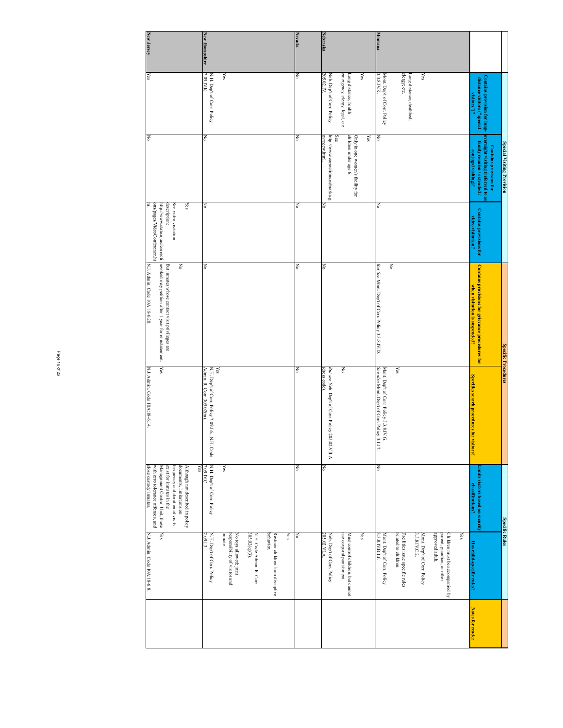Page 16 of 26 Page 16 of 26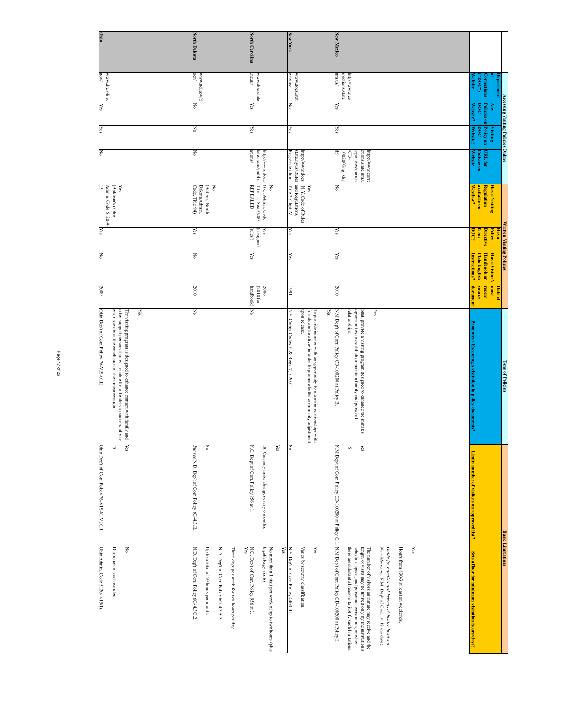|                       |                                   |                                     | Accessing Visiting Policies Online |                                         |                                                                                     | Written Visiting    | Policies                             |                        | <b>Lone of Policies</b>                                                                                                                        |                                                                                                   | <b>Basic Limitations</b>                                                                                         |
|-----------------------|-----------------------------------|-------------------------------------|------------------------------------|-----------------------------------------|-------------------------------------------------------------------------------------|---------------------|--------------------------------------|------------------------|------------------------------------------------------------------------------------------------------------------------------------------------|---------------------------------------------------------------------------------------------------|------------------------------------------------------------------------------------------------------------------|
|                       | <b>Pepartment</b>                 |                                     | Visiting                           |                                         | Has a Visiting                                                                      | Policy<br>Has a     | Has a Visitor's                      | 180CH<br>Date of       |                                                                                                                                                |                                                                                                   |                                                                                                                  |
|                       | <b>Corrections</b>                | Policies on<br>50 <sub>q</sub><br>Ę | Policy on<br>$\frac{5}{2}$         | URL for                                 | <b>Regulation</b><br>available on                                                   | <b>Directive</b>    | <b>Handbook or</b>                   | recent                 |                                                                                                                                                |                                                                                                   |                                                                                                                  |
|                       | $(nOOO_{\text{th}})$<br>/ebsite   |                                     |                                    | Website<br>Policies on                  |                                                                                     | from<br>ğ           | Plain English<br><b>istructions?</b> | source                 | E                                                                                                                                              | Limits number of visitors on approved list?                                                       | floor for minimum visitation hours/days?                                                                         |
|                       |                                   |                                     |                                    |                                         |                                                                                     |                     |                                      |                        |                                                                                                                                                |                                                                                                   |                                                                                                                  |
|                       |                                   |                                     |                                    |                                         |                                                                                     |                     |                                      |                        |                                                                                                                                                |                                                                                                   |                                                                                                                  |
|                       |                                   |                                     |                                    |                                         |                                                                                     |                     |                                      |                        |                                                                                                                                                |                                                                                                   |                                                                                                                  |
|                       |                                   |                                     |                                    |                                         |                                                                                     |                     |                                      |                        |                                                                                                                                                |                                                                                                   | Yes                                                                                                              |
|                       |                                   |                                     |                                    |                                         |                                                                                     |                     |                                      |                        |                                                                                                                                                |                                                                                                   | Hours from 830-3 at least on weekends                                                                            |
|                       |                                   |                                     |                                    |                                         |                                                                                     |                     |                                      |                        |                                                                                                                                                |                                                                                                   | New Mexicans, N.M. Dep't of Corr. at 18 (no date).<br>Guide for Families and Friends of Justice Involved         |
|                       |                                   |                                     |                                    | http://www.corre                        |                                                                                     |                     |                                      |                        | Yes                                                                                                                                            |                                                                                                   | The number of visitors an inmate may receive and the                                                             |
|                       |                                   |                                     |                                    | ctions.state.mn.u<br>s/policies/current |                                                                                     |                     |                                      |                        | Shall provide a visiting program designed to enhance the inmates'<br>opportunities to establish or maintain family and personal                | Yes                                                                                               | length of visits may be limited only by the institution's                                                        |
|                       | rrections.state.<br>http://www.co |                                     |                                    | 100200English.p<br>Ģ                    |                                                                                     |                     |                                      |                        | relationships.                                                                                                                                 | Ω,                                                                                                | schedule, space, and personnel constraints, or when<br>there are substantial reasons to justify such limitations |
| New Mexico            | $/$ sn. mm                        | Yes                                 | Υë                                 | ≒                                       | k                                                                                   | ks                  | l≋                                   | 2010                   | Yes<br>N.M Dep't of Corr. Policy CD-100200 at Policy B.                                                                                        | N.M Dept of Corr. Policy CD-100200 at Policy C.1. N.M Dept of Corr. Policy CD-100200 at Policy I. |                                                                                                                  |
|                       |                                   |                                     |                                    |                                         |                                                                                     |                     |                                      |                        |                                                                                                                                                |                                                                                                   |                                                                                                                  |
|                       |                                   |                                     |                                    |                                         | Yes                                                                                 |                     |                                      |                        | To provide inmates with an opportunity to maintain relationships with<br>friends and relatives in order to promote better community adjustment |                                                                                                   | $\chi_{\rm{es}}$                                                                                                 |
|                       | www.docs.stat                     |                                     |                                    | state.ny.us/Rules<br>http://www.docs.   | N.Y. Code of Rules                                                                  |                     |                                      |                        | upon release.                                                                                                                                  |                                                                                                   | Varies by security classification.                                                                               |
| New York              | e.ny.us/                          | ko                                  | Yes                                | Regs/index.html                         | $\frac{1}{1}$ and Regulations,                                                      | ks                  | Ιš                                   | $\overline{1661}$      | N.Y. Comp. Codes R. & Regs. 7, § 200.1                                                                                                         | Κ                                                                                                 | $\chi_{\rm{eS}}$<br>N.Y. Dept of Corr. Policy 4403.III                                                           |
|                       |                                   |                                     |                                    |                                         |                                                                                     |                     |                                      |                        |                                                                                                                                                | Yes                                                                                               |                                                                                                                  |
|                       |                                   |                                     |                                    |                                         | No<br>http://www.doc.s  N.C. Admin. Code<br> tate.nc.us/public  Title 15, Sec .0200 | Yes                 |                                      | 2006                   |                                                                                                                                                | 18. Can only make changes every 6 months.                                                         | legal/clergy visits)<br>No more than 1 visit per week of up to two hours (plus                                   |
| <b>North Carolina</b> | www.doc.state<br>.nc.us/          | Yes                                 | Yes                                | ations/                                 | <b>REPEALED</b>                                                                     | pougisum)<br>mles') | Yes                                  | (2010 for<br>handbook) | Š                                                                                                                                              | N.C. Dep't of Corr. Policy 956 at 1                                                               | N.C. Dep't of Corr. Policy 956 at 2                                                                              |
|                       |                                   |                                     |                                    |                                         |                                                                                     |                     |                                      |                        |                                                                                                                                                |                                                                                                   | $\chi_{\rm{es}}$                                                                                                 |
|                       |                                   |                                     |                                    |                                         |                                                                                     |                     |                                      |                        |                                                                                                                                                |                                                                                                   | Three days per week for two hours per day.                                                                       |
|                       |                                   |                                     |                                    |                                         |                                                                                     |                     |                                      |                        |                                                                                                                                                |                                                                                                   | N.D. Dept of Corr. Policy 6G-4.3.A.3.                                                                            |
|                       |                                   |                                     |                                    |                                         | δ<br>(But see, North                                                                |                     |                                      |                        |                                                                                                                                                | Σρ                                                                                                | Up to a total of 20 hours per month.                                                                             |
| <b>North Dakota</b>   | www.nd.gov/d                      | Š                                   | ko                                 | Š                                       | Dakota Admin.<br>Code, Title 94)                                                    | Yes                 | ko                                   | 2010                   | Κo                                                                                                                                             | But see N.D. Dep't of Corr. Policy 6G-4.3.B.                                                      | N.D. Dept of Corr. Policy 6G-4.3.C.2.                                                                            |
|                       |                                   |                                     |                                    |                                         |                                                                                     |                     |                                      |                        |                                                                                                                                                |                                                                                                   |                                                                                                                  |
|                       |                                   |                                     |                                    |                                         |                                                                                     |                     |                                      |                        |                                                                                                                                                |                                                                                                   |                                                                                                                  |
|                       |                                   |                                     |                                    |                                         |                                                                                     |                     |                                      |                        | Yes                                                                                                                                            |                                                                                                   |                                                                                                                  |
|                       |                                   |                                     |                                    |                                         | χes                                                                                 |                     |                                      |                        | The visiting program is designed to enhance contact with family and other support persons that will enable the offenders to successfully re-   | Yes                                                                                               | Š                                                                                                                |
|                       | www.drc.ohio.                     |                                     |                                    |                                         | Admin. Code 5120-9<br>(Baldwin's) Ohio                                              |                     |                                      |                        | enter society at the conclusion of their incarceration.                                                                                        | $\overline{\circ}$                                                                                | Discretion of each warden.                                                                                       |
| Ohio                  | $\frac{1}{2}$                     | Yes                                 | Yes                                | Κo                                      | 디                                                                                   | Yes                 | ξ                                    | 2009                   | Ohio Dep't of Corr. Policy 76-VIS-01.II.                                                                                                       | Ohio Dep't of Corr. Policy 76-VIS-01. VLC.1.                                                      | Ohio Admin. Code 5120-9-15(I)                                                                                    |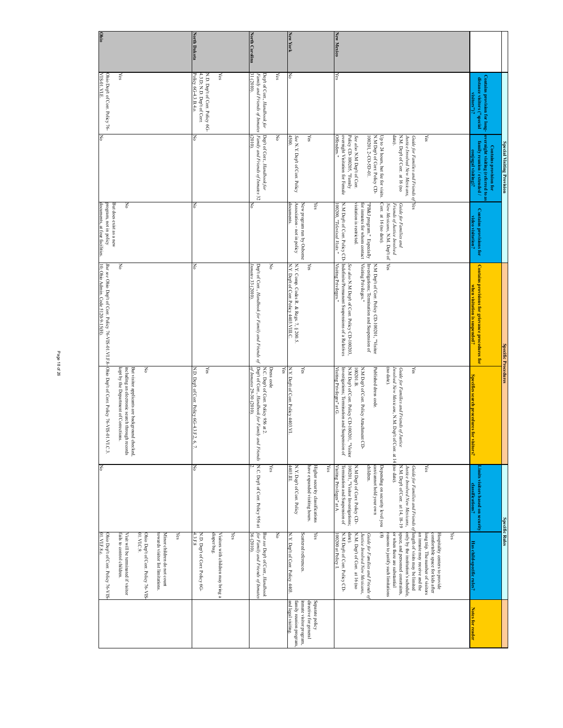|                       |                                                                                           | Special Visiting Provision                                                                                                                                                                                                                                                                                                          |                                                                                                                                                                                                                                                                          | <b>Specific Procedures</b>                                                                                                                                                                                                                                  |                                                                                                                                                                                                                                                                                                                                                 |                                                                                                                                                                                                                                                                                                                                                                             | <b>Specific Rules</b>                                                                                                                                                                                                                                                                                                                                                                                                                                                                |                                                                                               |
|-----------------------|-------------------------------------------------------------------------------------------|-------------------------------------------------------------------------------------------------------------------------------------------------------------------------------------------------------------------------------------------------------------------------------------------------------------------------------------|--------------------------------------------------------------------------------------------------------------------------------------------------------------------------------------------------------------------------------------------------------------------------|-------------------------------------------------------------------------------------------------------------------------------------------------------------------------------------------------------------------------------------------------------------|-------------------------------------------------------------------------------------------------------------------------------------------------------------------------------------------------------------------------------------------------------------------------------------------------------------------------------------------------|-----------------------------------------------------------------------------------------------------------------------------------------------------------------------------------------------------------------------------------------------------------------------------------------------------------------------------------------------------------------------------|--------------------------------------------------------------------------------------------------------------------------------------------------------------------------------------------------------------------------------------------------------------------------------------------------------------------------------------------------------------------------------------------------------------------------------------------------------------------------------------|-----------------------------------------------------------------------------------------------|
|                       | Contains provision for long-<br>distance visitors ("special                               | overnight visiting (referred to as<br>family reunion / extended /<br><b>Contains provision for</b>                                                                                                                                                                                                                                  | Contains provisions for<br>video visitation?                                                                                                                                                                                                                             | Contains provisions for grievance procedures for<br>when visitation is suspended?                                                                                                                                                                           |                                                                                                                                                                                                                                                                                                                                                 | imits visitors based on security<br>classifications?                                                                                                                                                                                                                                                                                                                        |                                                                                                                                                                                                                                                                                                                                                                                                                                                                                      |                                                                                               |
|                       |                                                                                           | conjugal visiting)                                                                                                                                                                                                                                                                                                                  |                                                                                                                                                                                                                                                                          |                                                                                                                                                                                                                                                             | fies search                                                                                                                                                                                                                                                                                                                                     |                                                                                                                                                                                                                                                                                                                                                                             | Yes<br>Has child-specific rules?                                                                                                                                                                                                                                                                                                                                                                                                                                                     | for read                                                                                      |
| <b>New Mexico</b>     | Yes                                                                                       | N.M Dept of Corr. Policy CD-<br>N.M. Dept of Corr. at 16 (no<br>Offenders."<br>overnight Visitation for Female<br>Policy CD-100205, "Family<br>date).<br>Yes<br>See also N.M Dep't of Corr.<br>100201, 2-CO-5D-01.<br>Justice Involved New Mexicans<br>Guide for Families and Friends of Yes<br>Up to 24 hours, but fee for visits. | N.M Dept of Corr. Policy CD-<br>Corr. at 16 (no date).<br>visitation is restricted.<br>Guide for Families and<br>100200, "Televised Visits."<br>New Mexicans, N.M. Dep't of<br>for imnates for whom contact<br>Friends of Justice Involved<br>'PB&J program." Especially | Investigations; Termination and Suspension of<br>Visiting Privileges."<br>Indefinite/Permanent Suspensions of a Relatives<br>Visiting Privileges."<br>Yes<br>N.M Dep't of Corr. Policy CD-100201, "Visitor<br>See also N.M Dep't of Corr. Policy CD-100203, | N.M Dept of Cor. Policy CD-100201,<br>Visiting Privileges" at G.<br>Investigations; Termination and Suspension of<br>N.M Dep't of Corr. Policy Attachment CD-<br>Published dress code.<br>(no date).<br><b>Yes</b><br>Involved New Mexicans, N.M. Dep't of<br>100201.B.<br>Guide for Families and Friends of Justice<br>"Visitor<br>Corr. at 14 | (no date).<br>N.M. Dept of Corr. at 14, 18-19<br>children.<br>can/cannot hold your own<br>χes<br>Visiting Privileges" at A.<br>Termination and Suspension of<br>N.M Dep't of Corr. Policy CD-<br>Depending on security level you<br>Justice Involved New Mexicans,<br>Guide for Families and Friends of length of visits may be limited<br>100201, "Visitor Investigations; | space, and personnel constraints,<br>only by the institution's schedule,<br>N.M Dept of Corr. Policy CD-<br>$\circledast$<br>N.M. Dept of Corr. at 16 (no<br>date).<br>reasons to justify such limitations<br>an inmate may receive and the<br>100200 at Policy I<br>Justice Involved New Mexicans,<br>or when there are substantial<br>long trip. The number of visitors<br>comfortable space for kids after<br>Guide for Families and Friends of<br>Hospitality centers to provide |                                                                                               |
|                       |                                                                                           | See N.Y. Dep't of Corr. Policy<br>Yes                                                                                                                                                                                                                                                                                               | Association - not in policy<br>New program run by Osbome<br>Yes                                                                                                                                                                                                          | N.Y. Comp. Codes R. & Regs. 7, § 200.5.<br>N.Y. Dept of Corr. Policy 4403.VIII.C.<br>Yes                                                                                                                                                                    | Yes                                                                                                                                                                                                                                                                                                                                             | N.Y. Dept of Corr. Policy<br>have expanded visiting hours.<br>Higher security classifications<br>χes                                                                                                                                                                                                                                                                        | Yes<br>Scattered references                                                                                                                                                                                                                                                                                                                                                                                                                                                          | family reunion program<br>directive for general<br>Separate policy<br>inmate visitor program, |
| <b>North Carolina</b> | 31 (2010)<br>Family and Friends of Innates<br>Υes<br>Dep't of Corr., Handbook for         | Family and Friends of Innates 32<br>Dep't of Corr., Handbook for<br>ζ<br>(2010)                                                                                                                                                                                                                                                     | š                                                                                                                                                                                                                                                                        | š<br>Dep't of Corr., Handbook for Family and Friends of<br>Inmates 33 (2010)                                                                                                                                                                                | Dep't of Corr., Handbook for Family an<br>N.C. Dep't of Corr. Policy 956 at 2.<br>Yes<br>N.Y. Dept of Corr. Policy 4403. VI<br>of Inmates 29-30 (2010).<br>Dress code<br>d Friends                                                                                                                                                              | N.C. Dept of Corr. Policy 956 at<br>Υes                                                                                                                                                                                                                                                                                                                                     | for Family and Friends of Inmates<br>š<br>36(2010)<br>But see Dep't of Corr., Handbook<br>N.Y. Dept of Corr. Policy 4403.                                                                                                                                                                                                                                                                                                                                                            |                                                                                               |
| <b>North Dakota</b>   | Policy 6G-4.3.B.4.o.<br>N.D. Dept of Corr. Policy 6G-<br>4.3.D; N.D. Dept of Corr.<br>χes | Š                                                                                                                                                                                                                                                                                                                                   | Š                                                                                                                                                                                                                                                                        | Š                                                                                                                                                                                                                                                           | N.D. Dep't of Corr. Policy 6G-4.3.F.2, 6,<br>Yes                                                                                                                                                                                                                                                                                                | š                                                                                                                                                                                                                                                                                                                                                                           | N.D. Dep't of Corr. Policy 6G-<br>4.3.F.8<br>diaper bag.<br>Visitors with children may bring a<br>χes                                                                                                                                                                                                                                                                                                                                                                                |                                                                                               |
|                       | χes                                                                                       |                                                                                                                                                                                                                                                                                                                                     | Š<br>But does exist as a new                                                                                                                                                                                                                                             | Š                                                                                                                                                                                                                                                           | δ<br>kept by the Department of Corrections.<br>including an electronic search through records<br>But visitor applicants are background checked,                                                                                                                                                                                                 |                                                                                                                                                                                                                                                                                                                                                                             | 01.VI.C.9.<br>Ohio Dep't of Corr. Policy 76-VIS<br>towards visitor list limitations.<br>fails to control children.<br>Visit will be terminated if visitor<br>Minor children do not count<br>χes                                                                                                                                                                                                                                                                                      |                                                                                               |
| Ohio                  | <b>VIS-01.VLE</b><br>Ohio Dep't of Corr. Policy 76-                                       | No                                                                                                                                                                                                                                                                                                                                  | documents, at four facilities.<br>program, not in policy                                                                                                                                                                                                                 | 10; Ohio Admin. Code 5120-9-15(H).<br>But see Ohio Dept of Corr. Policy 76-VIS-01. VLF.8-Ohio Dept of Corr. Policy 76-VIS-01. VLC.3.                                                                                                                        |                                                                                                                                                                                                                                                                                                                                                 | ξ                                                                                                                                                                                                                                                                                                                                                                           | 01.VLF.8.c.<br>Ohio Dep't of Corr. Policy 76-VIS                                                                                                                                                                                                                                                                                                                                                                                                                                     |                                                                                               |

Page 18 of 26 Page 18 of 26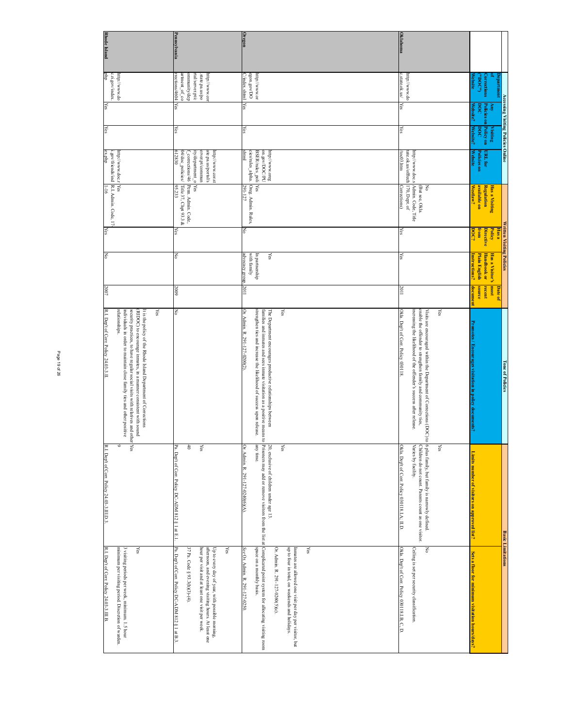| Oregon<br><b>Oklahoma</b><br>egon.gov/DO<br>C/index.shtml<br>http://www.or<br>http://www.do<br>c.state.ok.us/<br>Yes<br>Yes<br>Yes<br>$\frac{1}{2}$                                                                                                               |
|-------------------------------------------------------------------------------------------------------------------------------------------------------------------------------------------------------------------------------------------------------------------|
| <b>BSER/rules_poli</b><br>on.gov/DOC/PU<br>http://www.oreg<br>cies/rules_alpha. Oreg. Admin. Rules,<br>shtml<br>$\mathbf{y}_{\text{es}}$                                                                                                                          |
| 291-127<br>Š                                                                                                                                                                                                                                                      |
| Yes<br>with family<br>advocacy group.<br>In partnership<br>2011                                                                                                                                                                                                   |
| Or. Admin. R. 291-127-0200(2)<br>strengthen ties and increase the likelihood of success upon release.<br>The Department encourages productive relationships between<br>$\chi_{\rm{GS}}$<br>families and inmates and sees inmate visitation as a positive means to |
| Yes<br>Or. Admin. R. 291-127-0240(6)(A)<br>any time.<br>Prisoners may add or remove visitors from the list at Complicated point system for allocating visiting room<br>20, exclusive of children under age 13.                                                    |
| space on a monthly basis.<br>Or. Admin. R. 291-127-0260(5)(c).<br>up to four in total, on weekends and holidays.<br>Yes<br>See Or. Admin. R. 291-127-0250<br>Imnates are allowed one visit per day per visitor, but                                               |

Page 19 of 26 Page 19 of 26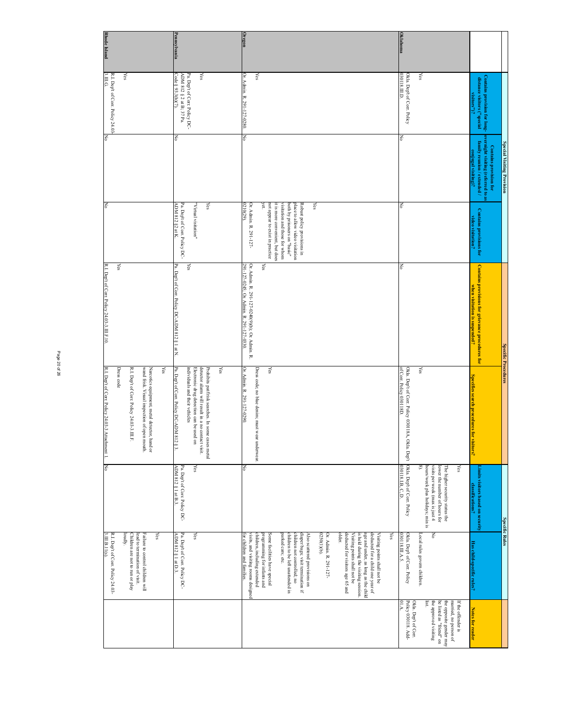|                     |                                                             | Special Visiting Provision                                                                  |                                                                                                                                                                                                                                                                          | <b>Specific Procedures</b>                                                                          |                                                                                                                                                                                             |                                                                                                                                                     | Specific Rules                                                                                                                                                                                                                                                                                   |                                                                                                                                      |
|---------------------|-------------------------------------------------------------|---------------------------------------------------------------------------------------------|--------------------------------------------------------------------------------------------------------------------------------------------------------------------------------------------------------------------------------------------------------------------------|-----------------------------------------------------------------------------------------------------|---------------------------------------------------------------------------------------------------------------------------------------------------------------------------------------------|-----------------------------------------------------------------------------------------------------------------------------------------------------|--------------------------------------------------------------------------------------------------------------------------------------------------------------------------------------------------------------------------------------------------------------------------------------------------|--------------------------------------------------------------------------------------------------------------------------------------|
|                     | Contains provision for long-<br>distance visitors ("special | overnight visiting (referred to as<br>family reunion / extended /<br>Contains provision for |                                                                                                                                                                                                                                                                          |                                                                                                     |                                                                                                                                                                                             | imits visitors based on security                                                                                                                    |                                                                                                                                                                                                                                                                                                  |                                                                                                                                      |
|                     |                                                             |                                                                                             | Contains provisions for<br>video visitation?                                                                                                                                                                                                                             | Contains provisions for grievance procedures for<br>when visitation is suspended?                   | ecifies search<br>itors?                                                                                                                                                                    | classifications?                                                                                                                                    | Has child-specific rules                                                                                                                                                                                                                                                                         | otes for reader                                                                                                                      |
|                     |                                                             |                                                                                             |                                                                                                                                                                                                                                                                          |                                                                                                     |                                                                                                                                                                                             | hours/week plus holidays; min is<br> 8).<br>lower the number of hours for<br>visits per week (max is just 4<br>δŚ<br>The higher security status the | δĀ                                                                                                                                                                                                                                                                                               | the opposite gender may<br>the approved visiting<br>list.<br>be listed as "friend" on<br>married, no person of<br>If the offender is |
| <b>Oklahoma</b>     | Okla. Dept of Corr. Policy<br>030118.III.D.<br>Yes          | Š                                                                                           | Š                                                                                                                                                                                                                                                                        | ko                                                                                                  | Okla. Dept of Corr. Policy 030118A, Okla. Dept<br>of Corr. Policy 030118D.<br>Yes                                                                                                           | Okla. Dept of Corr. Policy<br>030118.1.B, C, D.                                                                                                     | Okla. Dept of Corr. Policy<br>  080118.111.A.5.<br>Local rules govern children.                                                                                                                                                                                                                  | Okla. Dept of Corr.<br>Policy 030118. Add-<br>01.A.                                                                                  |
|                     |                                                             |                                                                                             |                                                                                                                                                                                                                                                                          |                                                                                                     |                                                                                                                                                                                             |                                                                                                                                                     | Yes                                                                                                                                                                                                                                                                                              |                                                                                                                                      |
|                     |                                                             |                                                                                             |                                                                                                                                                                                                                                                                          |                                                                                                     |                                                                                                                                                                                             |                                                                                                                                                     | older.<br>deducted for visitors age 65 and<br>0250(1)(b).<br>Or. Admin. R. 291-127-<br>Visiting points shall not be<br>is held during the visiting session.<br>age and under, as long as the child<br>deducted for a child one year of<br>Visiting points shall not be                           |                                                                                                                                      |
|                     | Or. Admin. R. 291-127-0280.<br>Yes                          |                                                                                             | not appear to exist in practice<br>place to allow video visitation<br>Robust policy provisions in<br>$\chi_{\rm{es}}$<br>Or. Admin. R. 291-127-<br>0210(29).<br>yet.<br>visitation and those for whom<br>both by prisoners on "basic"<br>it is more convenient, but does | Or. Admin. R. 291-127-0240(9)(b); Or. Admin. R.<br>291-127-0245; Or. Admin. R. 291-127-0330.<br>Yes | Yes<br>Dress code; no blue denim; must wear underwear.                                                                                                                                      |                                                                                                                                                     | children, including extended<br>children to be left unattended in<br>children not controlled; no<br>diaper bags; visit termination if<br>visits, and visiting rooms designed<br>programming for infants and<br>parked cars; etc.<br>Some facilities have special<br>Also scattered provisions on |                                                                                                                                      |
|                     | Yes<br>Pa. Dep't of Corr. Policy DC-                        |                                                                                             | Yes<br>"Virtual visitation"                                                                                                                                                                                                                                              | Yes                                                                                                 | individuals and their vehicles<br>Electronic drug detection can be used on<br>detector alarm will result in a no contact visit.<br>Yes<br>Prohibits pat/frisk searches. In some cases metal | χes                                                                                                                                                 | Yes                                                                                                                                                                                                                                                                                              |                                                                                                                                      |
| Pennsylvania        | ADM 812 § 2 at B; 37 Pa.<br>Code § 93.3(h)(7).              | Š                                                                                           | Pa. Dept of Corr. Policy DC-<br>ADM 812 §2 at K.                                                                                                                                                                                                                         | Pa. Dept of Corr. Policy DC-ADM 812 § 1 at N.                                                       | Pa. Dept of Corr. Policy DC-ADM 812<br>š3.                                                                                                                                                  | Pa. Dept of Corr. Policy DC-<br>ADM 812 § 1 at B.3.                                                                                                 | Pa. Dept of Cor. Policy DC-<br>ADM 812 § 1 at D.3.                                                                                                                                                                                                                                               |                                                                                                                                      |
|                     | Yes                                                         |                                                                                             |                                                                                                                                                                                                                                                                          | Yes                                                                                                 | R.I. Dep't of Corr. Policy 24.03-3.III.F.<br>wand frisk. Visual inspection of open mouth.<br>Yes<br>Dress code<br>Narcotics equipment, metal detector, hand or                              |                                                                                                                                                     | Children are not to run or play<br>lead to termination of visit.<br>Failure to control children will<br>Yes<br>loudly.                                                                                                                                                                           |                                                                                                                                      |
| <b>Rhode Island</b> | R.I. Dep't of Corr. Policy 24.03-<br>3.III.G.               | ļζ                                                                                          | k                                                                                                                                                                                                                                                                        | R.I. Dep't of Corr. Policy 24.03-3.III.F.10.                                                        | R.I. Dep't of Corr. Policy 24.03-3 Attachment 1.                                                                                                                                            | ļζ                                                                                                                                                  | 3.III.B.11(s).<br>R.I. Dep't of Corr. Policy 24.03-                                                                                                                                                                                                                                              |                                                                                                                                      |

Page 20 of 26 Page 20 of 26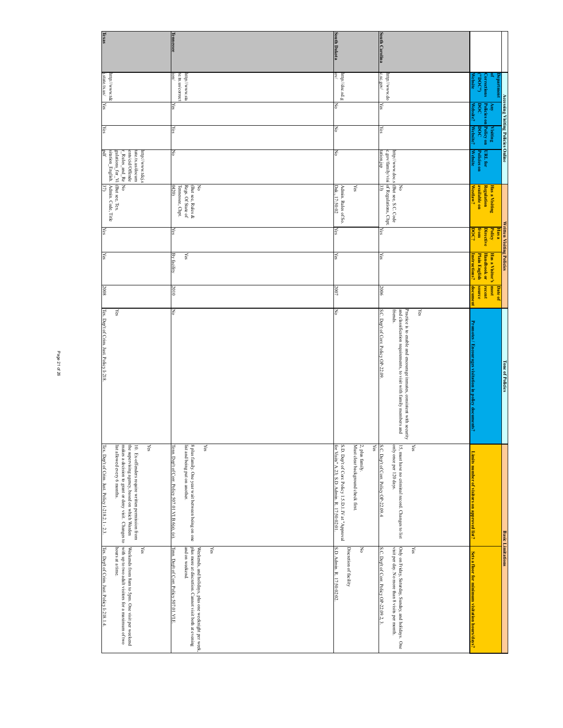|                |                                                   | Accessing Visiting Policies Online       |                                                                                                                                                                                                                                                                                                                                                                                                                                                                                                                                     |                                                                                                                                            | <b>Written Visiting Policies</b> |                                      |                   | <b>Tone of Policies</b>                                                                                                                                       |                                                                                                                                                                                          | <b>Basic Limitations</b>                                                                                                                                                 |
|----------------|---------------------------------------------------|------------------------------------------|-------------------------------------------------------------------------------------------------------------------------------------------------------------------------------------------------------------------------------------------------------------------------------------------------------------------------------------------------------------------------------------------------------------------------------------------------------------------------------------------------------------------------------------|--------------------------------------------------------------------------------------------------------------------------------------------|----------------------------------|--------------------------------------|-------------------|---------------------------------------------------------------------------------------------------------------------------------------------------------------|------------------------------------------------------------------------------------------------------------------------------------------------------------------------------------------|--------------------------------------------------------------------------------------------------------------------------------------------------------------------------|
|                | Department                                        | Visiting                                 |                                                                                                                                                                                                                                                                                                                                                                                                                                                                                                                                     | Has a Visiting                                                                                                                             | Policy<br><b>Hasa</b>            | Has a Visitor's                      | 180m<br>Date of   |                                                                                                                                                               |                                                                                                                                                                                          |                                                                                                                                                                          |
|                | Corrections                                       | Any<br>Policies on<br>DOC<br>Policy on   | URL for                                                                                                                                                                                                                                                                                                                                                                                                                                                                                                                             | Regulation                                                                                                                                 | <b>Directive</b>                 | <b>Handbook or</b>                   | recent            |                                                                                                                                                               |                                                                                                                                                                                          |                                                                                                                                                                          |
|                | Website<br>(a.30da                                | Website?<br>Website?<br>300 <sub>d</sub> | <b>Website</b><br>Policies on                                                                                                                                                                                                                                                                                                                                                                                                                                                                                                       | available on<br>Į                                                                                                                          | from<br><b>DOC:</b>              | <b>Plain English</b><br>nstructions? | documen<br>source | Fro<br>otes / Encourages visitation in policy docum<br><b>Gilb</b> <sup>?</sup>                                                                               | Limits number of visitors on approved list?                                                                                                                                              | Sets a floor for minimum visitation hours/days?                                                                                                                          |
|                |                                                   |                                          |                                                                                                                                                                                                                                                                                                                                                                                                                                                                                                                                     |                                                                                                                                            |                                  |                                      |                   |                                                                                                                                                               |                                                                                                                                                                                          |                                                                                                                                                                          |
|                |                                                   |                                          |                                                                                                                                                                                                                                                                                                                                                                                                                                                                                                                                     |                                                                                                                                            |                                  |                                      |                   |                                                                                                                                                               |                                                                                                                                                                                          |                                                                                                                                                                          |
|                |                                                   |                                          | http://www.doc.s                                                                                                                                                                                                                                                                                                                                                                                                                                                                                                                    | (But see, S.C. Code<br>š                                                                                                                   |                                  |                                      |                   | Yes<br>and classification requirements, to visit with family members and<br>friends.<br>Practice is to enable and encourage inmates, consistent with security | only once per 120 days.<br>15, must have no criminal record. Changes to list<br>$Y$ es                                                                                                   | Only on Friday, Saturday, Sunday, and holidays. One<br>visit per day. No more than 8 visits per month.<br>Yes                                                            |
| South Carolina | $c.s.$ gov/<br>http://www.do<br>Yes               | Yes                                      | tation.jsp                                                                                                                                                                                                                                                                                                                                                                                                                                                                                                                          | c.gov/family/visi of Regulations, Chpt.<br>33)                                                                                             | Yes                              | Yes                                  | 2006              | S.C. Dep't of Corr. Policy OP-22.09                                                                                                                           | S.C. Dept of Corr. Policy OP-22.09.4                                                                                                                                                     | S.C. Dept of Corr. Policy OP-22.09.2, 3.                                                                                                                                 |
|                |                                                   |                                          |                                                                                                                                                                                                                                                                                                                                                                                                                                                                                                                                     | χes                                                                                                                                        |                                  |                                      |                   |                                                                                                                                                               | Must clear background check first.<br>2, plus family.<br>$\leq$                                                                                                                          | οN                                                                                                                                                                       |
| South Dakota   | http://doc.sd.g<br>Š                              | Š                                        | Š                                                                                                                                                                                                                                                                                                                                                                                                                                                                                                                                   | Admin. Rules of So.<br>Dak., 17:50:02                                                                                                      | Yes                              | Yes                                  | 2007              | š                                                                                                                                                             | S.D. Dept of Corr. Policy 1.5.D.1.IV at "Approval for Visits" A.23; S.D. Admin. R. 17:50:02:01.                                                                                          | S.D. Admin. R. 17:50:02:02<br>Discretion of facility                                                                                                                     |
|                |                                                   |                                          |                                                                                                                                                                                                                                                                                                                                                                                                                                                                                                                                     |                                                                                                                                            |                                  |                                      |                   |                                                                                                                                                               |                                                                                                                                                                                          |                                                                                                                                                                          |
|                |                                                   |                                          |                                                                                                                                                                                                                                                                                                                                                                                                                                                                                                                                     |                                                                                                                                            |                                  |                                      |                   |                                                                                                                                                               |                                                                                                                                                                                          |                                                                                                                                                                          |
|                |                                                   |                                          |                                                                                                                                                                                                                                                                                                                                                                                                                                                                                                                                     |                                                                                                                                            |                                  |                                      |                   |                                                                                                                                                               | Yes                                                                                                                                                                                      | $\chi_{\rm{6S}}$                                                                                                                                                         |
| lennessee      | te.tn.us/correct<br>ion/<br>http://www.sta<br>Yes | $\chi_{\rm{es}}$                         | Š                                                                                                                                                                                                                                                                                                                                                                                                                                                                                                                                   | ξ<br>$\left(\begin{matrix} \text{But see, Rules & \& \\ \text{Regs.} & \text{Of State of} \end{matrix}\right)$<br>0420<br>lennessee, Chpt. | Yes                              | By facility<br>Yes                   | 2010              | Š                                                                                                                                                             | Tem. Dept of Corr. Policy 507.01. VLB.6(a), (o).<br>list and being put on another.<br>8 plus family. One year wait between being on one                                                  | Weekends, and holidays, plus one weeknight per week<br>plus more at discretion. Cannot visit both at evening<br>Tenn. Dept of Corr. Policy 507.01.VLE<br>and on weekend. |
|                |                                                   |                                          |                                                                                                                                                                                                                                                                                                                                                                                                                                                                                                                                     |                                                                                                                                            |                                  |                                      |                   |                                                                                                                                                               | $Y$ es                                                                                                                                                                                   |                                                                                                                                                                          |
|                |                                                   |                                          | $\begin{tabular}{ c c } \hline \textit{B} \end{tabular} \begin{tabular}{ c c } \hline \textit{U} & \textit{V} \end{tabular} \begin{tabular}{ c c } \hline \textit{V} \end{tabular} \end{tabular} \begin{tabular}{ c c c } \hline \textit{V} \end{tabular} \end{tabular} \begin{tabular}{ c c c c } \hline \textit{V} \end{tabular} \end{tabular} \begin{tabular}{ c c c c c } \hline \textit{V} \end{tabular} \end{tabular} \begin{tabular}{ c c c c $<br>ents/cid/Offende<br>http://www.tdcj.s<br>tate.tx.us/docum<br>Rules_and_Re | (But see, Tex.<br>οN                                                                                                                       |                                  |                                      |                   | Υes                                                                                                                                                           | list allowed every 6 months.<br>makes a decision to grant or deny visit. Changes to<br>the supervising agency, based on which Warden<br>10. Ex-offenders require written permission from | with up to two adult visitors for a maximum of two<br>hours at a time.<br>Yes<br>Weekends from 8am to 5pm. One visit per weekend                                         |
| Texas          | j.state.tx.us/<br>http://www.tde<br>Yes           | Yes                                      | $_{\rm 4g}$                                                                                                                                                                                                                                                                                                                                                                                                                                                                                                                         | ξ<br>Admin. Code, Title                                                                                                                    | Yes                              | Yes                                  | 2008              | Tex. Dept of Crim. Just. Policy I-218.                                                                                                                        | Tex. Dept of Crim. Just. Policy I-218.2.1 - 2.3.                                                                                                                                         | Tex. Dep't of Crim. Just. Policy 1-218.1.4.                                                                                                                              |

Page 21 of 26 Page 21 of 26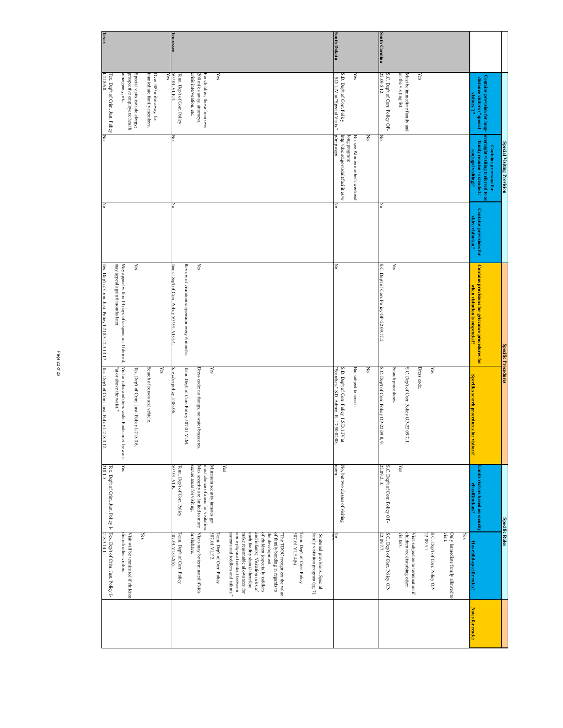|                       |                                                                                        | Special Visiting Provision                                                                  |                                              | Specific Procedures                                                                          |                                                                                                                 | Specific Rules                                                                                        |                                                                                                                                                                                                                                   |                            |
|-----------------------|----------------------------------------------------------------------------------------|---------------------------------------------------------------------------------------------|----------------------------------------------|----------------------------------------------------------------------------------------------|-----------------------------------------------------------------------------------------------------------------|-------------------------------------------------------------------------------------------------------|-----------------------------------------------------------------------------------------------------------------------------------------------------------------------------------------------------------------------------------|----------------------------|
|                       | Contains provision for long-<br>distance visitors ("special                            | overnight visiting (referred to as<br>family reunion / extended /<br>Contains provision for |                                              |                                                                                              |                                                                                                                 | imits visitors based on security                                                                      |                                                                                                                                                                                                                                   |                            |
|                       |                                                                                        |                                                                                             | Contains provisions for<br>video visitation? | Contains provisions for grievance procedures for<br>when visitation is suspended?            | Specifies search<br>ĮЗIО.                                                                                       | classifications?                                                                                      | child-specific rules?                                                                                                                                                                                                             | <b>Notes</b><br>for reader |
|                       |                                                                                        |                                                                                             |                                              |                                                                                              |                                                                                                                 |                                                                                                       | Yes                                                                                                                                                                                                                               |                            |
|                       |                                                                                        |                                                                                             |                                              |                                                                                              |                                                                                                                 |                                                                                                       | visit.<br>Only immediate family allowed to                                                                                                                                                                                        |                            |
|                       |                                                                                        |                                                                                             |                                              |                                                                                              | Yes                                                                                                             |                                                                                                       | 22.09.5.1.<br>S.C. Dep't of Corr. Policy OP-                                                                                                                                                                                      |                            |
|                       | Yes<br>on the visiting list.<br>Must be immediate family and                           |                                                                                             |                                              |                                                                                              | S.C. Dep't of Corr. Policy OP-22.09.7.1.<br>Dress code.                                                         | Yes                                                                                                   | visitors.<br>children are disturbing other<br>Visit subjection to termination if                                                                                                                                                  |                            |
| <b>South Carolina</b> | S.C. Dept of Corr. Policy OP-<br>22.09.5.12.                                           | Š                                                                                           | Š                                            | S.C. Dep't of Corr. Policy OP-22.09.17.2<br>Yes                                              | S.C. Dep't of Corr. Policy OP-22.09.8,<br>Search procedures                                                     | 22.09.2, 3.<br>S.C. Dep't of Corr. Policy OP-                                                         | S.C. Dep't of Corr. Policy OP-<br>22.09.7.7                                                                                                                                                                                       |                            |
|                       |                                                                                        | δ                                                                                           |                                              |                                                                                              | Š                                                                                                               |                                                                                                       |                                                                                                                                                                                                                                   |                            |
|                       | Yes                                                                                    | But see Women mother's weekend-                                                             |                                              |                                                                                              | But subject to search                                                                                           |                                                                                                       |                                                                                                                                                                                                                                   |                            |
| South Dakota          | S.D. Dept of Corr. Policy<br>1.5.D.1.IV at "Special Visits."                           | p/mip.aspx<br>http://doc.sd.gov/adult/facilities/w<br>long program:                         | ζ                                            | š                                                                                            | S.D. Dept of Corr. Policy 1.5.D.1.IV at<br>"Searches." S.D. Admin. R. 17:50:02:08                               | room.<br>No, but two classes of visiting                                                              | ₫š                                                                                                                                                                                                                                |                            |
|                       |                                                                                        |                                                                                             |                                              |                                                                                              |                                                                                                                 |                                                                                                       | family visitation program (pg 7).<br>Scattered provisions. Special                                                                                                                                                                |                            |
|                       |                                                                                        |                                                                                             |                                              |                                                                                              |                                                                                                                 |                                                                                                       | 507.01.VI.E.4(b).<br>Tenn. Dep't of Corr. Policy                                                                                                                                                                                  |                            |
|                       |                                                                                        |                                                                                             |                                              |                                                                                              |                                                                                                                 |                                                                                                       | each facility should therefore<br>of children (especially toddlers<br>and infants). Visitation rules of<br>the development<br>of family bonding in regards to<br>make reasonable allowances for<br>"The TDOC recognizes the value |                            |
|                       | Yes                                                                                    |                                                                                             |                                              |                                                                                              | Yes                                                                                                             | Minimum security inmates get<br>Yes                                                                   | Tem. Dep't of Corr. Policy<br>507.01.VI.F.2.<br>parents and toddlers and infants."                                                                                                                                                |                            |
|                       | crisis intervention, etc.<br>200 miles away, attomeys,<br>or children, those from over |                                                                                             |                                              | Yes                                                                                          | Dress code: no thongs, no water brassieres.                                                                     | secure areas for visiting.<br>Max security are limited to more<br>most choice of areas for visitation | Visits may be terminated if kids<br>misbehave.                                                                                                                                                                                    |                            |
| Tennessee             | Tem. Dep't of Corr. Policy<br>  507.01. VLE.4.<br>  Yes                                | No                                                                                          | ζ                                            | Review of visitation suspension every 6 months.<br>Tem. Dep't of Corr. Policy 507.01.VI.G.4. | Tem. Dep't of Corr. Policy 507.01.VI.M.<br>See also policy #506.06.                                             | Tenn. Dep't of Corr. Policy<br>507.01.VLK.                                                            | Tem. Dep't of Corr. Policy<br>507.01.VI.G.2(b).                                                                                                                                                                                   |                            |
|                       | Over 300 miles away, for                                                               |                                                                                             |                                              |                                                                                              | Yes                                                                                                             |                                                                                                       |                                                                                                                                                                                                                                   |                            |
|                       | Special visits include clergy;<br>immiediate family members                            |                                                                                             |                                              | Yes                                                                                          | Search of person and vehicle.<br>Tex. Dep't of Crim. Just. Policy 1-218.3.<br>$\mathbf{e}$                      |                                                                                                       | Yes                                                                                                                                                                                                                               |                            |
|                       | emergency; etc.<br>prospective employers; health                                       |                                                                                             |                                              | may appeal again 6 months later.<br>May appeal within 14 days of suspension. If denied,      | Visitor rules and dress code. Pants must be worn $\begin{bmatrix} 1 \\ 1 \end{bmatrix}$ at or above the waist." | Yes                                                                                                   | distrub other visitors.<br>Visit will be terminated if children                                                                                                                                                                   |                            |
| Texas                 | Tex. Dept of Crim. Just. Policy<br>1-218.6.0                                           | ŠΔ                                                                                          | Š                                            | Tex. Dept of Crim. Islam. 1213.3.12.3.13.17.                                                 | Tex. Dep't of Crim. Just. Policy 1-218.3.<br>$\vec{a}$                                                          | Tex. Dept of Crim. Just. Policy I- [Tex. Dept of Crim. Just. Policy I-<br>218.1.5.                    |                                                                                                                                                                                                                                   |                            |

Page 22 of 26 Page 22 of 26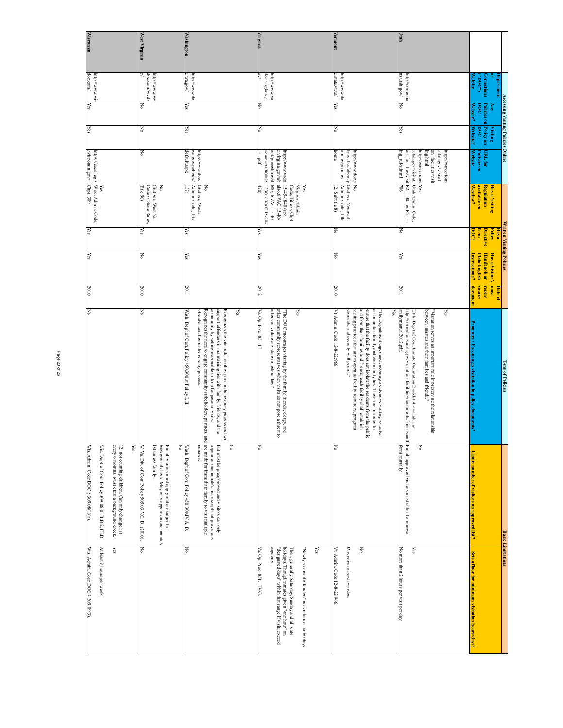|                   |                                                                      |                    | Accessing Visiting Policies Online |                                       |                                                    | Vritten Visiting Policies |                 |                   | <b>Tone of Policies</b>                                                                                                                         |                                                                                                        | <b>Basic Limitations</b>                                                                             |
|-------------------|----------------------------------------------------------------------|--------------------|------------------------------------|---------------------------------------|----------------------------------------------------|---------------------------|-----------------|-------------------|-------------------------------------------------------------------------------------------------------------------------------------------------|--------------------------------------------------------------------------------------------------------|------------------------------------------------------------------------------------------------------|
|                   | epartment                                                            |                    |                                    |                                       |                                                    | <b>Hasa</b>               |                 | Date of           |                                                                                                                                                 |                                                                                                        |                                                                                                      |
|                   |                                                                      | χωy                | $\sqrt{s}$ iting                   |                                       | Has a Visiting                                     | Policy                    | Has a Visitor's | 180 <sub>cm</sub> |                                                                                                                                                 |                                                                                                        |                                                                                                      |
|                   | moc")<br>orrections                                                  | 500<br>Policies on | Policy on<br>000                   | URL for                               | <b>Regulation</b>                                  | Directive                 | Handbook or     | recent            |                                                                                                                                                 |                                                                                                        |                                                                                                      |
|                   |                                                                      |                    | Website?                           | Website<br><b>Policies</b> on         | available on<br>Westlaw?                           | from<br>30K               | Plain English   | source<br>locume  | visitation in policy docum-                                                                                                                     | imits number of visitors on<br>approved list?                                                          | Sets a floor<br>Elling<br>visitation hours/days?                                                     |
|                   |                                                                      |                    |                                    |                                       |                                                    |                           |                 |                   |                                                                                                                                                 |                                                                                                        |                                                                                                      |
|                   |                                                                      |                    |                                    | http://corrections                    |                                                    |                           |                 |                   | Yes                                                                                                                                             |                                                                                                        |                                                                                                      |
|                   |                                                                      |                    |                                    | utah.gov/visitati                     |                                                    |                           |                 |                   |                                                                                                                                                 |                                                                                                        |                                                                                                      |
|                   |                                                                      |                    |                                    | ing.html<br>on_facilities/visit       |                                                    |                           |                 |                   | "Visitation serves an important role in preserving the relationship<br>between imnates and their families and friends."                         |                                                                                                        |                                                                                                      |
|                   |                                                                      |                    |                                    | http://corrections  Yes               |                                                    |                           |                 |                   |                                                                                                                                                 | ξ                                                                                                      |                                                                                                      |
|                   |                                                                      |                    |                                    |                                       | utah.gov/visitati Utah Admin. Code,                |                           |                 |                   | Jtah. Dep't of Corr. Inmate Oreintation Booklet 4, available at                                                                                 |                                                                                                        | Yes                                                                                                  |
| Utah              | ns.utah.gov/<br>http://correctio                                     | Σο                 | Yes                                | ing rules.html                        | on_facilities/visit R251-305 & R251-<br>90L        | Ιš                        | $\frac{1}{2}$   | 2011              | http://corrections.utah.gov/visitation_facilities/documents/friendsandf<br>amilymanual2012.pdf.                                                 | But all approved visitors must submit a renewal<br>form annually.                                      | No more than 2 hours per visit per day                                                               |
|                   |                                                                      |                    |                                    |                                       |                                                    |                           |                 |                   | $\chi_{\rm{es}}$                                                                                                                                |                                                                                                        |                                                                                                      |
|                   |                                                                      |                    |                                    |                                       |                                                    |                           |                 |                   | The Department urges and encourages extensive visiting to foster                                                                                |                                                                                                        |                                                                                                      |
|                   |                                                                      |                    |                                    |                                       |                                                    |                           |                 |                   | and maintain family and community ties. Therefore, in order to                                                                                  |                                                                                                        |                                                                                                      |
|                   |                                                                      |                    |                                    |                                       |                                                    |                           |                 |                   | and from their families and friends, each facility shall establish<br>ensure that the facility does not isolate the residents from the public   |                                                                                                        | Š                                                                                                    |
|                   |                                                                      |                    |                                    | http://www.doc.s                      | tate.vt.us/about/p (But see, Vermont<br>š          |                           |                 |                   | demands, and security will permit."<br>visiting practices that are as open as facility resources, program                                       |                                                                                                        | Discretion of each warden.                                                                           |
|                   | http://www.do<br>c.state.vt.us/                                      |                    |                                    | olicies/policies-                     | Admin. Code, Title<br>12, Subtitle 8)              |                           |                 |                   |                                                                                                                                                 |                                                                                                        |                                                                                                      |
| Vermont           |                                                                      | Yes                | Š                                  | home                                  |                                                    | Š                         | ŠΔ              | 2010              | Vt. Admin. Code 12-8-22:966                                                                                                                     | ξ                                                                                                      | Vt. Admin. Code 12-8-22:966                                                                          |
|                   |                                                                      |                    |                                    |                                       |                                                    |                           |                 |                   |                                                                                                                                                 |                                                                                                        | $\chi_{\rm{es}}$                                                                                     |
|                   |                                                                      |                    |                                    |                                       |                                                    |                           |                 |                   |                                                                                                                                                 |                                                                                                        |                                                                                                      |
|                   |                                                                      |                    |                                    |                                       | Virginia Admin.<br>χes                             |                           |                 |                   | Yes                                                                                                                                             |                                                                                                        | 'Newly received offenders'' no visitation for 60 days.                                               |
|                   |                                                                      |                    |                                    |                                       | Code, Title 6, Chpt<br>15-45-1840 (see             |                           |                 |                   |                                                                                                                                                 |                                                                                                        | Then, generally Saturday, Sunday and all state                                                       |
|                   |                                                                      |                    |                                    | c. virginia.gov/ab<br>http://www.vado | also,6 VAC 15-40-                                  |                           |                 |                   | other community representatives when visits do not pose a threat to<br>The DOC encourages visiting by the family, friends, clergy, and          |                                                                                                        | holidays. Though inmates given "one hour" on<br>'designated days" within that range if visits exceed |
|                   | ex:www//:duu                                                         |                    |                                    | out/procedures/d                      | 680; 6 VAC 15-40-<br>1330; 6 VAC 15-80-            |                           |                 |                   | others or violate any state or federal law."                                                                                                    |                                                                                                        | capacity.                                                                                            |
| Virginia          | $\begin{array}{ll} \text{doc. virginia.g} \\ \text{ov/} \end{array}$ | ko                 | ķδ                                 | ocuments/800/85<br>$1 - 1$            | (0/4)                                              | Yes                       | ks              | 2012              | Va. Op. Proc. 851.1.1                                                                                                                           | ē                                                                                                      | Va. Op. Proc. 851.1.IV.G.                                                                            |
|                   |                                                                      |                    |                                    |                                       |                                                    |                           |                 |                   |                                                                                                                                                 |                                                                                                        |                                                                                                      |
|                   |                                                                      |                    |                                    |                                       |                                                    |                           |                 |                   | Yes                                                                                                                                             |                                                                                                        |                                                                                                      |
|                   |                                                                      |                    |                                    |                                       |                                                    |                           |                 |                   |                                                                                                                                                 | ξ                                                                                                      |                                                                                                      |
|                   |                                                                      |                    |                                    |                                       |                                                    |                           |                 |                   | support offenders in maintaining ties with family, friends, and the<br>Recognizes the vital role families play in the re-entry process and will | But must be preapproved and visitors can only                                                          |                                                                                                      |
|                   |                                                                      |                    |                                    |                                       | Š                                                  |                           |                 |                   | community by setting reasonable criteria for pesonal visits.<br>Recognizes the need to engage community stakeholders, partners, and             | are made for immediate family to visit multiple<br>appear on one inmate's list, except that provisions |                                                                                                      |
|                   |                                                                      |                    |                                    | http://www.doc.                       | (But see, Wash.                                    |                           |                 |                   | offender families in the re-entry process                                                                                                       | inmates.                                                                                               |                                                                                                      |
| <b>Washington</b> | http://www.do<br>$c$ . wa.gov/                                       | Yes                | $\approx$                          | wa.gov/policies/<br>default.aspx      | Admin. Code, Title<br>137)                         | Yes                       | ks              | 2011              | Wash. Dep't of Corr. Policy 450.300 at Policy I, II                                                                                             | Wash. Dep't of Corr. Policy 450.300.IV.A, D                                                            | Ιš                                                                                                   |
|                   |                                                                      |                    |                                    |                                       |                                                    |                           |                 |                   |                                                                                                                                                 | $\overline{\mathbf{z}}$                                                                                |                                                                                                      |
|                   |                                                                      |                    |                                    |                                       |                                                    |                           |                 |                   |                                                                                                                                                 | But all visitors must apply and are subject to<br>background check. May only appear on one imnate's    |                                                                                                      |
|                   | http://www.wy                                                        |                    |                                    |                                       | (But see, West Va.<br>š                            |                           |                 |                   |                                                                                                                                                 | list unless family.                                                                                    |                                                                                                      |
| West Virginia     | doc.com/wvdo                                                         | Š                  | Š                                  | Κo                                    | Code of State Rules,<br>Title 90)                  | Yes                       | Š               | 2010              | ΘN                                                                                                                                              | W. Va. Div. of Corr. Policy 505.03.V.C, D. (2010).                                                     | Κo                                                                                                   |
|                   |                                                                      |                    |                                    |                                       |                                                    |                           |                 |                   |                                                                                                                                                 | Yes                                                                                                    |                                                                                                      |
|                   |                                                                      |                    |                                    |                                       |                                                    |                           |                 |                   |                                                                                                                                                 | 12, not counting children. Can only change list                                                        |                                                                                                      |
|                   |                                                                      |                    |                                    |                                       |                                                    |                           |                 |                   |                                                                                                                                                 | every 6 months. Must clear a background check.                                                         | $_{\rm Yes}$                                                                                         |
|                   |                                                                      |                    |                                    |                                       | Yes                                                |                           |                 |                   |                                                                                                                                                 | Wis. Dep't of Corr. Policy 309.06.01.II.B.2, III.D.                                                    | At least 9 hours per week.                                                                           |
| Wisconsin         | doc.com/<br>http://www.wi                                            | Yes                | Yes                                | .wisconsin.gov/                       | https://docs.legis Wisc. Admin. Code,<br>Chpt. 309 | Yes                       | Yes             | 2010              | δŃ                                                                                                                                              | Wis. Admin. Code DOC § 309.08(1)(a).                                                                   | Wis. Admin. Code DOC § 309.09(3),                                                                    |
|                   |                                                                      |                    |                                    |                                       |                                                    |                           |                 |                   |                                                                                                                                                 |                                                                                                        |                                                                                                      |

Page 23 of 26 Page 23 of 26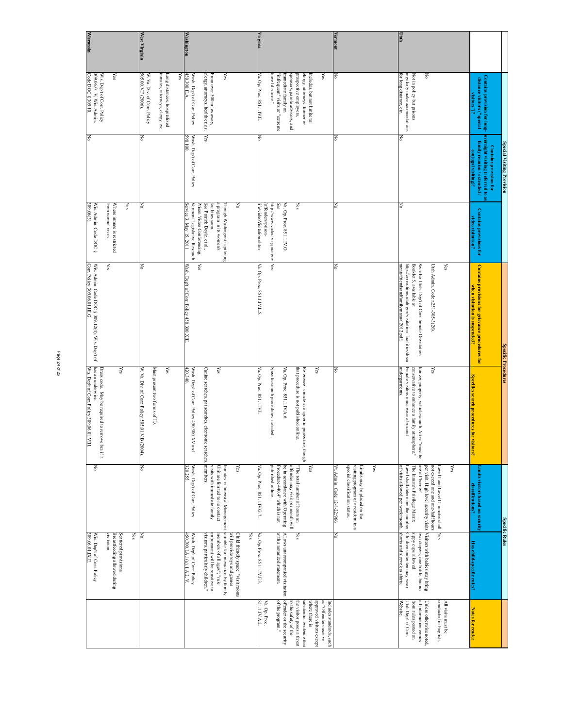|                   |                                                                                                                                                                                                               | Special Visiting Provision                                                                  |                                                                                                                                                                                                          | Specific Procedures                                                                                                                                                                                                       |                                                                                                                                                                          | Specific Rules                                                                                                                                                                                                                                                                           |                                                                                                                                                                                                                                       |                                                                                                                                                                                                                                   |
|-------------------|---------------------------------------------------------------------------------------------------------------------------------------------------------------------------------------------------------------|---------------------------------------------------------------------------------------------|----------------------------------------------------------------------------------------------------------------------------------------------------------------------------------------------------------|---------------------------------------------------------------------------------------------------------------------------------------------------------------------------------------------------------------------------|--------------------------------------------------------------------------------------------------------------------------------------------------------------------------|------------------------------------------------------------------------------------------------------------------------------------------------------------------------------------------------------------------------------------------------------------------------------------------|---------------------------------------------------------------------------------------------------------------------------------------------------------------------------------------------------------------------------------------|-----------------------------------------------------------------------------------------------------------------------------------------------------------------------------------------------------------------------------------|
|                   | Contains provision for long-<br>distance visitors ("special                                                                                                                                                   | overnight visiting (referred to as<br>family reunion / extended /<br>Contains provision for | Contains provisions for<br>rideo visitation?                                                                                                                                                             | Contains provisions for grievance procedures for<br>hen visitation<br>is suspended?                                                                                                                                       | procedures for<br>ĮВJ                                                                                                                                                    | imits visitors based on security<br>classifications?                                                                                                                                                                                                                                     | Has child-specific rules?                                                                                                                                                                                                             | for reader                                                                                                                                                                                                                        |
| Utah              | š<br>regularly make accomodations<br>for long distance, etc.<br>Not in policy but prisons                                                                                                                     | Š                                                                                           | š                                                                                                                                                                                                        | ments/friendsandfamilymanual2012.pdf.<br>http://corrections.utah.gov/visitation_facilities/docu<br>See also Utah. Dep't of Corr. Inmate Oreintation<br>Yes<br>Booklet 5, available at<br>Utah Admin. Code r.251-305-3(26) | Female visitors must wear a bra and<br>conservative to enhance a family atmosphere."<br>undergarments.<br>lonizer, property, vehicle search. Attire "must be<br>χes      | of visits allowed per week/month.<br>are all 'barrier'<br>The Inmate's Privilege Matrix<br>per visit. High level security visits Visitors with babies may bring<br>not exceed one and one-half hours<br>δŚ<br>Level shall determine the number<br>evel I and Level II inmates shall  Yes | shorts and sleeveless shirts.<br>Children under ten may wear<br>sippy cups allowed.<br>two diapers, one bottle, but no                                                                                                                | Website.<br>all information comes<br>All visits must be<br>Utah Dep't of Corr.<br>from rules posted on<br>conducted in English.<br>Unless otherwise noted                                                                         |
| Vermont           | š                                                                                                                                                                                                             | Š                                                                                           | Š                                                                                                                                                                                                        | Š                                                                                                                                                                                                                         | Š                                                                                                                                                                        | visiting program of a resident in a<br>special classification status.<br>Vt. Admin. Code 12-8-22:966.<br>χes<br>Limits may be placed on the                                                                                                                                              | š                                                                                                                                                                                                                                     |                                                                                                                                                                                                                                   |
|                   | sponsors, parole advisors, and<br>prospective employers,<br>clergy, attorneys, former or<br>Yes<br>travel distance."<br>immediate family on<br>Includes, but not limite to:<br>infrequent" visits or "extreme |                                                                                             | http://www.vadoc.virginia.gov<br>See<br>Va. Op. Proc. 851.1IV.O.<br>Yes                                                                                                                                  | Yes                                                                                                                                                                                                                       | Specific search procedures included<br>Va. Op. Proc. 851.1.IVA.6.<br>that procedure is not published online.<br>Reference is made to a specific procedure, though<br>Yes | published online.<br>be in accordance with Operating<br>offender may visit per month will<br>Yes<br>Procedure 440.4" which is not<br>"The total number of hours an                                                                                                                       | with a notarized statement.<br>Allows unaccompanied visitation<br>Yes                                                                                                                                                                 | of the program."<br>offender or the security<br>as "Offenders receive<br>to the safety of the<br>where there is<br>substantial evidence that<br>approved visitors except<br>Includes standards, such<br>he visitor poses a threat |
| Virginia          | Va. Op. Proc. 851.1 IV.E.                                                                                                                                                                                     | Š                                                                                           | life/videoVisitation.shtm<br>/offenders/prison-                                                                                                                                                          | Va. Op. Proc. 851.11VL.5.                                                                                                                                                                                                 | Va. Op. Proc. 851.1IVI.                                                                                                                                                  | Va. Op. Proc. 851.1.IV.G.7.                                                                                                                                                                                                                                                              | Yes<br>Va. Op. Proc. 851. LIV.F.3                                                                                                                                                                                                     | 851.1.IV.A.2<br>Va. Op. Proc                                                                                                                                                                                                      |
| <b>Washington</b> | clergy, attorneys, health crisis.<br><b>ASO 300. ILA.</b><br>Wash. Dep't of Corr. Policy<br>From over 300 miles away,<br>χes                                                                                  | Yes<br>0011065<br>Wash. Dep't of Corr. Policy                                               | a program in its women's<br>ζ<br>Vemont Legislative Research<br>Service 3, May 15, 2011<br>Prison Video Conferencing,<br>See Patrick Doyle, et al.,<br>facilities soon.<br>Though Washingont is piloting | Wash. Dep't of Corr. Policy 450.300.XIII.<br>Yes                                                                                                                                                                          | Canine searches, pat searches, electronic<br><b>kes</b><br>Wash. Dep't of Corr. Policy 450.300.XV and<br>420.340.<br>searches.                                           | members.<br>Wash. Dep't of Corr. Policy<br>Inmates in Intensive Management suitable for interaction by family<br>δŚ<br>visits with immediate family<br>Unit are limited to no contact<br>320.255                                                                                         | Wash. Dep't of Corr. Policy<br>$450.3001A.1(a), 1A.2, V.$<br>enfreement will be sensitive to<br>members of all ages"; "rule<br>visitors, particularly children."<br>will provide toys and games<br>Child friendly space: "visit rooms |                                                                                                                                                                                                                                   |
| West Virginia     | 505.00. V.F (2006)<br>W. Va. Div. of Cort. Policy<br>inmates, attorneys, clergy, etc.<br>χes<br>ong distances, hospitalized                                                                                   | Ιš                                                                                          | Ιš                                                                                                                                                                                                       | Ιš                                                                                                                                                                                                                        | Must present two forms of ID<br>W. Va. Div. of Corr. Policy 505.01. V.B (2004)<br>Yes                                                                                    | Ιš                                                                                                                                                                                                                                                                                       | Ιš                                                                                                                                                                                                                                    |                                                                                                                                                                                                                                   |
| <b>Wisconsin</b>  | Code DOC § 309.10.<br>309.06.01.V; Wis. Admin.<br>Wis. Dep't of Corr. Policy<br>Υes                                                                                                                           | š                                                                                           | 309.08(3).<br>Wis. Admin. Code DOC §<br>from normal visits<br>Where inmate is restricted<br>Yes                                                                                                          | Corr. Policy 309.06.01.III.G.<br>Wis. Admin. Code DOC § 309.12(4); Wis. Dep't of<br>Yes                                                                                                                                   | has an underwire.<br>Wis. Dept of Corr. Policy 309.06.01.VIII<br>Yes<br>Dress code. May be required to remove<br>the if it                                               | Š                                                                                                                                                                                                                                                                                        | 309.06.01.IX.E.<br>Yes<br>visitation.<br>Breastfeeding allowed during<br>Scattered provisions.<br>Wis. Dep't of Corr. Policy                                                                                                          |                                                                                                                                                                                                                                   |

Page 24 of 26 Page 24 of 26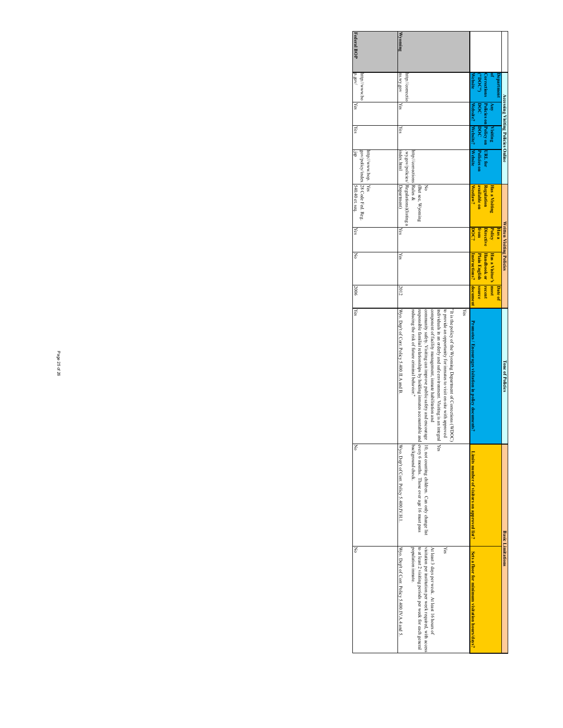|             |                      | Accessing Visiting Policies Online |                            |                                         | Written Visiting Policies |                      |                | <b>Tone of Policies</b>                                                                                                                                                                                              | <b>Basic Limitations</b>                                                                       |                                                                                                                                                                         |
|-------------|----------------------|------------------------------------|----------------------------|-----------------------------------------|---------------------------|----------------------|----------------|----------------------------------------------------------------------------------------------------------------------------------------------------------------------------------------------------------------------|------------------------------------------------------------------------------------------------|-------------------------------------------------------------------------------------------------------------------------------------------------------------------------|
|             | <b>Pepartment</b>    |                                    |                            |                                         | <b>HRS</b> 8              |                      | <b>Date of</b> |                                                                                                                                                                                                                      |                                                                                                |                                                                                                                                                                         |
|             | <b>Kury</b>          | Visiting                           |                            | Has a Visiting                          | Policy                    | Has a Visitor's most |                |                                                                                                                                                                                                                      |                                                                                                |                                                                                                                                                                         |
|             | orrections           | Policies on Policy on URL for      |                            | <b>Regulation</b>                       | <b>Directive</b>          | Handbook or recent   |                |                                                                                                                                                                                                                      |                                                                                                |                                                                                                                                                                         |
|             | woor"<br>500         | 300 <sub>d</sub>                   | Policies on                | available on                            | urom                      | Plain English source |                |                                                                                                                                                                                                                      |                                                                                                |                                                                                                                                                                         |
|             | <b>Vebsite</b>       | Website?<br>Website?               | <b>Website</b>             | Westlaw?                                | DOC:                      | Instructions?        | document       | Promotes / Encourages visitation in policy documents?                                                                                                                                                                | Limits number of visitors on approved list?                                                    | Sets a floor for minimum visitation hours/days?                                                                                                                         |
|             |                      |                                    |                            |                                         |                           |                      |                | Yes                                                                                                                                                                                                                  |                                                                                                |                                                                                                                                                                         |
|             |                      |                                    |                            |                                         |                           |                      |                | individuals in an orderly and safe environment. Visiting is an integral<br>to provide an opportunity for inmates to visit on-site with approved<br>"It is the policy of the Wyoming Department of Corrections (WDOC) | Yes<br>Yes                                                                                     |                                                                                                                                                                         |
|             |                      |                                    |                            | š<br>(But see, Wyoming                  |                           |                      |                | component of facility management, inmate habilitation and<br>community safety. Visiting can improve public safety and encourage<br>responsible familial relationships by holding inmates accountable and             | every 6 months. Those over age 16 must pass<br>10, not counting children. Can only change list | to at least 2 visiting periods per week for each general<br>visitation per institution per week required, with access<br>At least 3 days per week. At least 16 hours of |
|             | http://correctio     |                                    | http://corrections Rules & | .wy.gov/policies/Regulations)(listing a |                           |                      |                | reducing the risk of future criminal behavior."                                                                                                                                                                      | background check                                                                               | population immate.                                                                                                                                                      |
| Wyoming     | ns.wy.gov<br>Yes     | Yes                                | index.html                 | Department)                             | Yes                       | Yes                  | 2012           | Wyo. Dep't of Corr. Policy 5.400.II.A and B.                                                                                                                                                                         | Wyo. Dep't of Corr. Policy 5.400.IV.H.1                                                        | Wyo. Dep't of Corr. Policy 5.400.IV.A.4 and 5.                                                                                                                          |
|             |                      |                                    |                            |                                         |                           |                      |                |                                                                                                                                                                                                                      |                                                                                                |                                                                                                                                                                         |
|             | http://www.bo        |                                    | http://www.bop. Yes        | gov/policy/index 28 Code Fed. Reg.      |                           |                      |                |                                                                                                                                                                                                                      |                                                                                                |                                                                                                                                                                         |
| Federal BOP | p.gov/<br><b>Yes</b> | Yes                                | ď                          | 540.40 et. seq.                         | Yes                       | Z                    | 2006           | Yes                                                                                                                                                                                                                  | š<br>Š                                                                                         |                                                                                                                                                                         |